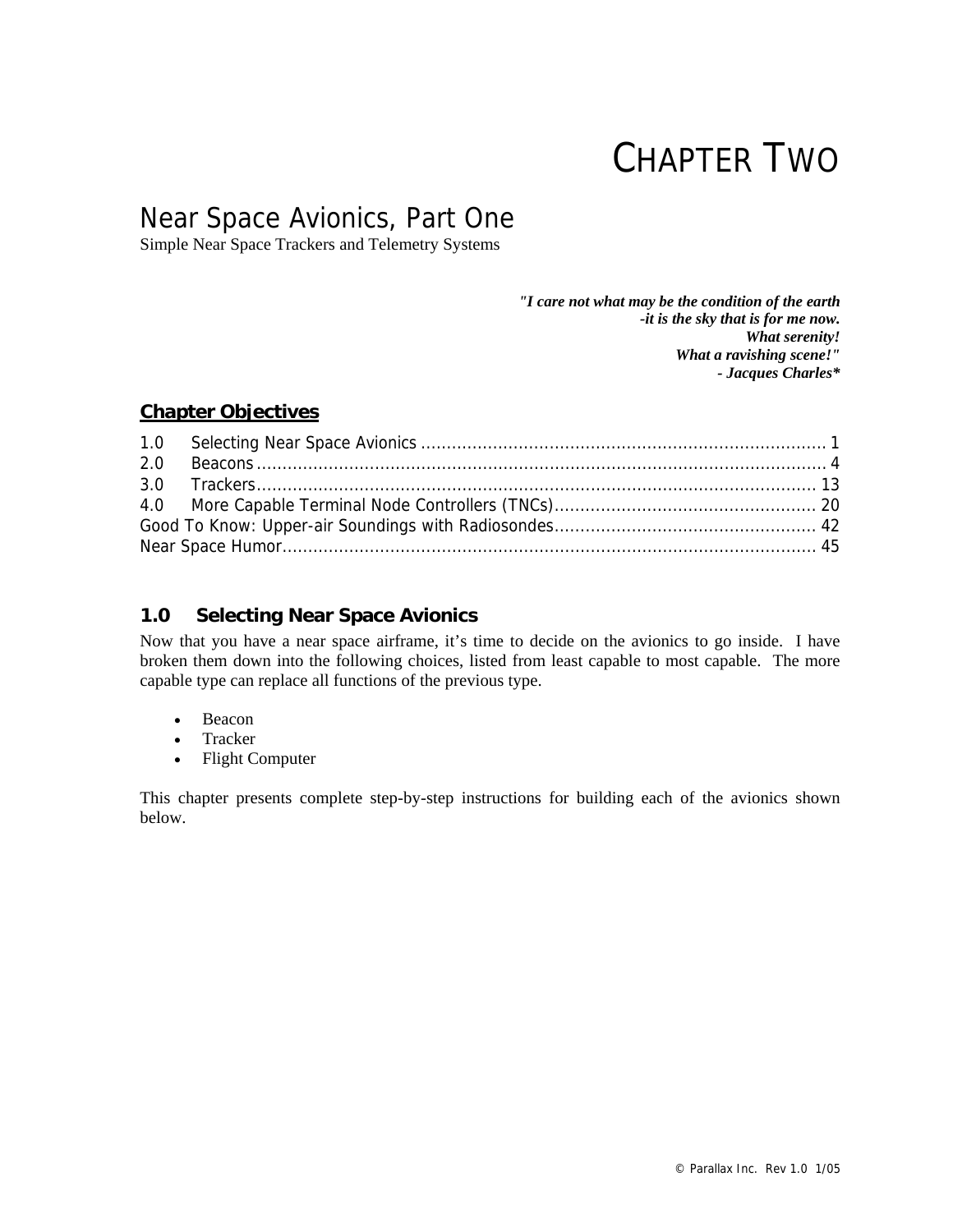# CHAPTER TWO

## Near Space Avionics, Part One

Simple Near Space Trackers and Telemetry Systems

*"I care not what may be the condition of the earth -it is the sky that is for me now. What serenity! What a ravishing scene!" - Jacques Charles\** 

## **Chapter Objectives**

| 2.0 |  |
|-----|--|
|     |  |
|     |  |
|     |  |
|     |  |

## **1.0 Selecting Near Space Avionics**

Now that you have a near space airframe, it's time to decide on the avionics to go inside. I have broken them down into the following choices, listed from least capable to most capable. The more capable type can replace all functions of the previous type.

- Beacon
- Tracker
- Flight Computer

This chapter presents complete step-by-step instructions for building each of the avionics shown below.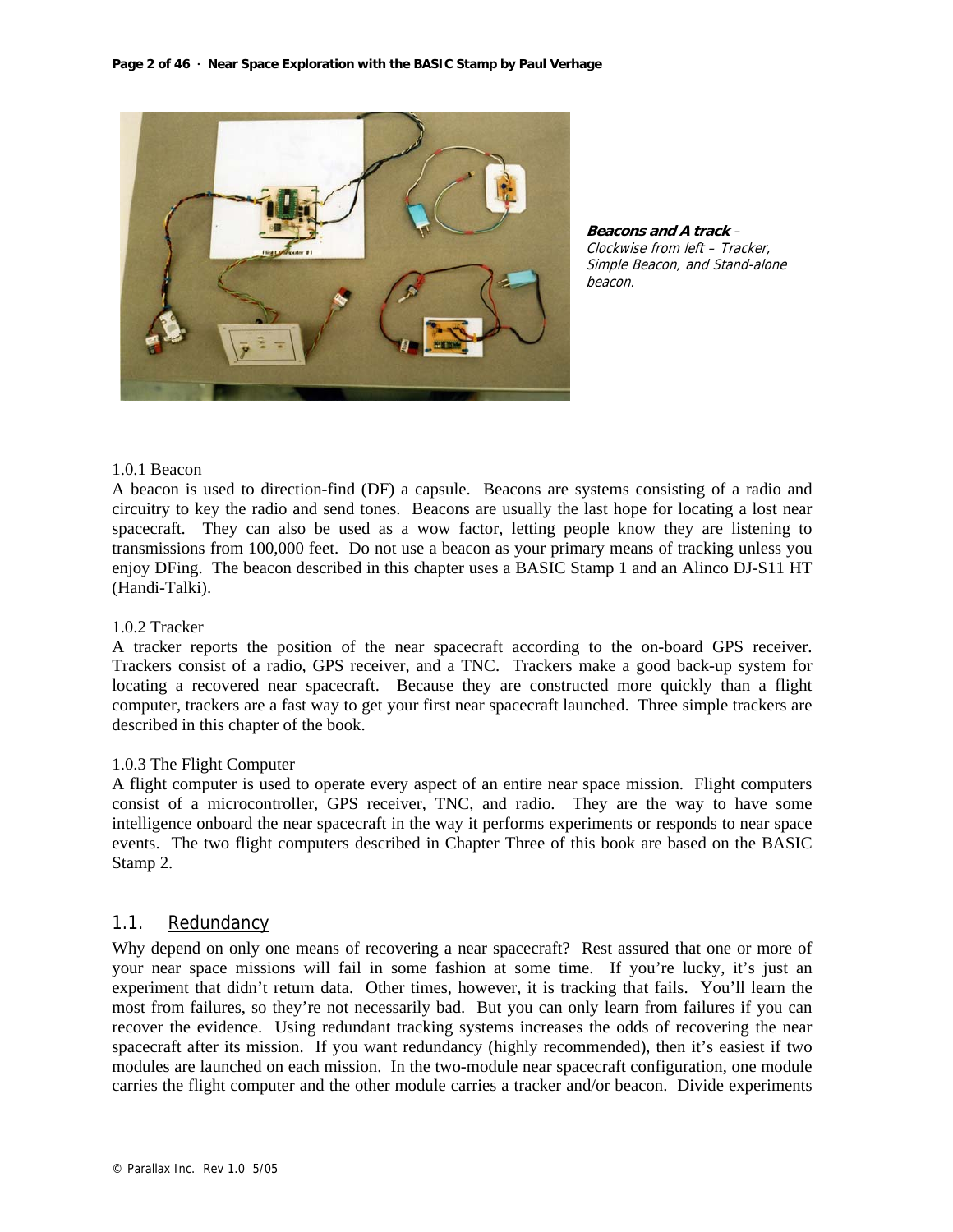

**Beacons and A track** – Clockwise from left – Tracker, Simple Beacon, and Stand-alone beacon.

## 1.0.1 Beacon

A beacon is used to direction-find (DF) a capsule. Beacons are systems consisting of a radio and circuitry to key the radio and send tones. Beacons are usually the last hope for locating a lost near spacecraft. They can also be used as a wow factor, letting people know they are listening to transmissions from 100,000 feet. Do not use a beacon as your primary means of tracking unless you enjoy DFing. The beacon described in this chapter uses a BASIC Stamp 1 and an Alinco DJ-S11 HT (Handi-Talki).

#### 1.0.2 Tracker

A tracker reports the position of the near spacecraft according to the on-board GPS receiver. Trackers consist of a radio, GPS receiver, and a TNC. Trackers make a good back-up system for locating a recovered near spacecraft. Because they are constructed more quickly than a flight computer, trackers are a fast way to get your first near spacecraft launched. Three simple trackers are described in this chapter of the book.

#### 1.0.3 The Flight Computer

A flight computer is used to operate every aspect of an entire near space mission. Flight computers consist of a microcontroller, GPS receiver, TNC, and radio. They are the way to have some intelligence onboard the near spacecraft in the way it performs experiments or responds to near space events. The two flight computers described in Chapter Three of this book are based on the BASIC Stamp 2.

#### 1.1. Redundancy

Why depend on only one means of recovering a near spacecraft? Rest assured that one or more of your near space missions will fail in some fashion at some time. If you're lucky, it's just an experiment that didn't return data. Other times, however, it is tracking that fails. You'll learn the most from failures, so they're not necessarily bad. But you can only learn from failures if you can recover the evidence. Using redundant tracking systems increases the odds of recovering the near spacecraft after its mission. If you want redundancy (highly recommended), then it's easiest if two modules are launched on each mission. In the two-module near spacecraft configuration, one module carries the flight computer and the other module carries a tracker and/or beacon. Divide experiments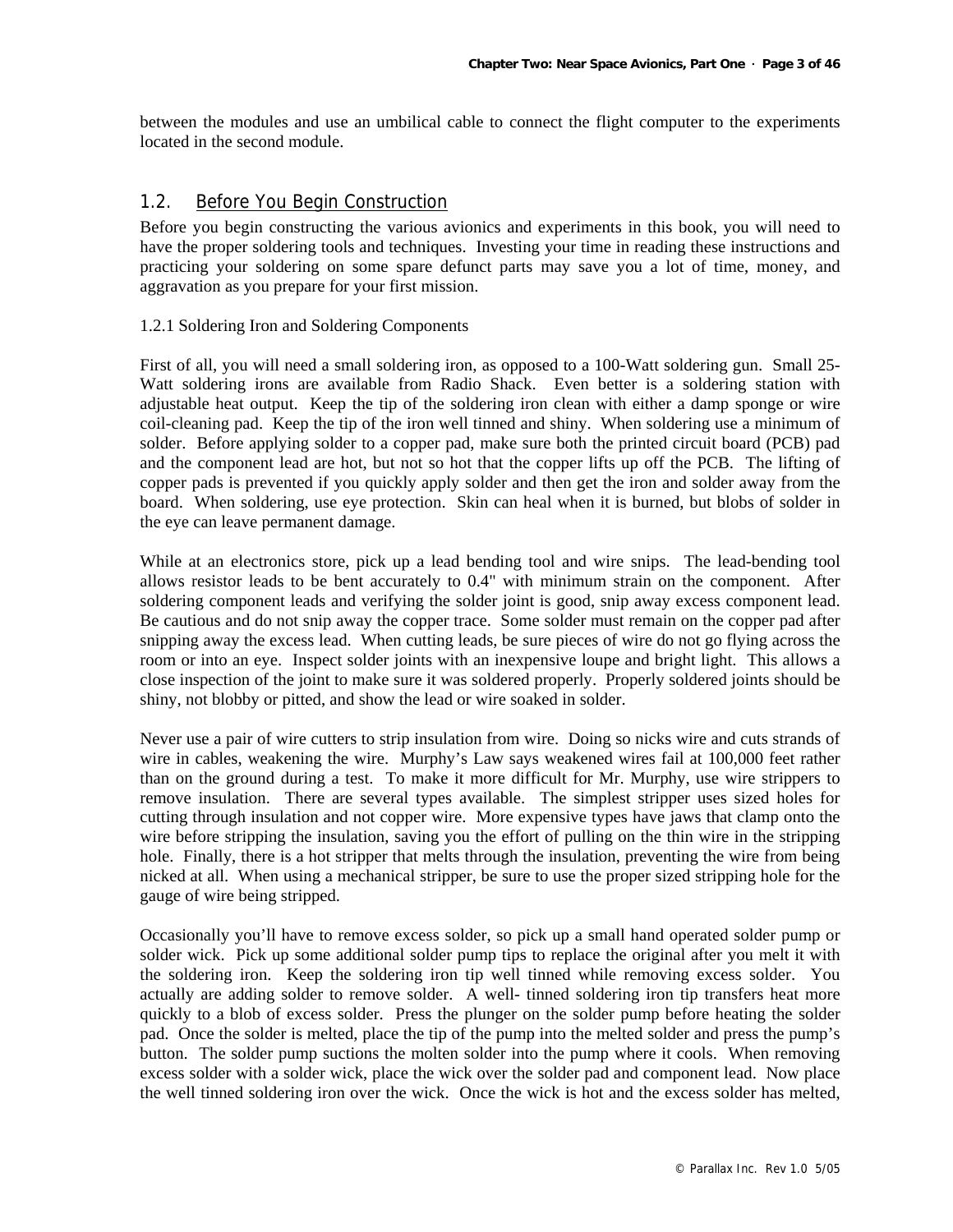between the modules and use an umbilical cable to connect the flight computer to the experiments located in the second module.

## 1.2. Before You Begin Construction

Before you begin constructing the various avionics and experiments in this book, you will need to have the proper soldering tools and techniques. Investing your time in reading these instructions and practicing your soldering on some spare defunct parts may save you a lot of time, money, and aggravation as you prepare for your first mission.

#### 1.2.1 Soldering Iron and Soldering Components

First of all, you will need a small soldering iron, as opposed to a 100-Watt soldering gun. Small 25- Watt soldering irons are available from Radio Shack. Even better is a soldering station with adjustable heat output. Keep the tip of the soldering iron clean with either a damp sponge or wire coil-cleaning pad. Keep the tip of the iron well tinned and shiny. When soldering use a minimum of solder. Before applying solder to a copper pad, make sure both the printed circuit board (PCB) pad and the component lead are hot, but not so hot that the copper lifts up off the PCB. The lifting of copper pads is prevented if you quickly apply solder and then get the iron and solder away from the board. When soldering, use eye protection. Skin can heal when it is burned, but blobs of solder in the eye can leave permanent damage.

While at an electronics store, pick up a lead bending tool and wire snips. The lead-bending tool allows resistor leads to be bent accurately to 0.4" with minimum strain on the component. After soldering component leads and verifying the solder joint is good, snip away excess component lead. Be cautious and do not snip away the copper trace. Some solder must remain on the copper pad after snipping away the excess lead. When cutting leads, be sure pieces of wire do not go flying across the room or into an eye. Inspect solder joints with an inexpensive loupe and bright light. This allows a close inspection of the joint to make sure it was soldered properly. Properly soldered joints should be shiny, not blobby or pitted, and show the lead or wire soaked in solder.

Never use a pair of wire cutters to strip insulation from wire. Doing so nicks wire and cuts strands of wire in cables, weakening the wire. Murphy's Law says weakened wires fail at 100,000 feet rather than on the ground during a test. To make it more difficult for Mr. Murphy, use wire strippers to remove insulation. There are several types available. The simplest stripper uses sized holes for cutting through insulation and not copper wire. More expensive types have jaws that clamp onto the wire before stripping the insulation, saving you the effort of pulling on the thin wire in the stripping hole. Finally, there is a hot stripper that melts through the insulation, preventing the wire from being nicked at all. When using a mechanical stripper, be sure to use the proper sized stripping hole for the gauge of wire being stripped.

Occasionally you'll have to remove excess solder, so pick up a small hand operated solder pump or solder wick. Pick up some additional solder pump tips to replace the original after you melt it with the soldering iron. Keep the soldering iron tip well tinned while removing excess solder. You actually are adding solder to remove solder. A well- tinned soldering iron tip transfers heat more quickly to a blob of excess solder. Press the plunger on the solder pump before heating the solder pad. Once the solder is melted, place the tip of the pump into the melted solder and press the pump's button. The solder pump suctions the molten solder into the pump where it cools. When removing excess solder with a solder wick, place the wick over the solder pad and component lead. Now place the well tinned soldering iron over the wick. Once the wick is hot and the excess solder has melted,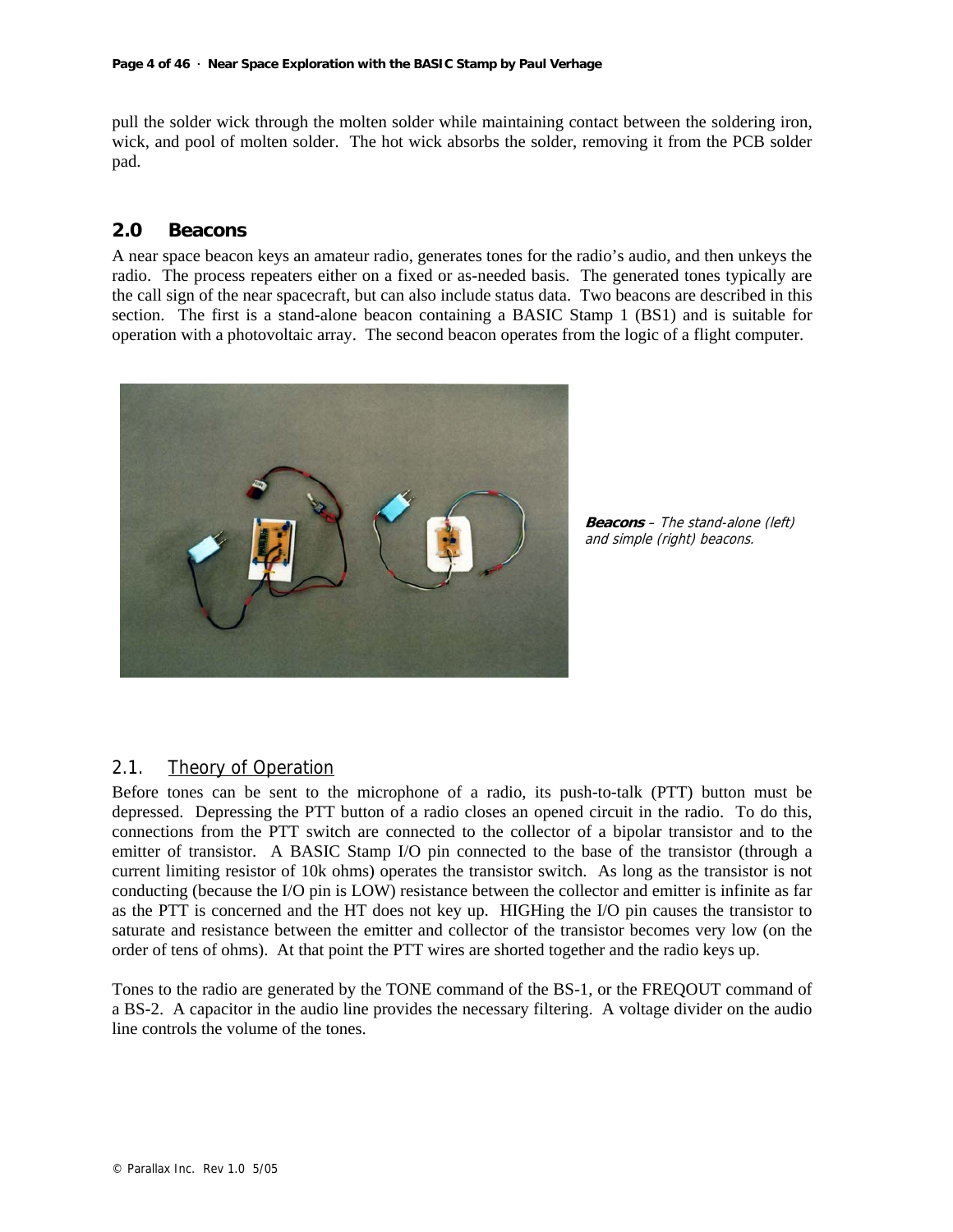pull the solder wick through the molten solder while maintaining contact between the soldering iron, wick, and pool of molten solder. The hot wick absorbs the solder, removing it from the PCB solder pad.

## **2.0 Beacons**

A near space beacon keys an amateur radio, generates tones for the radio's audio, and then unkeys the radio. The process repeaters either on a fixed or as-needed basis. The generated tones typically are the call sign of the near spacecraft, but can also include status data. Two beacons are described in this section. The first is a stand-alone beacon containing a BASIC Stamp 1 (BS1) and is suitable for operation with a photovoltaic array. The second beacon operates from the logic of a flight computer.



**Beacons** – The stand-alone (left) and simple (right) beacons.

#### 2.1. Theory of Operation

Before tones can be sent to the microphone of a radio, its push-to-talk (PTT) button must be depressed. Depressing the PTT button of a radio closes an opened circuit in the radio. To do this, connections from the PTT switch are connected to the collector of a bipolar transistor and to the emitter of transistor. A BASIC Stamp I/O pin connected to the base of the transistor (through a current limiting resistor of 10k ohms) operates the transistor switch. As long as the transistor is not conducting (because the I/O pin is LOW) resistance between the collector and emitter is infinite as far as the PTT is concerned and the HT does not key up. HIGHing the I/O pin causes the transistor to saturate and resistance between the emitter and collector of the transistor becomes very low (on the order of tens of ohms). At that point the PTT wires are shorted together and the radio keys up.

Tones to the radio are generated by the TONE command of the BS-1, or the FREQOUT command of a BS-2. A capacitor in the audio line provides the necessary filtering. A voltage divider on the audio line controls the volume of the tones.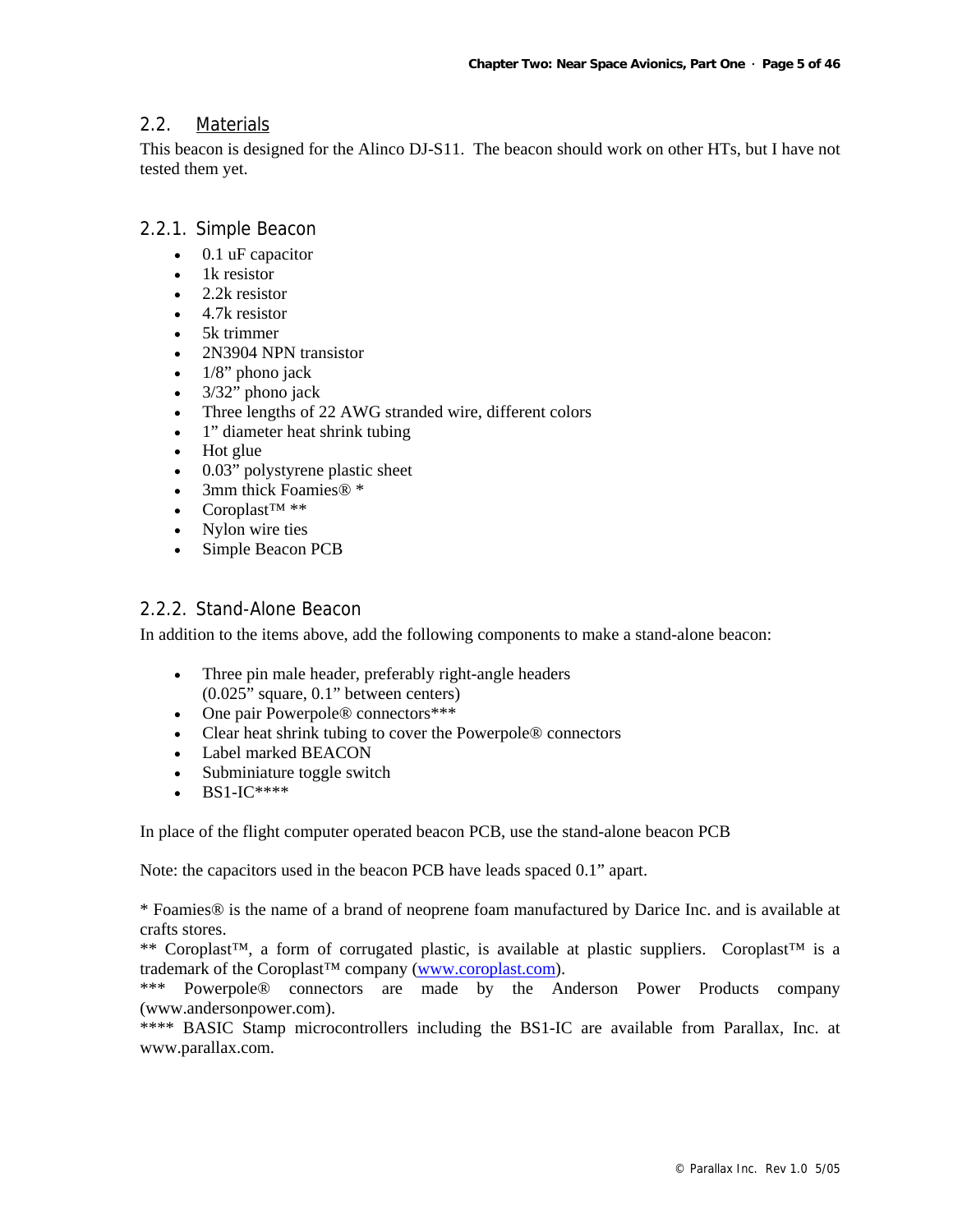## 2.2. Materials

This beacon is designed for the Alinco DJ-S11. The beacon should work on other HTs, but I have not tested them yet.

## 2.2.1. Simple Beacon

- 0.1 uF capacitor
- 1k resistor
- 2.2k resistor
- 4.7k resistor
- 5k trimmer
- 2N3904 NPN transistor
- $1/8$ " phono jack
- $3/32$ " phono jack
- Three lengths of 22 AWG stranded wire, different colors
- 1" diameter heat shrink tubing
- Hot glue
- 0.03" polystyrene plastic sheet
- 3mm thick Foamies<sup>®</sup> \*
- Coroplast™ \*\*
- Nylon wire ties
- Simple Beacon PCB

## 2.2.2. Stand-Alone Beacon

In addition to the items above, add the following components to make a stand-alone beacon:

- Three pin male header, preferably right-angle headers (0.025" square, 0.1" between centers)
- One pair Powerpole® connectors\*\*\*
- Clear heat shrink tubing to cover the Powerpole<sup>®</sup> connectors
- Label marked BEACON
- Subminiature toggle switch
- BS1-IC\*\*\*\*

In place of the flight computer operated beacon PCB, use the stand-alone beacon PCB

Note: the capacitors used in the beacon PCB have leads spaced 0.1" apart.

\* Foamies® is the name of a brand of neoprene foam manufactured by Darice Inc. and is available at crafts stores.

\*\* Coroplast™, a form of corrugated plastic, is available at plastic suppliers. Coroplast™ is a trademark of the Coroplast™ company (www.coroplast.com).

\*\*\* Powerpole® connectors are made by the Anderson Power Products company (www.andersonpower.com).

\*\*\*\* BASIC Stamp microcontrollers including the BS1-IC are available from Parallax, Inc. at www.parallax.com.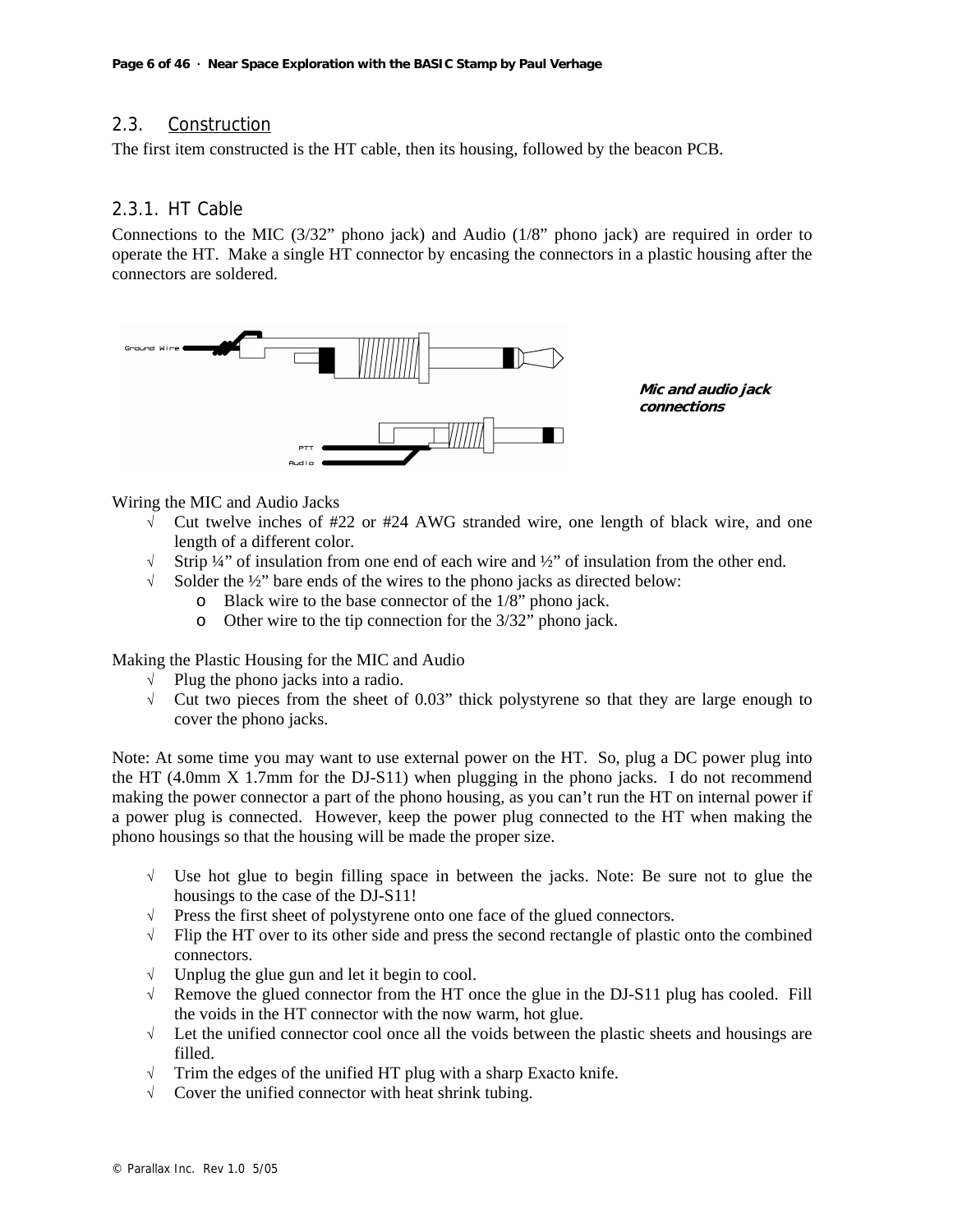## 2.3. Construction

The first item constructed is the HT cable, then its housing, followed by the beacon PCB.

## 2.3.1. HT Cable

Connections to the MIC (3/32" phono jack) and Audio (1/8" phono jack) are required in order to operate the HT. Make a single HT connector by encasing the connectors in a plastic housing after the connectors are soldered.



**Mic and audio jack connections** 

Wiring the MIC and Audio Jacks

- $\sqrt{\phantom{a}}$  Cut twelve inches of #22 or #24 AWG stranded wire, one length of black wire, and one length of a different color.
- $\sqrt{\phantom{a}}$  Strip ¼" of insulation from one end of each wire and ½" of insulation from the other end.
- √ Solder the ½" bare ends of the wires to the phono jacks as directed below:
	- o Black wire to the base connector of the 1/8" phono jack.
	- o Other wire to the tip connection for the 3/32" phono jack.

Making the Plastic Housing for the MIC and Audio

- √ Plug the phono jacks into a radio.
- √ Cut two pieces from the sheet of 0.03" thick polystyrene so that they are large enough to cover the phono jacks.

Note: At some time you may want to use external power on the HT. So, plug a DC power plug into the HT (4.0mm X 1.7mm for the DJ-S11) when plugging in the phono jacks. I do not recommend making the power connector a part of the phono housing, as you can't run the HT on internal power if a power plug is connected. However, keep the power plug connected to the HT when making the phono housings so that the housing will be made the proper size.

- √ Use hot glue to begin filling space in between the jacks. Note: Be sure not to glue the housings to the case of the DJ-S11!
- √ Press the first sheet of polystyrene onto one face of the glued connectors.
- $\sqrt{\phantom{a}}$  Flip the HT over to its other side and press the second rectangle of plastic onto the combined connectors.
- √ Unplug the glue gun and let it begin to cool.
- $\sqrt{\phantom{a}}$  Remove the glued connector from the HT once the glue in the DJ-S11 plug has cooled. Fill the voids in the HT connector with the now warm, hot glue.
- $\sqrt{\phantom{a}}$  Let the unified connector cool once all the voids between the plastic sheets and housings are filled.
- √ Trim the edges of the unified HT plug with a sharp Exacto knife.
- √ Cover the unified connector with heat shrink tubing.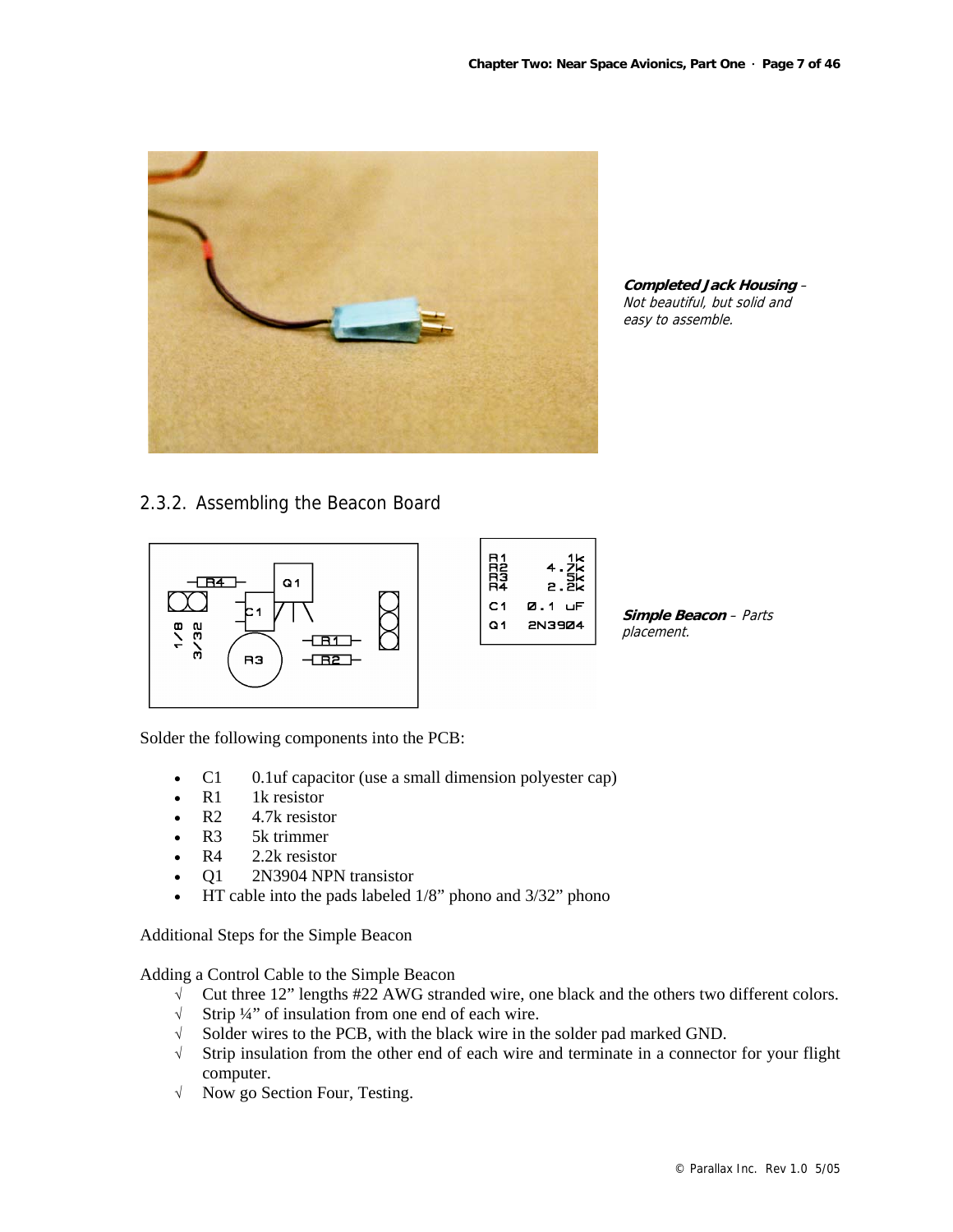

**Completed Jack Housing** – Not beautiful, but solid and easy to assemble.

## 2.3.2. Assembling the Beacon Board



Solder the following components into the PCB:

- C1 0.1uf capacitor (use a small dimension polyester cap)
- $R1$  1k resistor
- R<sub>2</sub> 4.7k resistor
- R<sub>3</sub> 5k trimmer
- R4 2.2k resistor
- Q1 2N3904 NPN transistor
- HT cable into the pads labeled 1/8" phono and 3/32" phono

Additional Steps for the Simple Beacon

Adding a Control Cable to the Simple Beacon

- √ Cut three 12" lengths #22 AWG stranded wire, one black and the others two different colors.
- √ Strip ¼" of insulation from one end of each wire.
- √ Solder wires to the PCB, with the black wire in the solder pad marked GND.
- √ Strip insulation from the other end of each wire and terminate in a connector for your flight computer.
- √ Now go Section Four, Testing.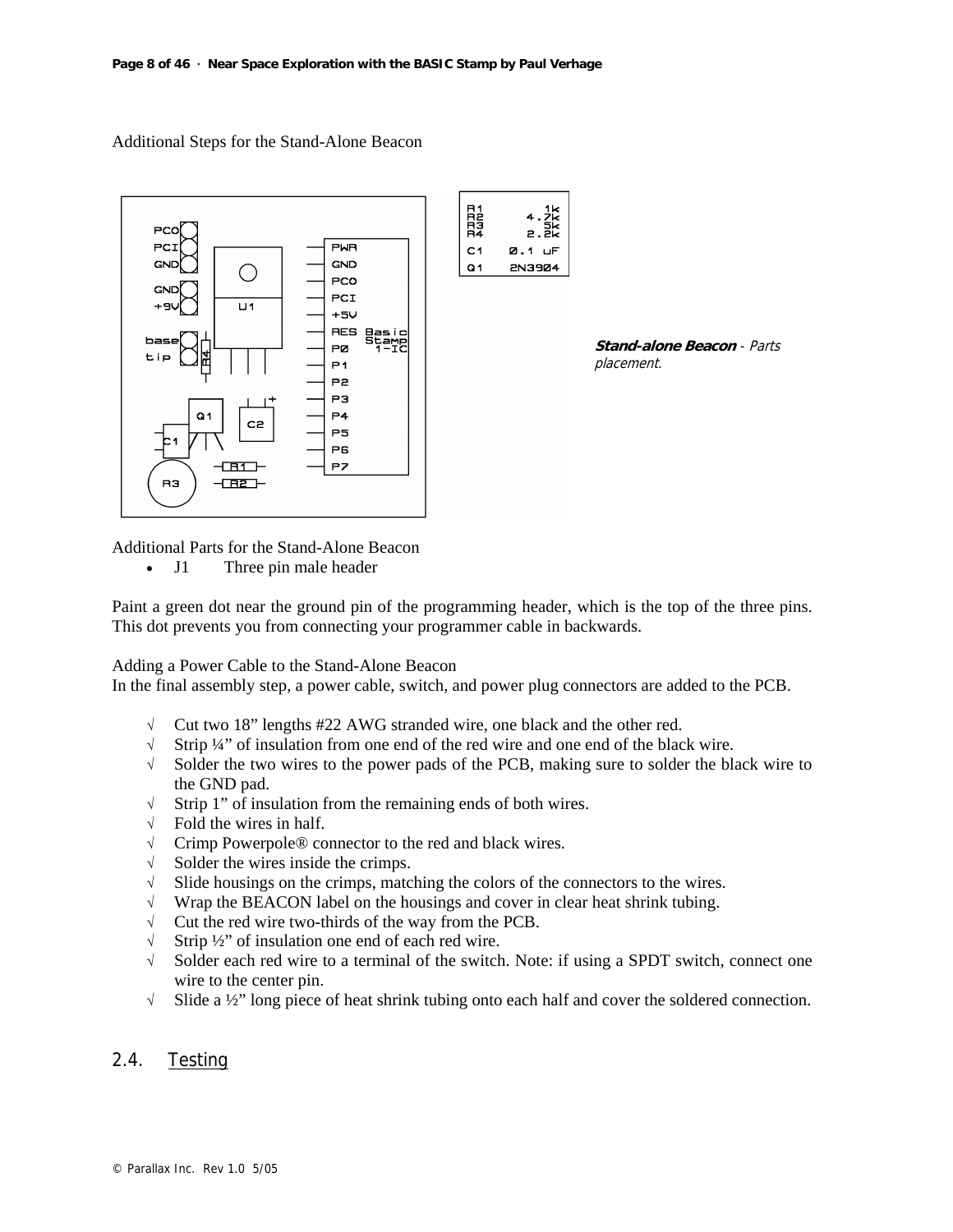Additional Steps for the Stand-Alone Beacon





Additional Parts for the Stand-Alone Beacon

• J1 Three pin male header

Paint a green dot near the ground pin of the programming header, which is the top of the three pins. This dot prevents you from connecting your programmer cable in backwards.

Adding a Power Cable to the Stand-Alone Beacon

In the final assembly step, a power cable, switch, and power plug connectors are added to the PCB.

- √ Cut two 18" lengths #22 AWG stranded wire, one black and the other red.
- √ Strip ¼" of insulation from one end of the red wire and one end of the black wire.
- √ Solder the two wires to the power pads of the PCB, making sure to solder the black wire to the GND pad.
- √ Strip 1" of insulation from the remaining ends of both wires.
- $\sqrt{\phantom{a}}$  Fold the wires in half.
- √ Crimp Powerpole® connector to the red and black wires.
- $\sqrt{\phantom{a}}$  Solder the wires inside the crimps.
- $\sqrt{\phantom{a}}$  Slide housings on the crimps, matching the colors of the connectors to the wires.
- √ Wrap the BEACON label on the housings and cover in clear heat shrink tubing.
- $\sqrt{\phantom{a}}$  Cut the red wire two-thirds of the way from the PCB.
- √ Strip ½" of insulation one end of each red wire.
- √ Solder each red wire to a terminal of the switch. Note: if using a SPDT switch, connect one wire to the center pin.
- √ Slide a ½" long piece of heat shrink tubing onto each half and cover the soldered connection.

## 2.4. Testing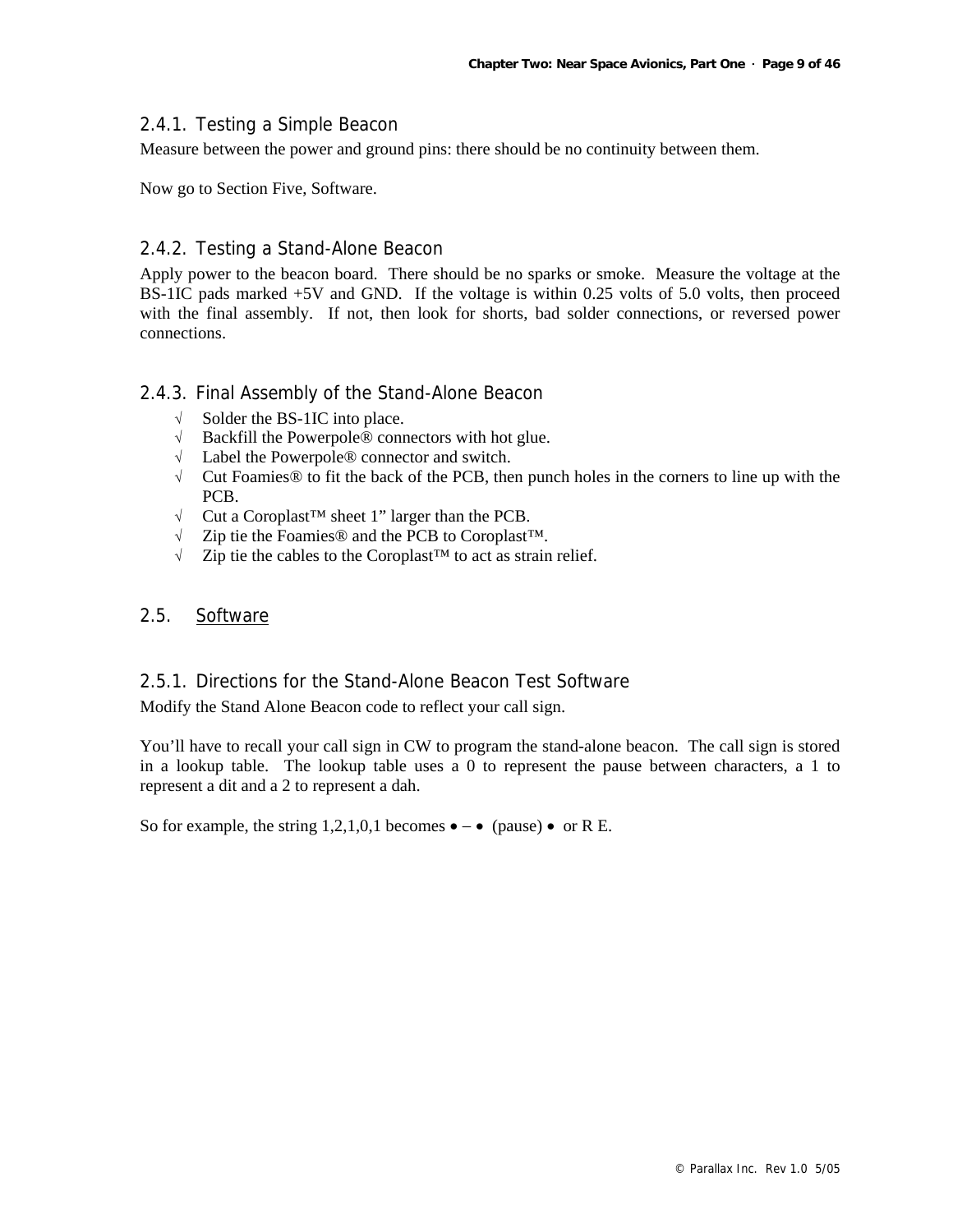## 2.4.1. Testing a Simple Beacon

Measure between the power and ground pins: there should be no continuity between them.

Now go to Section Five, Software.

## 2.4.2. Testing a Stand-Alone Beacon

Apply power to the beacon board. There should be no sparks or smoke. Measure the voltage at the BS-1IC pads marked +5V and GND. If the voltage is within 0.25 volts of 5.0 volts, then proceed with the final assembly. If not, then look for shorts, bad solder connections, or reversed power connections.

## 2.4.3. Final Assembly of the Stand-Alone Beacon

- √ Solder the BS-1IC into place.
- √ Backfill the Powerpole® connectors with hot glue.
- √ Label the Powerpole® connector and switch.
- $\sqrt{\phantom{a}}$  Cut Foamies® to fit the back of the PCB, then punch holes in the corners to line up with the PCB.
- √ Cut a Coroplast™ sheet 1" larger than the PCB.
- √ Zip tie the Foamies® and the PCB to Coroplast™.
- √ Zip tie the cables to the Coroplast™ to act as strain relief.

## 2.5. Software

## 2.5.1. Directions for the Stand-Alone Beacon Test Software

Modify the Stand Alone Beacon code to reflect your call sign.

You'll have to recall your call sign in CW to program the stand-alone beacon. The call sign is stored in a lookup table. The lookup table uses a 0 to represent the pause between characters, a 1 to represent a dit and a 2 to represent a dah.

So for example, the string 1,2,1,0,1 becomes  $\bullet - \bullet$  (pause)  $\bullet$  or R E.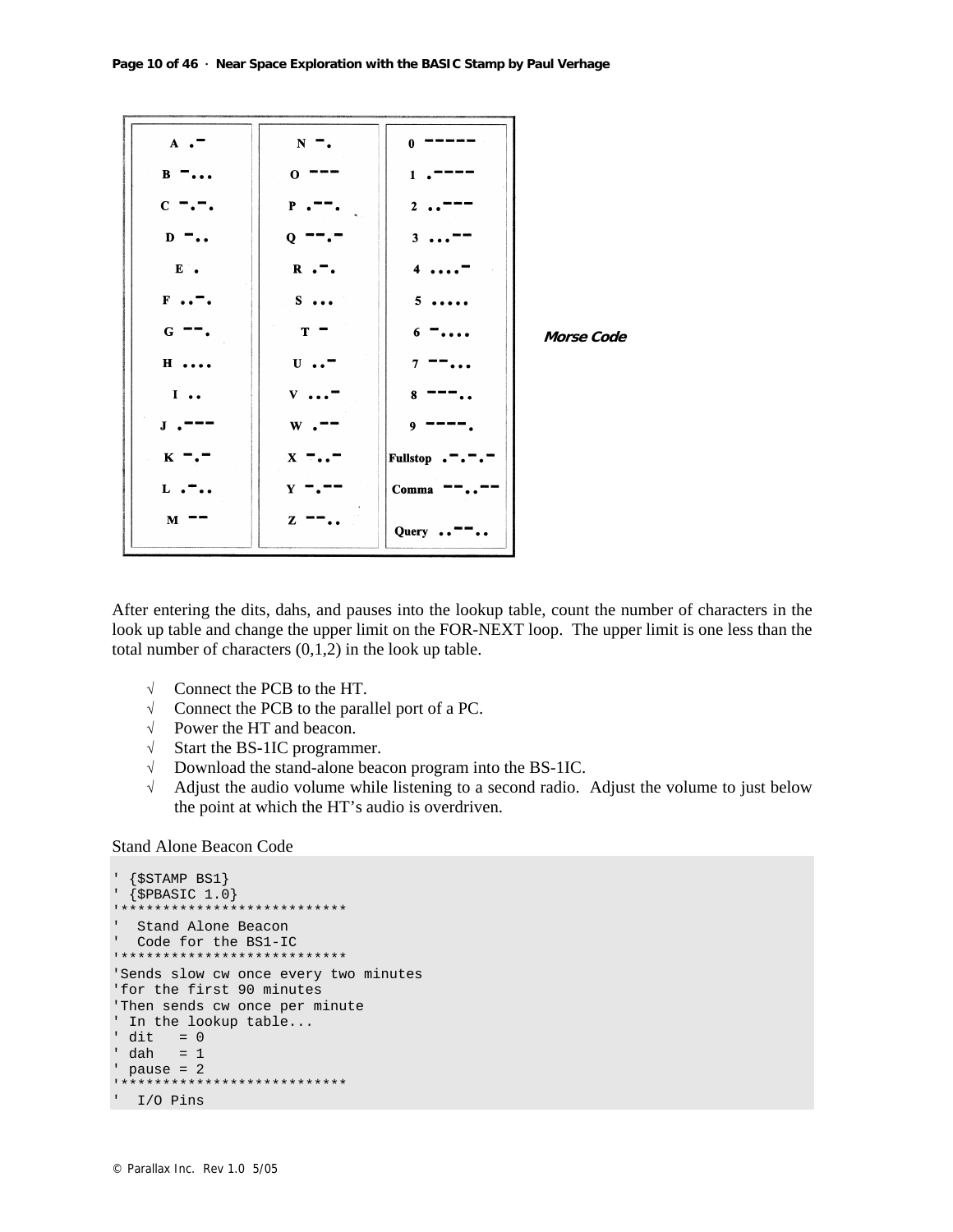| $A \cdot$    | $\mathbf N$  | 0           |            |
|--------------|--------------|-------------|------------|
| B            | $\mathbf{o}$ | 1           |            |
| $\mathbf C$  | P            | 2           |            |
| $\mathbf{D}$ | Q            | 3           |            |
| $E$ .        | $R \cdot$ .  | 4           |            |
| F            | S.           | 5           |            |
| ${\bf G}$    | T            | 6           | Morse Code |
| $H \ldots$   | $\mathbf{U}$ | 7           |            |
| I            | V            | 8           |            |
| $\bf J$      | W            | 9           |            |
| $K -$        | $X - \cdot$  | Fullstop    |            |
| L            | Y            | $\bf Comma$ |            |
| $\mathbf M$  | z            | Query       |            |

After entering the dits, dahs, and pauses into the lookup table, count the number of characters in the look up table and change the upper limit on the FOR-NEXT loop. The upper limit is one less than the total number of characters (0,1,2) in the look up table.

- √ Connect the PCB to the HT.
- √ Connect the PCB to the parallel port of a PC.
- √ Power the HT and beacon.
- √ Start the BS-1IC programmer.
- √ Download the stand-alone beacon program into the BS-1IC.
- √ Adjust the audio volume while listening to a second radio. Adjust the volume to just below the point at which the HT's audio is overdriven.

#### Stand Alone Beacon Code

```
' {$STAMP BS1} 
\{\$PBASE 1.0\}****************
' Stand Alone Beacon 
' Code for the BS1-IC 
'*************************** 
'Sends slow cw once every two minutes 
'for the first 90 minutes 
'Then sends cw once per minute 
' In the lookup table... 
' dit = 0' dah = 1 
' pause = 2 
'*************************** 
' I/O Pins
```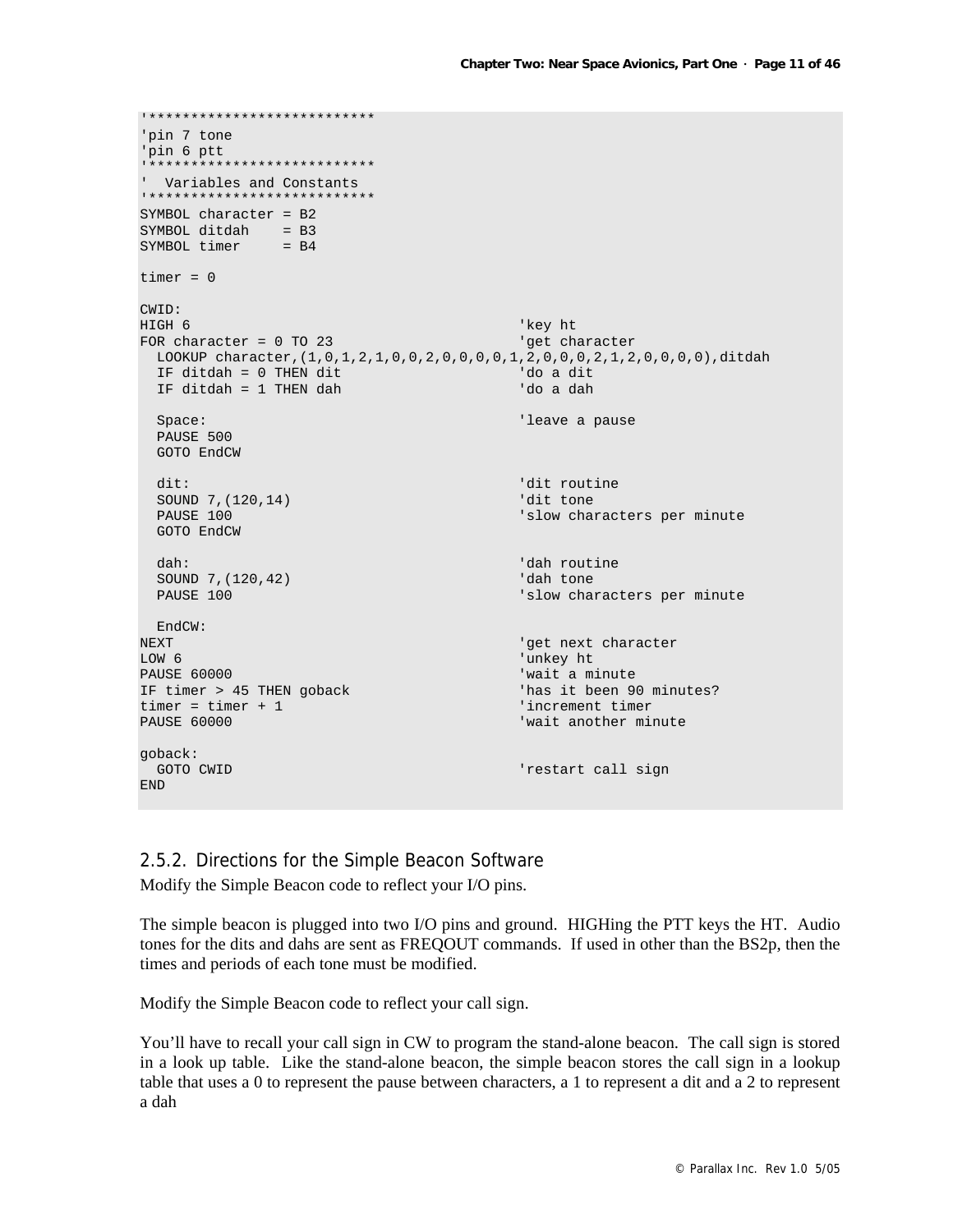```
'*************************** 
'pin 7 tone 
'pin 6 ptt 
__<br>****************************
' Variables and Constants 
'*************************** 
SYMBOL character = B2 
SYMBOL ditdah = B3 
SYMBOL timer = B4
timer = 0CWID:<br>HIGH 6
HIGH 6 'key ht 
FOR character = 0 TO 23 \sqrt{q} and \sqrt{q} at character
  LOOKUP character,(1,0,1,2,1,0,0,2,0,0,0,0,1,2,0,0,0,2,1,2,0,0,0,0),ditdah 
  IF ditdah = 0 THEN dit 'do a dit 
  IF ditdah = 1 THEN dah 'do a dah 
 Space: 'leave a pause a pause a pause a pause a pause a pause a pause a pause a pause a pause a pause a pause
  PAUSE 500 
   GOTO EndCW 
  dit: 'dit routine<br>SOUND 7.(120.14) 'dit routine
  SOUND 7,(120,14)PAUSE 100 'slow characters per minute
  GOTO EndCW 
 dah: \frac{1}{2}(120.42) dah routine
 SOUND 7,(120,42)PAUSE 100 \blacksquare 'slow characters per minute
  EndCW: 
NEXT THE SECOND CONFIDENT CONTROL CONTROL CONTROL CONTROL CONTROL CONTROL CONTROL CONTROL CONTROL CONTROL CONTROL CONTROL CONTROL CONTROL CONTROL CONTROL CONTROL CONTROL CONTROL CONTROL CONTROL CONTROL CONTROL CONTROL CONT
LOW 6 'unkey ht 
                                              'wait a minute<br>'has it been 90 minutes?
IF timer > 45 THEN goback
timer = timer + 1 \blacksquarePAUSE 60000 'wait another minute 
goback: 
GOTO CWID CONSULS CONSULS CONSULS CONSULS CONSULS THE PRESENT CALL SIGN \overline{a}END
```
## 2.5.2. Directions for the Simple Beacon Software

Modify the Simple Beacon code to reflect your I/O pins.

The simple beacon is plugged into two I/O pins and ground. HIGHing the PTT keys the HT. Audio tones for the dits and dahs are sent as FREQOUT commands. If used in other than the BS2p, then the times and periods of each tone must be modified.

Modify the Simple Beacon code to reflect your call sign.

You'll have to recall your call sign in CW to program the stand-alone beacon. The call sign is stored in a look up table. Like the stand-alone beacon, the simple beacon stores the call sign in a lookup table that uses a 0 to represent the pause between characters, a 1 to represent a dit and a 2 to represent a dah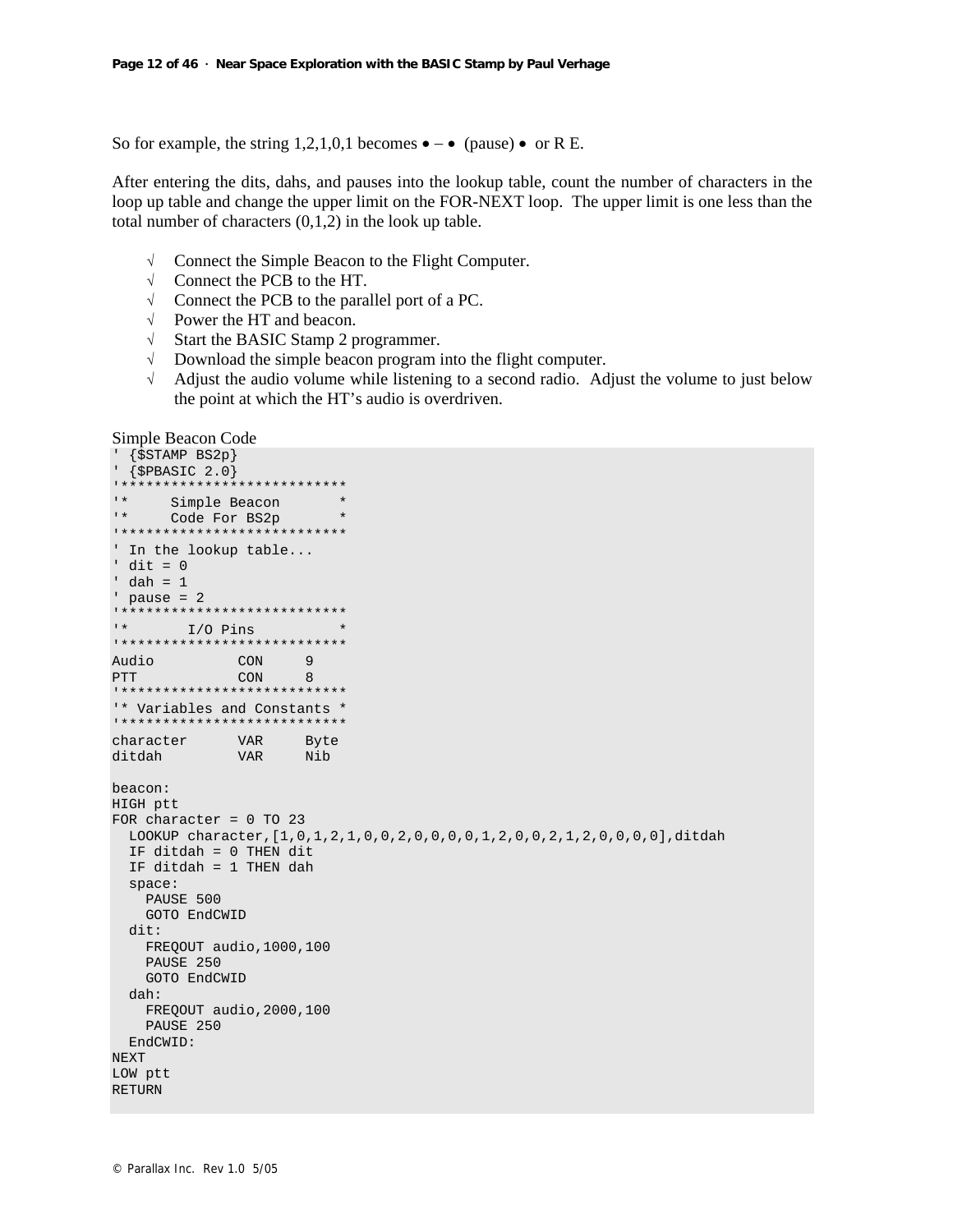So for example, the string 1,2,1,0,1 becomes  $\bullet - \bullet$  (pause)  $\bullet$  or R E.

After entering the dits, dahs, and pauses into the lookup table, count the number of characters in the loop up table and change the upper limit on the FOR-NEXT loop. The upper limit is one less than the total number of characters  $(0,1,2)$  in the look up table.

- √ Connect the Simple Beacon to the Flight Computer.
- √ Connect the PCB to the HT.
- √ Connect the PCB to the parallel port of a PC.
- √ Power the HT and beacon.
- √ Start the BASIC Stamp 2 programmer.
- √ Download the simple beacon program into the flight computer.
- $\sqrt{\phantom{a}}$  Adjust the audio volume while listening to a second radio. Adjust the volume to just below the point at which the HT's audio is overdriven.

Simple Beacon Code

```
' {$STAMP BS2p} 
' {$PBASIC 2.0} 
'*************************** 
'* Simple Beacon * 
     Code For BS2p *
'*************************** 
' In the lookup table... 
' dit = 0' dah = 1 
' pause = 2
'*************************** 
' \star I/O Pins \star'*************************** 
Audio CON 9 
PTT CON 8
'*************************** 
'* Variables and Constants * 
'*************************** 
character VAR Byte 
ditdah VAR Nib 
beacon: 
HIGH ptt 
FOR character = 0 TO 23 
  LOOKUP character,[1,0,1,2,1,0,0,2,0,0,0,0,1,2,0,0,2,1,2,0,0,0,0],ditdah 
  IF ditdah = 0 THEN dit 
  IF ditdah = 1 THEN dah 
  space: 
    PAUSE 500 
    GOTO EndCWID 
  dit: 
   FREQOUT audio,1000,100 
   PAUSE 250 
    GOTO EndCWID 
  dah: 
    FREQOUT audio,2000,100 
    PAUSE 250 
  EndCWID: 
NEXT 
LOW ptt 
RETURN
```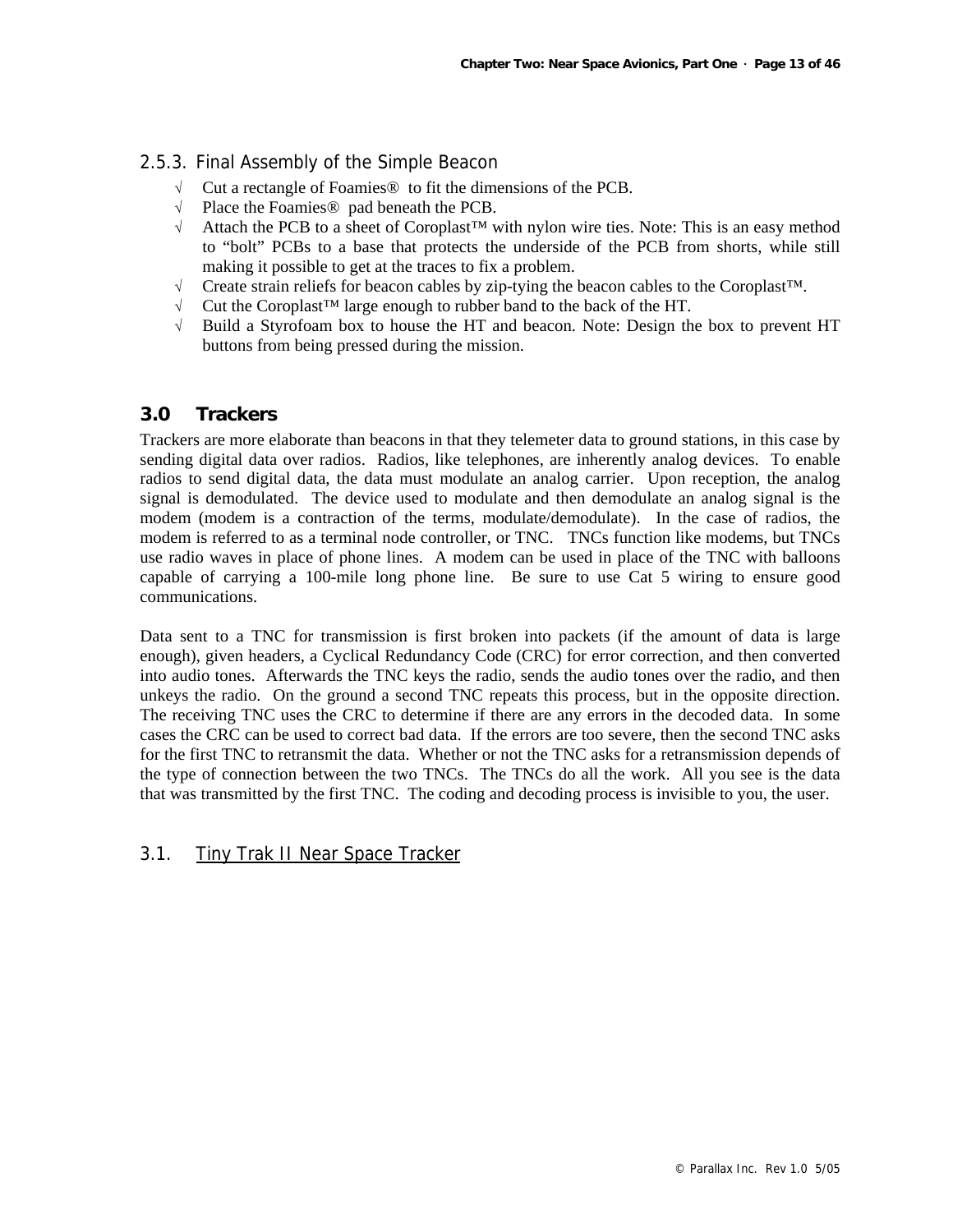## 2.5.3. Final Assembly of the Simple Beacon

- √ Cut a rectangle of Foamies® to fit the dimensions of the PCB.
- √ Place the Foamies® pad beneath the PCB.
- Attach the PCB to a sheet of Coroplast™ with nylon wire ties. Note: This is an easy method to "bolt" PCBs to a base that protects the underside of the PCB from shorts, while still making it possible to get at the traces to fix a problem.
- √ Create strain reliefs for beacon cables by zip-tying the beacon cables to the Coroplast™.
- √ Cut the Coroplast™ large enough to rubber band to the back of the HT.
- √ Build a Styrofoam box to house the HT and beacon. Note: Design the box to prevent HT buttons from being pressed during the mission.

## **3.0 Trackers**

Trackers are more elaborate than beacons in that they telemeter data to ground stations, in this case by sending digital data over radios. Radios, like telephones, are inherently analog devices. To enable radios to send digital data, the data must modulate an analog carrier. Upon reception, the analog signal is demodulated. The device used to modulate and then demodulate an analog signal is the modem (modem is a contraction of the terms, modulate/demodulate). In the case of radios, the modem is referred to as a terminal node controller, or TNC. TNCs function like modems, but TNCs use radio waves in place of phone lines. A modem can be used in place of the TNC with balloons capable of carrying a 100-mile long phone line. Be sure to use Cat 5 wiring to ensure good communications.

Data sent to a TNC for transmission is first broken into packets (if the amount of data is large enough), given headers, a Cyclical Redundancy Code (CRC) for error correction, and then converted into audio tones. Afterwards the TNC keys the radio, sends the audio tones over the radio, and then unkeys the radio. On the ground a second TNC repeats this process, but in the opposite direction. The receiving TNC uses the CRC to determine if there are any errors in the decoded data. In some cases the CRC can be used to correct bad data. If the errors are too severe, then the second TNC asks for the first TNC to retransmit the data. Whether or not the TNC asks for a retransmission depends of the type of connection between the two TNCs. The TNCs do all the work. All you see is the data that was transmitted by the first TNC. The coding and decoding process is invisible to you, the user.

## 3.1. Tiny Trak II Near Space Tracker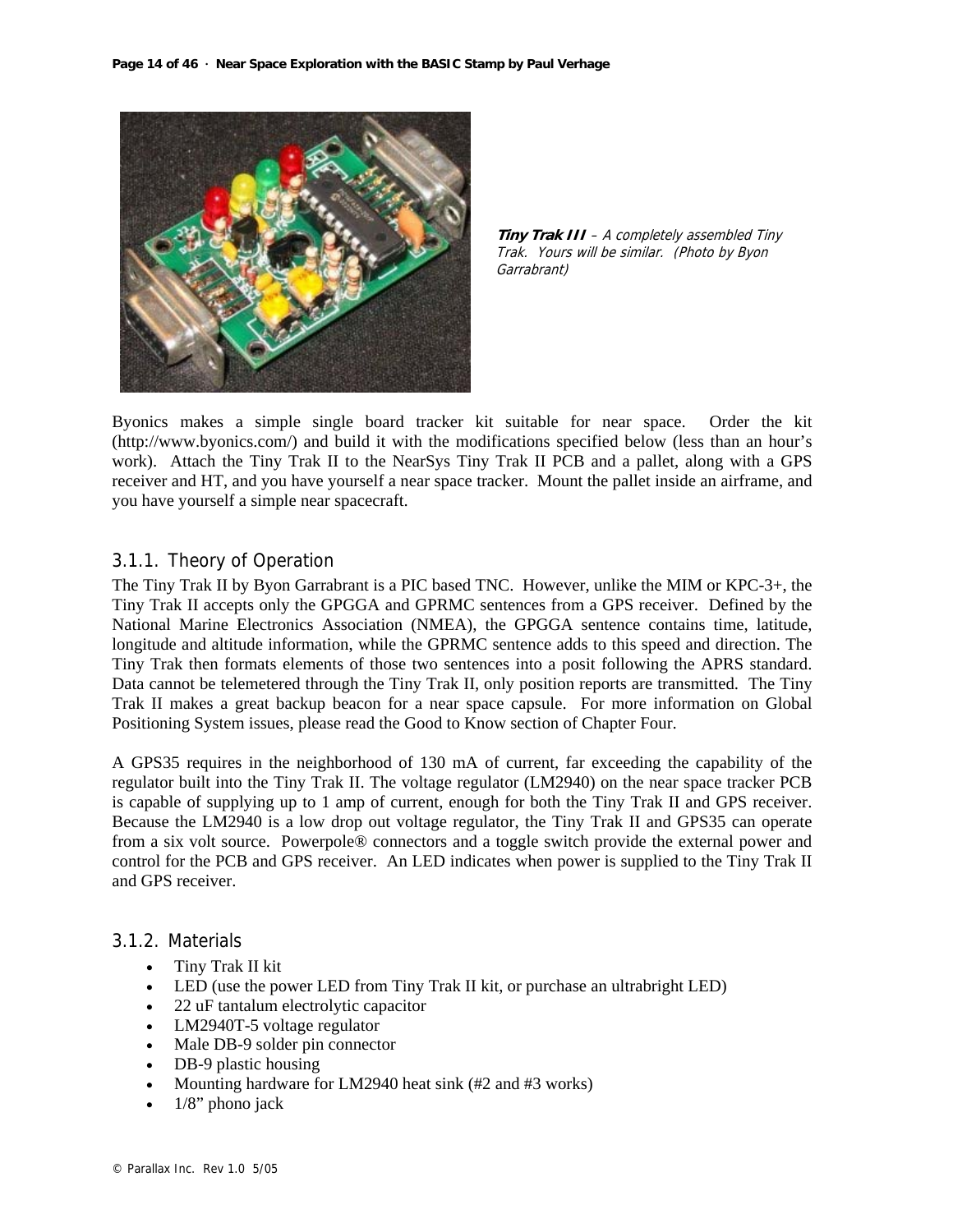



Byonics makes a simple single board tracker kit suitable for near space. Order the kit (http://www.byonics.com/) and build it with the modifications specified below (less than an hour's work). Attach the Tiny Trak II to the NearSys Tiny Trak II PCB and a pallet, along with a GPS receiver and HT, and you have yourself a near space tracker. Mount the pallet inside an airframe, and you have yourself a simple near spacecraft.

## 3.1.1. Theory of Operation

The Tiny Trak II by Byon Garrabrant is a PIC based TNC. However, unlike the MIM or KPC-3+, the Tiny Trak II accepts only the GPGGA and GPRMC sentences from a GPS receiver. Defined by the National Marine Electronics Association (NMEA), the GPGGA sentence contains time, latitude, longitude and altitude information, while the GPRMC sentence adds to this speed and direction. The Tiny Trak then formats elements of those two sentences into a posit following the APRS standard. Data cannot be telemetered through the Tiny Trak II, only position reports are transmitted. The Tiny Trak II makes a great backup beacon for a near space capsule. For more information on Global Positioning System issues, please read the Good to Know section of Chapter Four.

A GPS35 requires in the neighborhood of 130 mA of current, far exceeding the capability of the regulator built into the Tiny Trak II. The voltage regulator (LM2940) on the near space tracker PCB is capable of supplying up to 1 amp of current, enough for both the Tiny Trak II and GPS receiver. Because the LM2940 is a low drop out voltage regulator, the Tiny Trak II and GPS35 can operate from a six volt source. Powerpole® connectors and a toggle switch provide the external power and control for the PCB and GPS receiver. An LED indicates when power is supplied to the Tiny Trak II and GPS receiver.

#### 3.1.2. Materials

- Tiny Trak II kit
- LED (use the power LED from Tiny Trak II kit, or purchase an ultrabright LED)
- 22 uF tantalum electrolytic capacitor
- LM2940T-5 voltage regulator
- Male DB-9 solder pin connector
- DB-9 plastic housing
- Mounting hardware for LM2940 heat sink (#2 and #3 works)
- $1/8$ " phono jack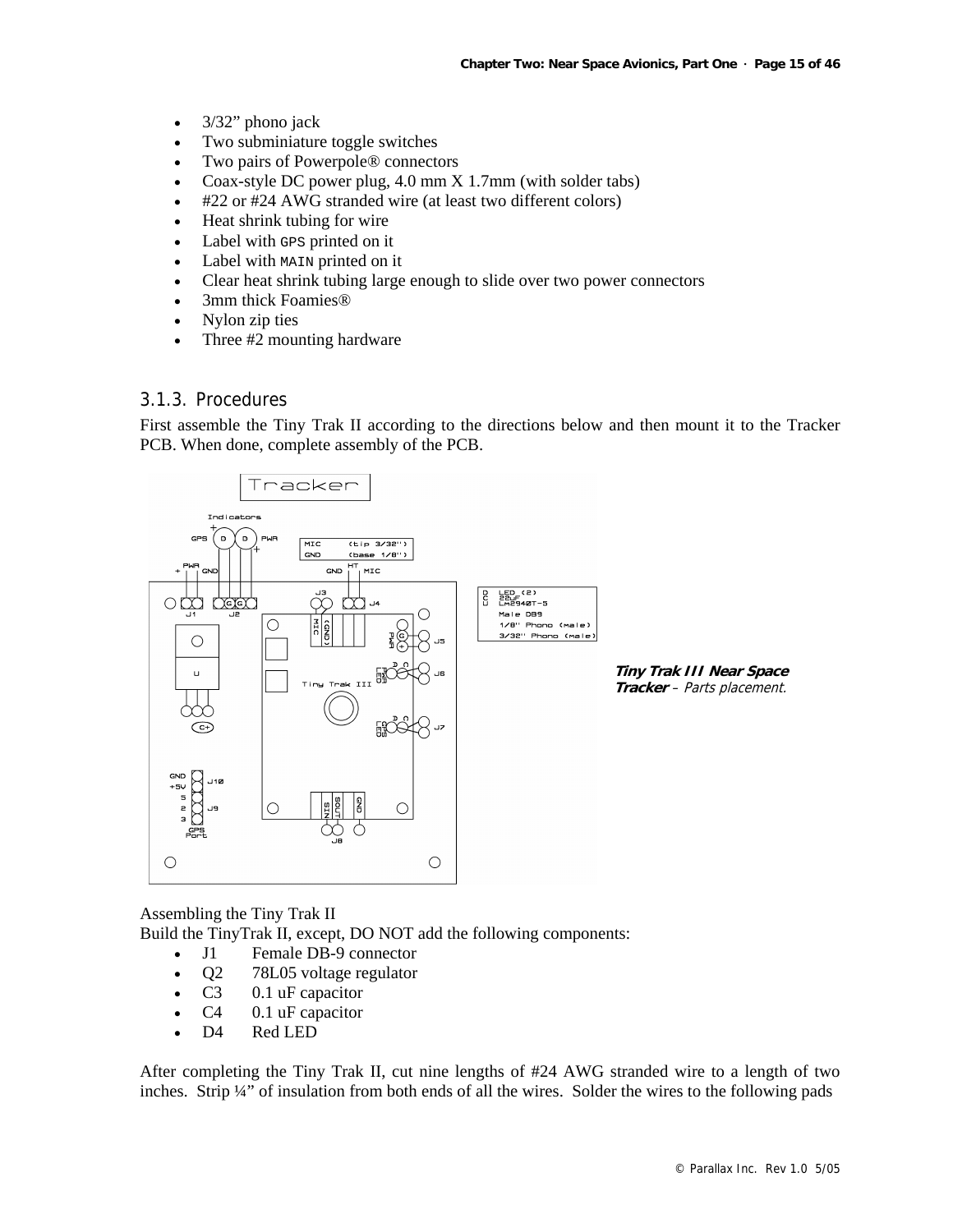- 3/32" phono jack
- Two subminiature toggle switches
- Two pairs of Powerpole® connectors
- Coax-style DC power plug, 4.0 mm X 1.7mm (with solder tabs)
- #22 or #24 AWG stranded wire (at least two different colors)
- Heat shrink tubing for wire
- Label with GPS printed on it
- Label with MAIN printed on it
- Clear heat shrink tubing large enough to slide over two power connectors
- 3mm thick Foamies<sup>®</sup>
- Nylon zip ties
- Three #2 mounting hardware

## 3.1.3. Procedures

First assemble the Tiny Trak II according to the directions below and then mount it to the Tracker PCB. When done, complete assembly of the PCB.



**Tiny Trak III Near Space Tracker** – Parts placement.

Assembling the Tiny Trak II Build the TinyTrak II, except, DO NOT add the following components:

- J1 Female DB-9 connector
- Q2 78L05 voltage regulator
- C3 0.1 uF capacitor
- C4 0.1 uF capacitor
- D4 Red LED

After completing the Tiny Trak II, cut nine lengths of #24 AWG stranded wire to a length of two inches. Strip ¼" of insulation from both ends of all the wires. Solder the wires to the following pads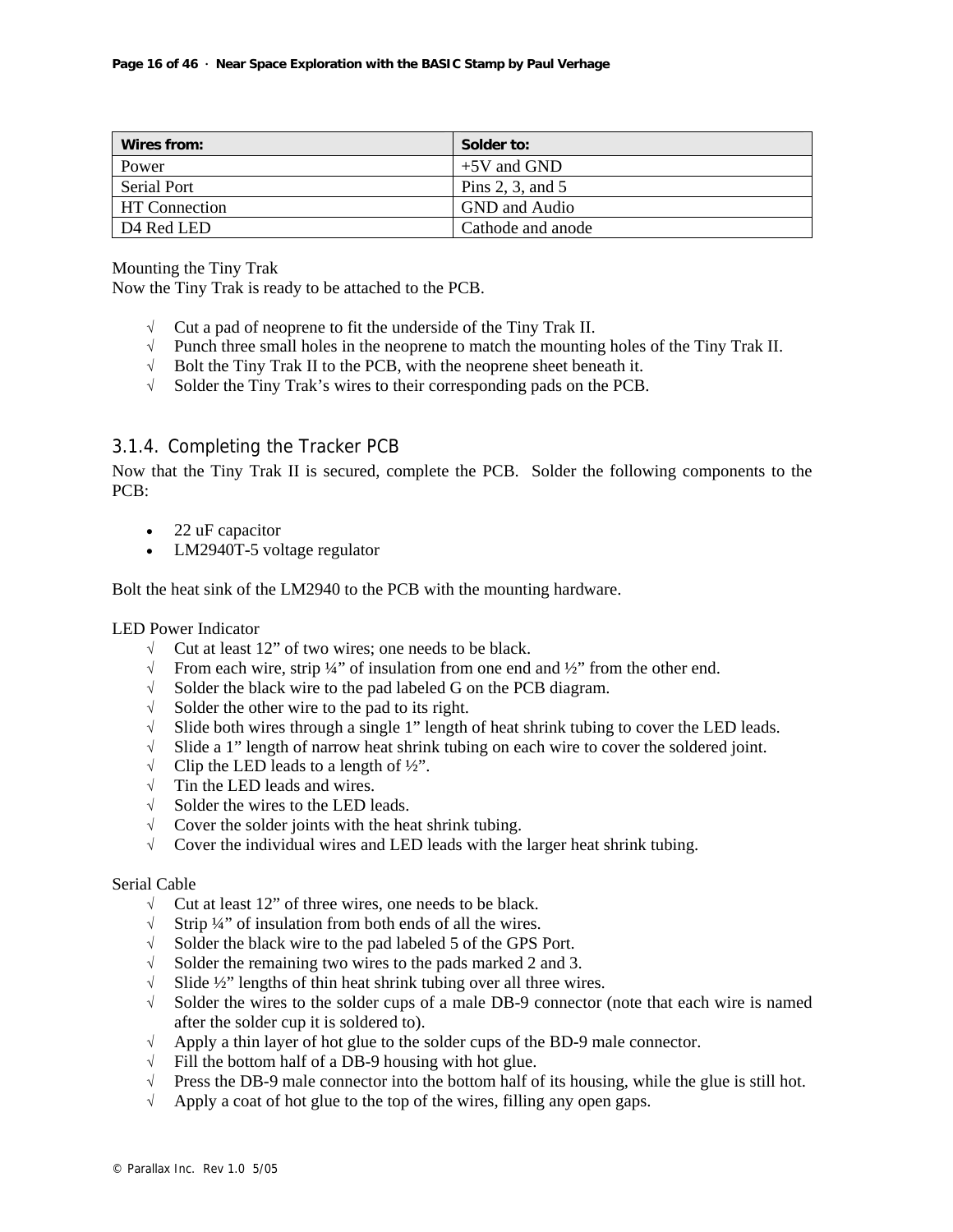| Wires from:          | Solder to:         |
|----------------------|--------------------|
| Power                | $+5V$ and GND      |
| Serial Port          | Pins 2, 3, and $5$ |
| <b>HT</b> Connection | GND and Audio      |
| D4 Red LED           | Cathode and anode  |

Mounting the Tiny Trak

Now the Tiny Trak is ready to be attached to the PCB.

- $\sqrt{\phantom{a}}$  Cut a pad of neoprene to fit the underside of the Tiny Trak II.
- $\sqrt{\phantom{a}}$  Punch three small holes in the neoprene to match the mounting holes of the Tiny Trak II.
- $\sqrt{\phantom{a}}$  Bolt the Tiny Trak II to the PCB, with the neoprene sheet beneath it.
- √ Solder the Tiny Trak's wires to their corresponding pads on the PCB.

## 3.1.4. Completing the Tracker PCB

Now that the Tiny Trak II is secured, complete the PCB. Solder the following components to the PCB:

- 22 uF capacitor
- LM2940T-5 voltage regulator

Bolt the heat sink of the LM2940 to the PCB with the mounting hardware.

#### LED Power Indicator

- $\sqrt{\phantom{a}}$  Cut at least 12" of two wires; one needs to be black.
- √ From each wire, strip ¼" of insulation from one end and ½" from the other end.
- √ Solder the black wire to the pad labeled G on the PCB diagram.
- √ Solder the other wire to the pad to its right.
- √ Slide both wires through a single 1" length of heat shrink tubing to cover the LED leads.
- √ Slide a 1" length of narrow heat shrink tubing on each wire to cover the soldered joint.
- $\sqrt{\phantom{a}}$  Clip the LED leads to a length of ½".
- $\sqrt{\phantom{a}}$  Tin the LED leads and wires.
- √ Solder the wires to the LED leads.
- $\sqrt{\phantom{a}}$  Cover the solder joints with the heat shrink tubing.
- √ Cover the individual wires and LED leads with the larger heat shrink tubing.

#### Serial Cable

- $\sqrt{\phantom{a}}$  Cut at least 12" of three wires, one needs to be black.
- √ Strip ¼" of insulation from both ends of all the wires.
- √ Solder the black wire to the pad labeled 5 of the GPS Port.
- √ Solder the remaining two wires to the pads marked 2 and 3.
- √ Slide ½" lengths of thin heat shrink tubing over all three wires.
- √ Solder the wires to the solder cups of a male DB-9 connector (note that each wire is named after the solder cup it is soldered to).
- √ Apply a thin layer of hot glue to the solder cups of the BD-9 male connector.
- $\sqrt{\phantom{a}}$  Fill the bottom half of a DB-9 housing with hot glue.
- √ Press the DB-9 male connector into the bottom half of its housing, while the glue is still hot.
- $\sqrt{\phantom{a}}$  Apply a coat of hot glue to the top of the wires, filling any open gaps.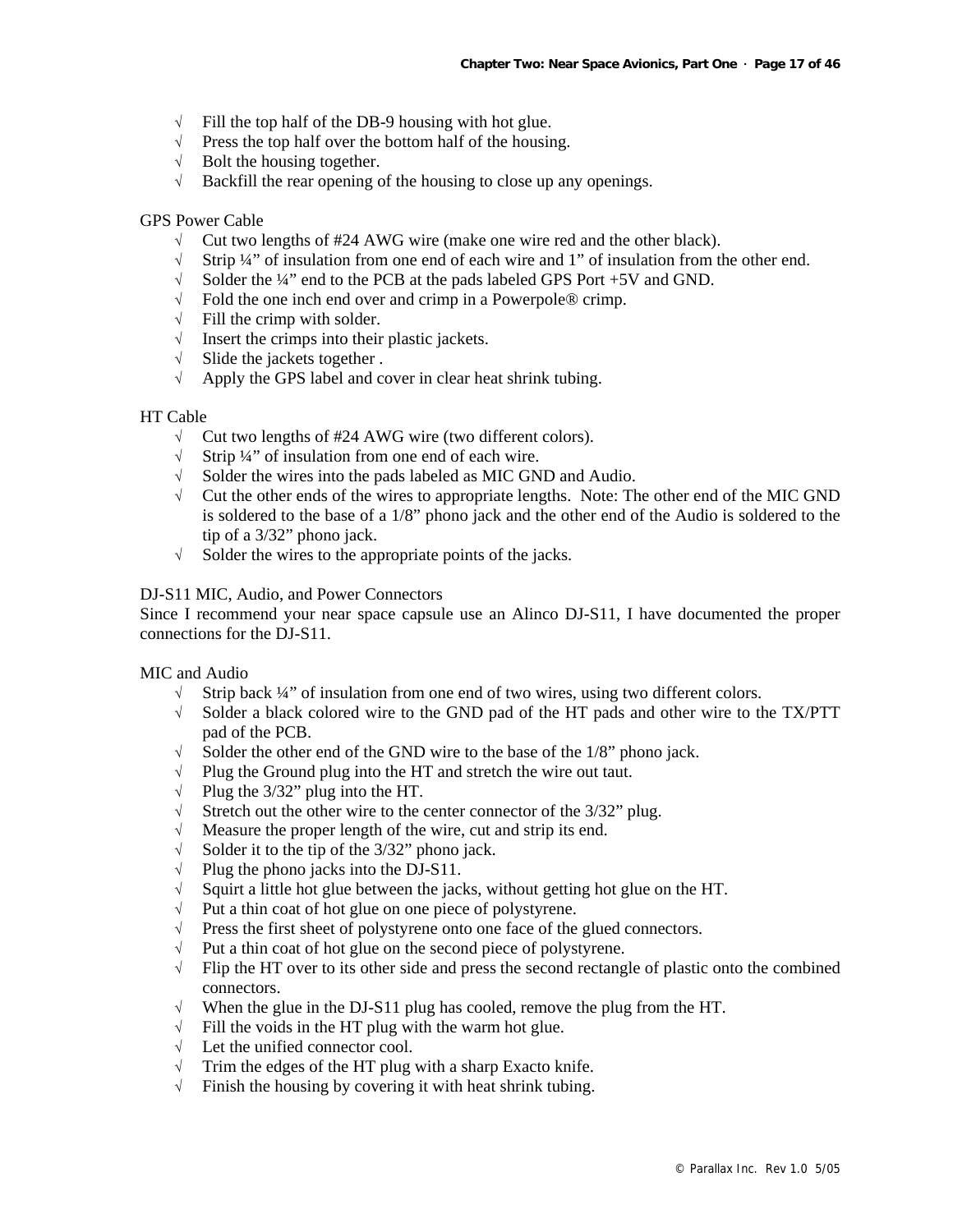- $\sqrt{\phantom{a}}$  Fill the top half of the DB-9 housing with hot glue.
- √ Press the top half over the bottom half of the housing.
- $\sqrt{\phantom{a}}$  Bolt the housing together.
- √ Backfill the rear opening of the housing to close up any openings.

#### GPS Power Cable

- √ Cut two lengths of #24 AWG wire (make one wire red and the other black).
- Strip  $\frac{1}{4}$ " of insulation from one end of each wire and 1" of insulation from the other end.
- √ Solder the ¼" end to the PCB at the pads labeled GPS Port +5V and GND.
- √ Fold the one inch end over and crimp in a Powerpole® crimp.
- $\sqrt{\phantom{a}}$  Fill the crimp with solder.
- √ Insert the crimps into their plastic jackets.
- √ Slide the jackets together .
- √ Apply the GPS label and cover in clear heat shrink tubing.

#### HT Cable

- √ Cut two lengths of #24 AWG wire (two different colors).
- √ Strip ¼" of insulation from one end of each wire.
- √ Solder the wires into the pads labeled as MIC GND and Audio.
- $\sqrt{\phantom{a}}$  Cut the other ends of the wires to appropriate lengths. Note: The other end of the MIC GND is soldered to the base of a 1/8" phono jack and the other end of the Audio is soldered to the tip of a 3/32" phono jack.
- √ Solder the wires to the appropriate points of the jacks.

#### DJ-S11 MIC, Audio, and Power Connectors

Since I recommend your near space capsule use an Alinco DJ-S11, I have documented the proper connections for the DJ-S11.

#### MIC and Audio

- √ Strip back ¼" of insulation from one end of two wires, using two different colors.
- √ Solder a black colored wire to the GND pad of the HT pads and other wire to the TX/PTT pad of the PCB.
- $\sqrt{\ }$  Solder the other end of the GND wire to the base of the 1/8" phono jack.<br>  $\sqrt{\ }$  Plug the Ground plug into the HT and stretch the wire out taut.
- Plug the Ground plug into the HT and stretch the wire out taut.
- √ Plug the 3/32" plug into the HT.
- $\sqrt{\phantom{a}}$  Stretch out the other wire to the center connector of the 3/32" plug.
- √ Measure the proper length of the wire, cut and strip its end.
- $\sqrt{\phantom{a}}$  Solder it to the tip of the 3/32" phono jack.
- $\sqrt{\phantom{a}}$  Plug the phono jacks into the DJ-S11.
- √ Squirt a little hot glue between the jacks, without getting hot glue on the HT.
- √ Put a thin coat of hot glue on one piece of polystyrene.
- $\sqrt{\phantom{a}}$  Press the first sheet of polystyrene onto one face of the glued connectors.
- √ Put a thin coat of hot glue on the second piece of polystyrene.
- √ Flip the HT over to its other side and press the second rectangle of plastic onto the combined connectors.
- √ When the glue in the DJ-S11 plug has cooled, remove the plug from the HT.
- $\sqrt{\phantom{a}}$  Fill the voids in the HT plug with the warm hot glue.
- √ Let the unified connector cool.
- $\sqrt{\phantom{a}}$  Trim the edges of the HT plug with a sharp Exacto knife.
- √ Finish the housing by covering it with heat shrink tubing.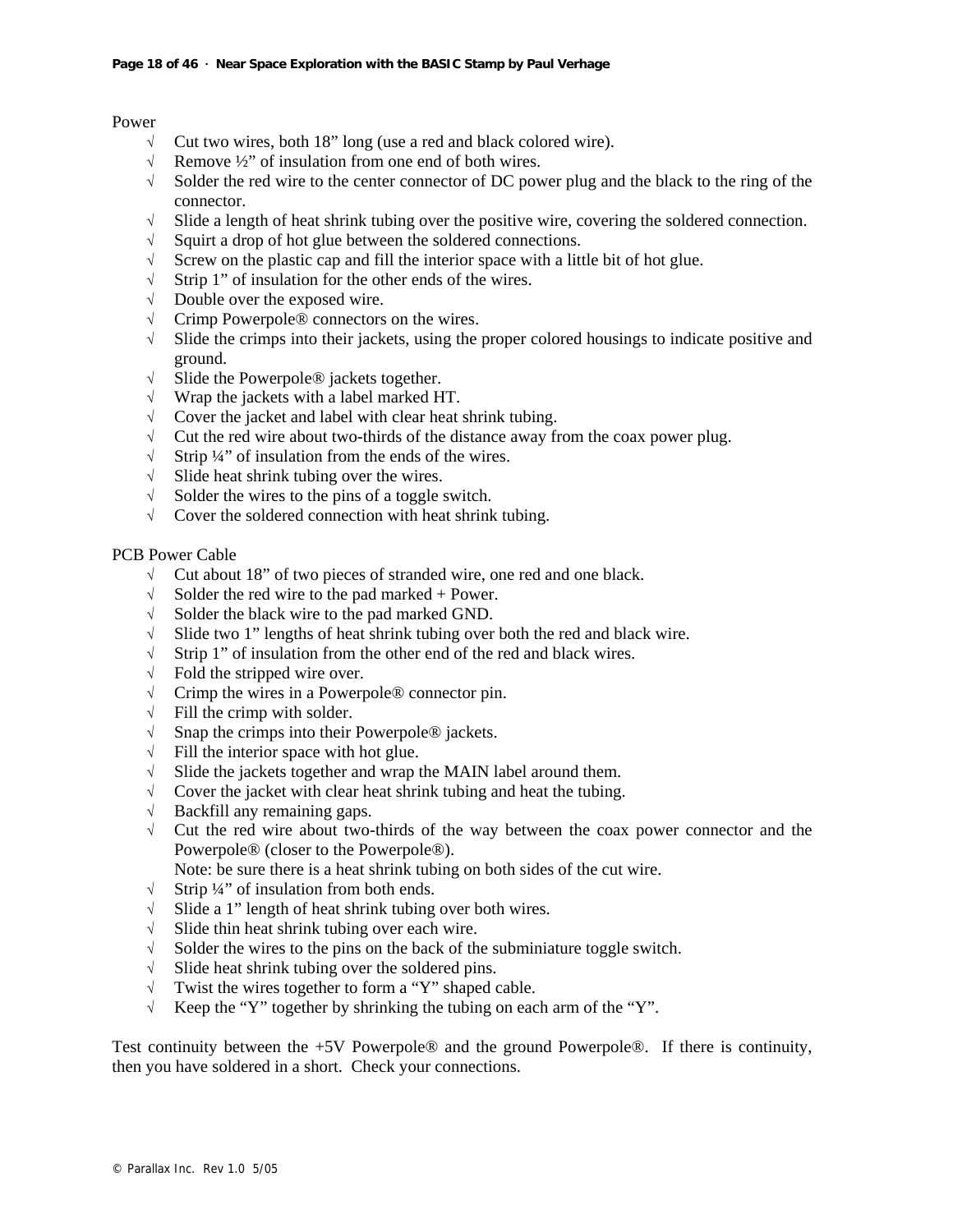#### Power

- √ Cut two wires, both 18" long (use a red and black colored wire).
- $\sqrt{\phantom{a}}$  Remove ½" of insulation from one end of both wires.<br>  $\sqrt{\phantom{a}}$  Solder the red wire to the center connector of DC pow
- Solder the red wire to the center connector of DC power plug and the black to the ring of the connector.
- √ Slide a length of heat shrink tubing over the positive wire, covering the soldered connection.
- √ Squirt a drop of hot glue between the soldered connections.
- √ Screw on the plastic cap and fill the interior space with a little bit of hot glue.
- √ Strip 1" of insulation for the other ends of the wires.
- √ Double over the exposed wire.
- √ Crimp Powerpole® connectors on the wires.
- $\sqrt{\phantom{a}}$  Slide the crimps into their jackets, using the proper colored housings to indicate positive and ground.
- √ Slide the Powerpole® jackets together.
- √ Wrap the jackets with a label marked HT.
- √ Cover the jacket and label with clear heat shrink tubing.
- √ Cut the red wire about two-thirds of the distance away from the coax power plug.
- $\sqrt{\phantom{a}}$  Strip ¼" of insulation from the ends of the wires.
- √ Slide heat shrink tubing over the wires.
- √ Solder the wires to the pins of a toggle switch.
- √ Cover the soldered connection with heat shrink tubing.

#### PCB Power Cable

- √ Cut about 18" of two pieces of stranded wire, one red and one black.
- $\sqrt{\phantom{a}}$  Solder the red wire to the pad marked + Power.
- $\sqrt{\phantom{a}}$  Solder the black wire to the pad marked GND.
- √ Slide two 1" lengths of heat shrink tubing over both the red and black wire.
- √ Strip 1" of insulation from the other end of the red and black wires.
- √ Fold the stripped wire over.
- √ Crimp the wires in a Powerpole® connector pin.
- $\sqrt{\ }$  Fill the crimp with solder.
- √ Snap the crimps into their Powerpole® jackets.
- $\sqrt{\ }$  Fill the interior space with hot glue.
- √ Slide the jackets together and wrap the MAIN label around them.
- √ Cover the jacket with clear heat shrink tubing and heat the tubing.
- √ Backfill any remaining gaps.
- √ Cut the red wire about two-thirds of the way between the coax power connector and the Powerpole® (closer to the Powerpole®).
	- Note: be sure there is a heat shrink tubing on both sides of the cut wire.
- √ Strip ¼" of insulation from both ends.
- √ Slide a 1" length of heat shrink tubing over both wires.
- √ Slide thin heat shrink tubing over each wire.
- $\sqrt{\phantom{a}}$  Solder the wires to the pins on the back of the subminiature toggle switch.
- √ Slide heat shrink tubing over the soldered pins.
- √ Twist the wires together to form a "Y" shaped cable.
- √ Keep the "Y" together by shrinking the tubing on each arm of the "Y".

Test continuity between the +5V Powerpole® and the ground Powerpole®. If there is continuity, then you have soldered in a short. Check your connections.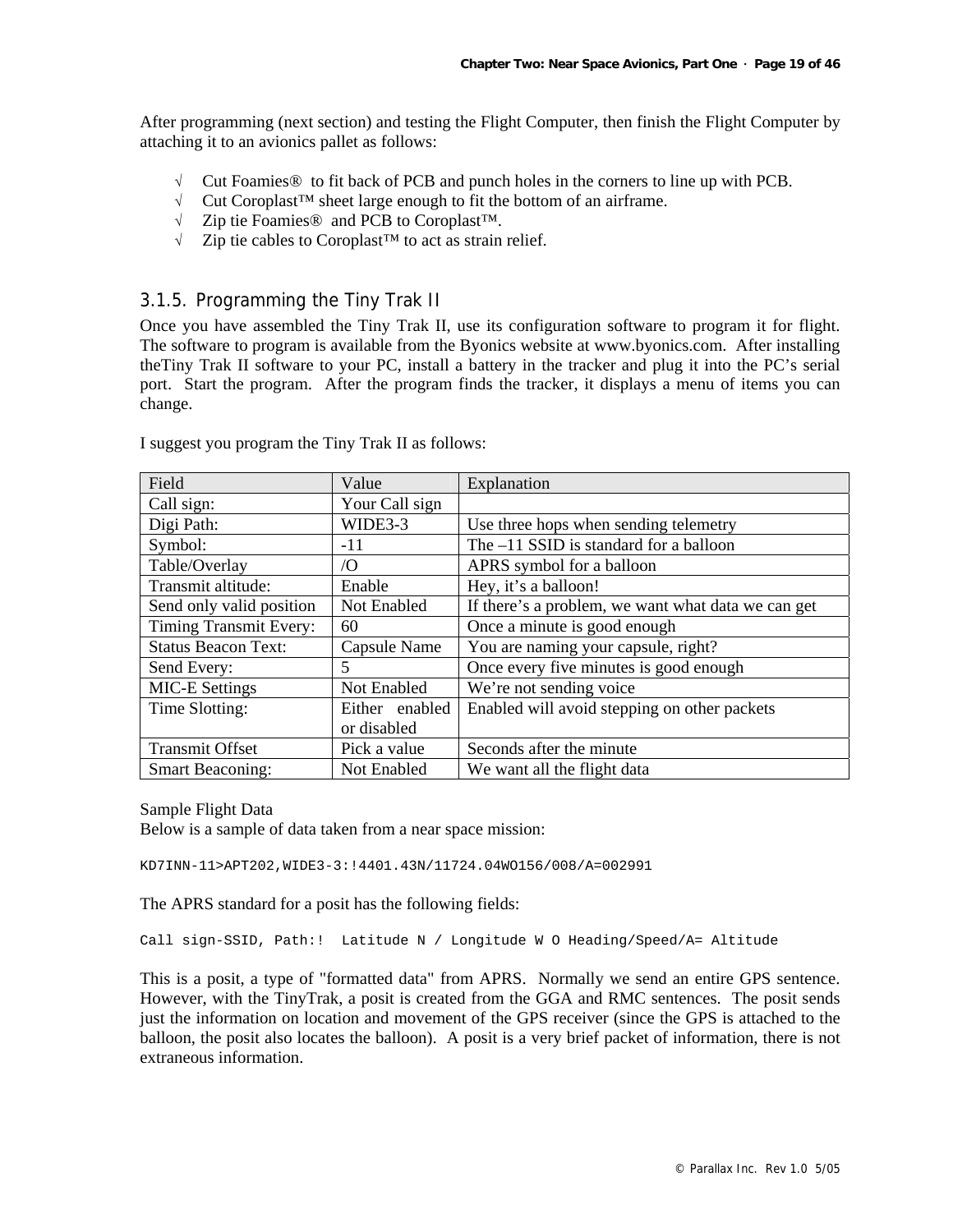After programming (next section) and testing the Flight Computer, then finish the Flight Computer by attaching it to an avionics pallet as follows:

- √ Cut Foamies® to fit back of PCB and punch holes in the corners to line up with PCB.
- √ Cut Coroplast™ sheet large enough to fit the bottom of an airframe.
- √ Zip tie Foamies® and PCB to Coroplast™.
- √ Zip tie cables to Coroplast™ to act as strain relief.

## 3.1.5. Programming the Tiny Trak II

Once you have assembled the Tiny Trak II, use its configuration software to program it for flight. The software to program is available from the Byonics website at www.byonics.com. After installing theTiny Trak II software to your PC, install a battery in the tracker and plug it into the PC's serial port. Start the program. After the program finds the tracker, it displays a menu of items you can change.

| Field                      | Value          | Explanation                                        |
|----------------------------|----------------|----------------------------------------------------|
| Call sign:                 | Your Call sign |                                                    |
| Digi Path:                 | WIDE3-3        | Use three hops when sending telemetry              |
| Symbol:                    | $-11$          | The $-11$ SSID is standard for a balloon           |
| Table/Overlay              | $\overline{O}$ | APRS symbol for a balloon                          |
| Transmit altitude:         | Enable         | Hey, it's a balloon!                               |
| Send only valid position   | Not Enabled    | If there's a problem, we want what data we can get |
| Timing Transmit Every:     | 60             | Once a minute is good enough                       |
| <b>Status Beacon Text:</b> | Capsule Name   | You are naming your capsule, right?                |
| Send Every:                | 5              | Once every five minutes is good enough             |
| <b>MIC-E Settings</b>      | Not Enabled    | We're not sending voice                            |
| Time Slotting:             | Either enabled | Enabled will avoid stepping on other packets       |
|                            | or disabled    |                                                    |
| <b>Transmit Offset</b>     | Pick a value   | Seconds after the minute                           |
| <b>Smart Beaconing:</b>    | Not Enabled    | We want all the flight data                        |

I suggest you program the Tiny Trak II as follows:

Sample Flight Data

Below is a sample of data taken from a near space mission:

KD7INN-11>APT202,WIDE3-3:!4401.43N/11724.04WO156/008/A=002991

The APRS standard for a posit has the following fields:

Call sign-SSID, Path:! Latitude N / Longitude W O Heading/Speed/A= Altitude

This is a posit, a type of "formatted data" from APRS. Normally we send an entire GPS sentence. However, with the TinyTrak, a posit is created from the GGA and RMC sentences. The posit sends just the information on location and movement of the GPS receiver (since the GPS is attached to the balloon, the posit also locates the balloon). A posit is a very brief packet of information, there is not extraneous information.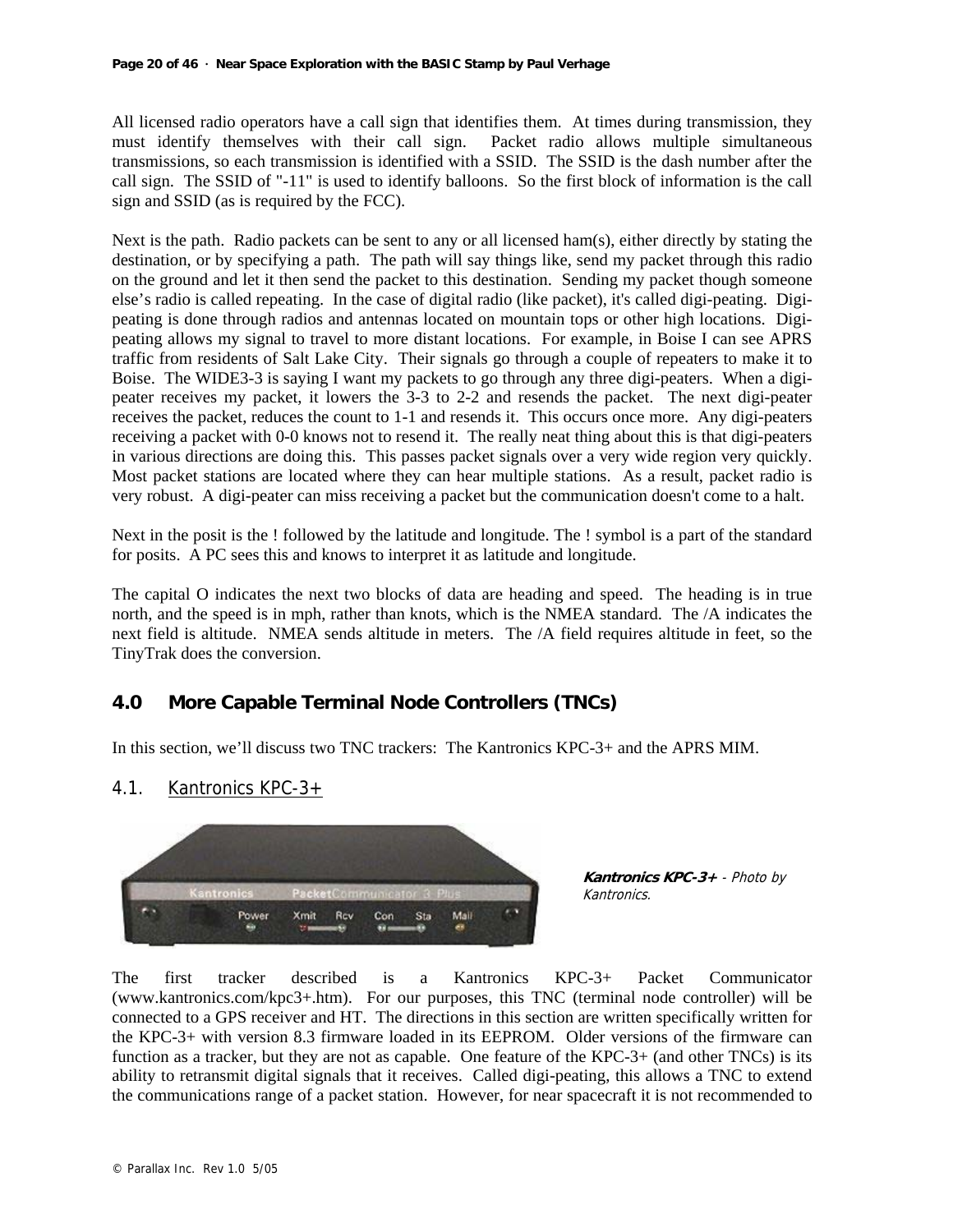All licensed radio operators have a call sign that identifies them. At times during transmission, they must identify themselves with their call sign. Packet radio allows multiple simultaneous transmissions, so each transmission is identified with a SSID. The SSID is the dash number after the call sign. The SSID of "-11" is used to identify balloons. So the first block of information is the call sign and SSID (as is required by the FCC).

Next is the path. Radio packets can be sent to any or all licensed ham(s), either directly by stating the destination, or by specifying a path. The path will say things like, send my packet through this radio on the ground and let it then send the packet to this destination. Sending my packet though someone else's radio is called repeating. In the case of digital radio (like packet), it's called digi-peating. Digipeating is done through radios and antennas located on mountain tops or other high locations. Digipeating allows my signal to travel to more distant locations. For example, in Boise I can see APRS traffic from residents of Salt Lake City. Their signals go through a couple of repeaters to make it to Boise. The WIDE3-3 is saying I want my packets to go through any three digi-peaters. When a digipeater receives my packet, it lowers the 3-3 to 2-2 and resends the packet. The next digi-peater receives the packet, reduces the count to 1-1 and resends it. This occurs once more. Any digi-peaters receiving a packet with 0-0 knows not to resend it. The really neat thing about this is that digi-peaters in various directions are doing this. This passes packet signals over a very wide region very quickly. Most packet stations are located where they can hear multiple stations. As a result, packet radio is very robust. A digi-peater can miss receiving a packet but the communication doesn't come to a halt.

Next in the posit is the ! followed by the latitude and longitude. The ! symbol is a part of the standard for posits. A PC sees this and knows to interpret it as latitude and longitude.

The capital O indicates the next two blocks of data are heading and speed. The heading is in true north, and the speed is in mph, rather than knots, which is the NMEA standard. The /A indicates the next field is altitude. NMEA sends altitude in meters. The /A field requires altitude in feet, so the TinyTrak does the conversion.

## **4.0 More Capable Terminal Node Controllers (TNCs)**

In this section, we'll discuss two TNC trackers: The Kantronics KPC-3+ and the APRS MIM.

## 4.1. Kantronics KPC-3+



**Kantronics KPC-3+** - Photo by Kantronics.

The first tracker described is a Kantronics KPC-3+ Packet Communicator (www.kantronics.com/kpc3+.htm). For our purposes, this TNC (terminal node controller) will be connected to a GPS receiver and HT. The directions in this section are written specifically written for the KPC-3+ with version 8.3 firmware loaded in its EEPROM. Older versions of the firmware can function as a tracker, but they are not as capable. One feature of the KPC-3+ (and other TNCs) is its ability to retransmit digital signals that it receives. Called digi-peating, this allows a TNC to extend the communications range of a packet station. However, for near spacecraft it is not recommended to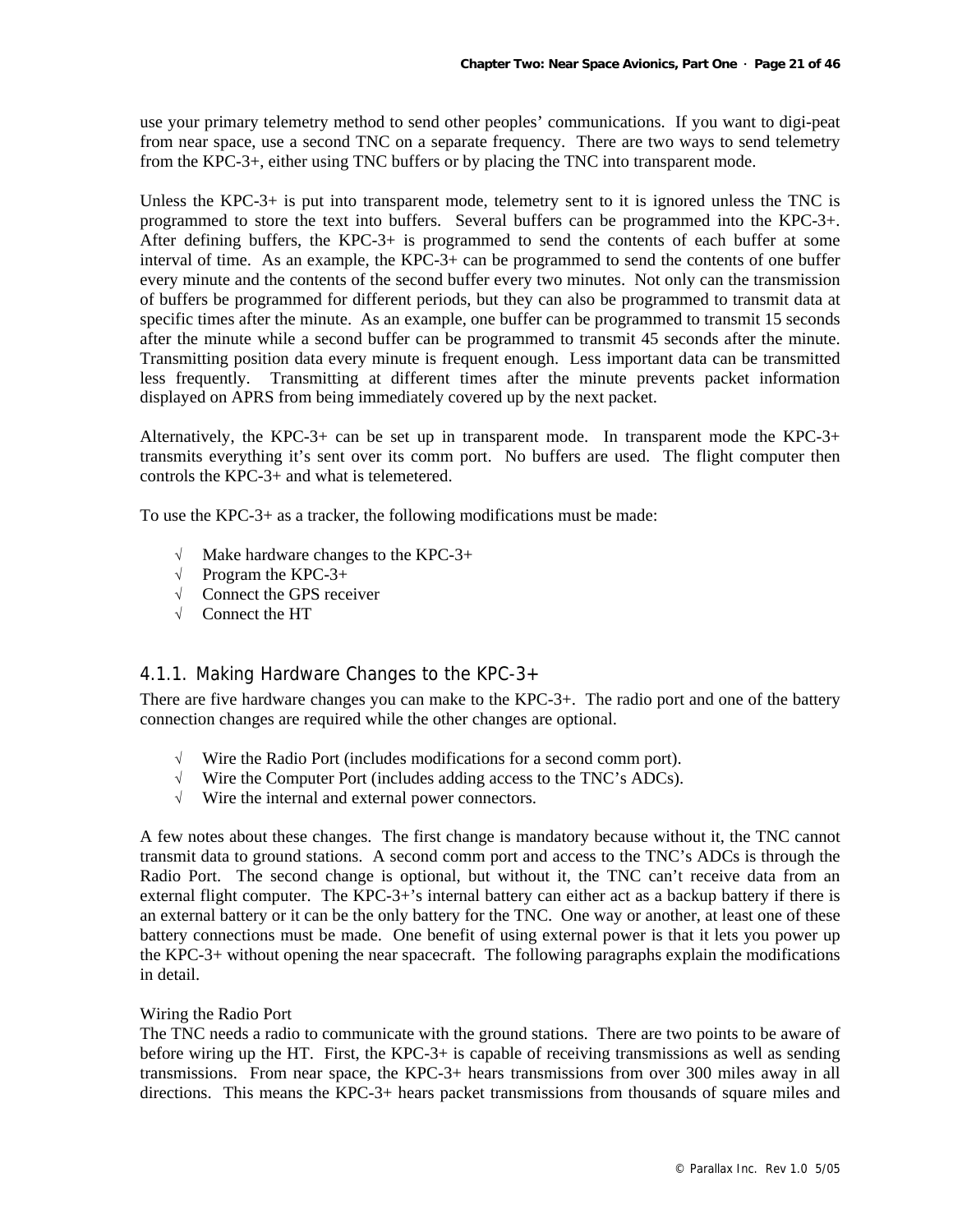use your primary telemetry method to send other peoples' communications. If you want to digi-peat from near space, use a second TNC on a separate frequency. There are two ways to send telemetry from the KPC-3+, either using TNC buffers or by placing the TNC into transparent mode.

Unless the KPC-3+ is put into transparent mode, telemetry sent to it is ignored unless the TNC is programmed to store the text into buffers. Several buffers can be programmed into the KPC-3+. After defining buffers, the KPC-3+ is programmed to send the contents of each buffer at some interval of time. As an example, the KPC-3+ can be programmed to send the contents of one buffer every minute and the contents of the second buffer every two minutes. Not only can the transmission of buffers be programmed for different periods, but they can also be programmed to transmit data at specific times after the minute. As an example, one buffer can be programmed to transmit 15 seconds after the minute while a second buffer can be programmed to transmit 45 seconds after the minute. Transmitting position data every minute is frequent enough. Less important data can be transmitted less frequently. Transmitting at different times after the minute prevents packet information displayed on APRS from being immediately covered up by the next packet.

Alternatively, the KPC-3+ can be set up in transparent mode. In transparent mode the KPC-3+ transmits everything it's sent over its comm port. No buffers are used. The flight computer then controls the KPC-3+ and what is telemetered.

To use the KPC-3+ as a tracker, the following modifications must be made:

- Make hardware changes to the KPC-3+
- √ Program the KPC-3+
- √ Connect the GPS receiver
- √ Connect the HT

## 4.1.1. Making Hardware Changes to the KPC-3+

There are five hardware changes you can make to the KPC-3+. The radio port and one of the battery connection changes are required while the other changes are optional.

- √ Wire the Radio Port (includes modifications for a second comm port).
- √ Wire the Computer Port (includes adding access to the TNC's ADCs).
- √ Wire the internal and external power connectors.

A few notes about these changes. The first change is mandatory because without it, the TNC cannot transmit data to ground stations. A second comm port and access to the TNC's ADCs is through the Radio Port. The second change is optional, but without it, the TNC can't receive data from an external flight computer. The KPC-3+'s internal battery can either act as a backup battery if there is an external battery or it can be the only battery for the TNC. One way or another, at least one of these battery connections must be made. One benefit of using external power is that it lets you power up the KPC-3+ without opening the near spacecraft. The following paragraphs explain the modifications in detail.

#### Wiring the Radio Port

The TNC needs a radio to communicate with the ground stations. There are two points to be aware of before wiring up the HT. First, the KPC-3+ is capable of receiving transmissions as well as sending transmissions. From near space, the KPC-3+ hears transmissions from over 300 miles away in all directions. This means the KPC-3+ hears packet transmissions from thousands of square miles and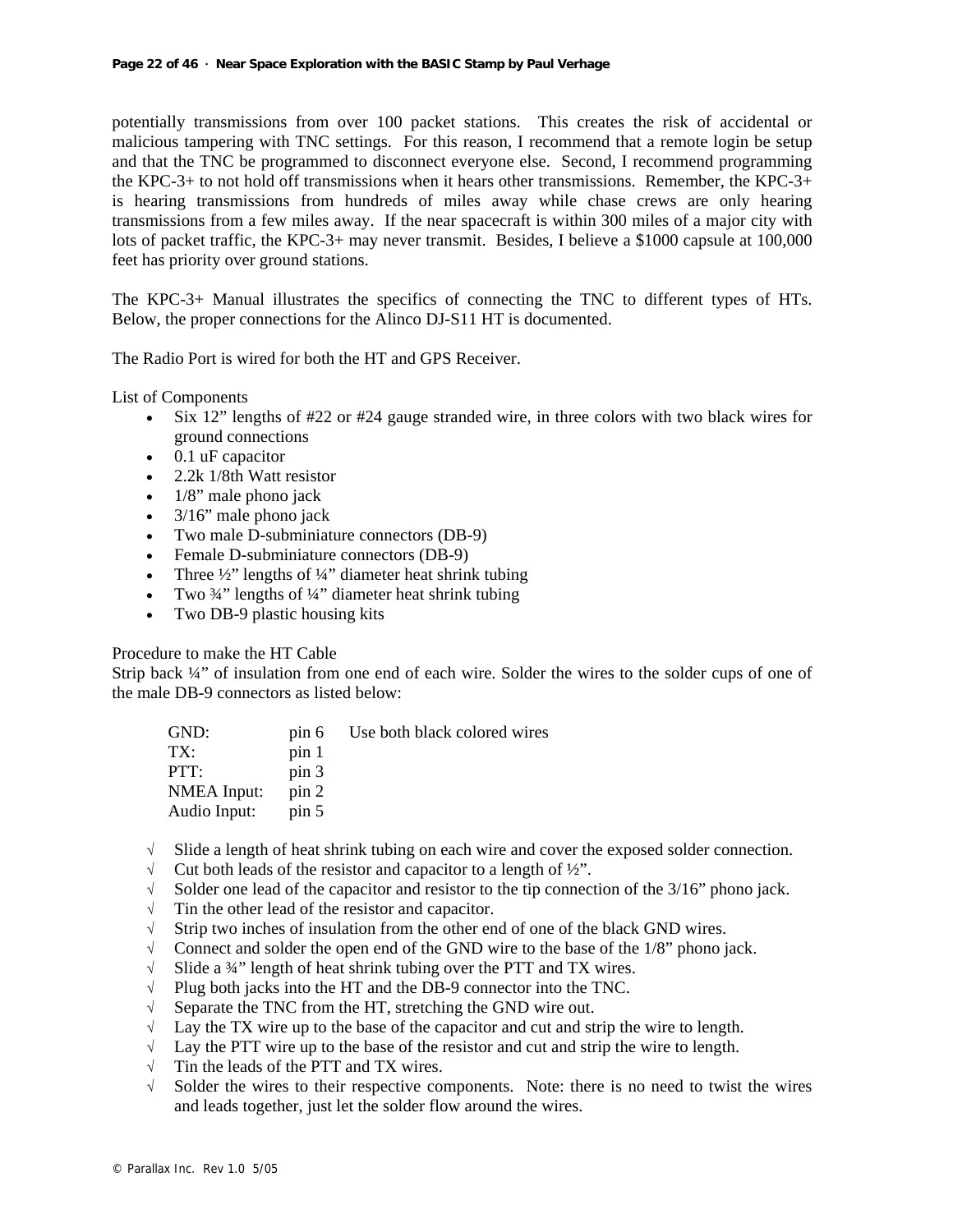potentially transmissions from over 100 packet stations. This creates the risk of accidental or malicious tampering with TNC settings. For this reason, I recommend that a remote login be setup and that the TNC be programmed to disconnect everyone else. Second, I recommend programming the KPC-3+ to not hold off transmissions when it hears other transmissions. Remember, the KPC-3+ is hearing transmissions from hundreds of miles away while chase crews are only hearing transmissions from a few miles away. If the near spacecraft is within 300 miles of a major city with lots of packet traffic, the KPC-3+ may never transmit. Besides, I believe a \$1000 capsule at 100,000 feet has priority over ground stations.

The KPC-3+ Manual illustrates the specifics of connecting the TNC to different types of HTs. Below, the proper connections for the Alinco DJ-S11 HT is documented.

The Radio Port is wired for both the HT and GPS Receiver.

List of Components

- Six 12" lengths of #22 or #24 gauge stranded wire, in three colors with two black wires for ground connections
- 0.1 uF capacitor
- 2.2k 1/8th Watt resistor
- 1/8" male phono jack
- $3/16$ " male phono jack
- Two male D-subminiature connectors (DB-9)
- Female D-subminiature connectors (DB-9)
- Three  $\frac{1}{2}$  lengths of  $\frac{1}{4}$  diameter heat shrink tubing
- Two  $\frac{3}{4}$ " lengths of  $\frac{1}{4}$ " diameter heat shrink tubing
- Two DB-9 plastic housing kits

#### Procedure to make the HT Cable

Strip back ¼" of insulation from one end of each wire. Solder the wires to the solder cups of one of the male DB-9 connectors as listed below:

| GND:         | pin 6 | Use both black colored wires |
|--------------|-------|------------------------------|
| $TX^{\cdot}$ | pin 1 |                              |
| PTT:         | pin 3 |                              |
| NMEA Input:  | pin 2 |                              |
| Audio Input: | pin 5 |                              |

- √ Slide a length of heat shrink tubing on each wire and cover the exposed solder connection.
- $\sqrt{\phantom{a}}$  Cut both leads of the resistor and capacitor to a length of  $\frac{1}{2}$ ".
- √ Solder one lead of the capacitor and resistor to the tip connection of the 3/16" phono jack.
- √ Tin the other lead of the resistor and capacitor.
- $\sqrt{\phantom{a}}$  Strip two inches of insulation from the other end of one of the black GND wires.
- $\sqrt{\phantom{a}}$  Connect and solder the open end of the GND wire to the base of the 1/8" phono jack.
- √ Slide a ¾" length of heat shrink tubing over the PTT and TX wires.
- √ Plug both jacks into the HT and the DB-9 connector into the TNC.
- √ Separate the TNC from the HT, stretching the GND wire out.
- $\sqrt{\phantom{a}}$  Lay the TX wire up to the base of the capacitor and cut and strip the wire to length.
- $\sqrt{\phantom{a}}$  Lay the PTT wire up to the base of the resistor and cut and strip the wire to length.
- √ Tin the leads of the PTT and TX wires.
- √ Solder the wires to their respective components. Note: there is no need to twist the wires and leads together, just let the solder flow around the wires.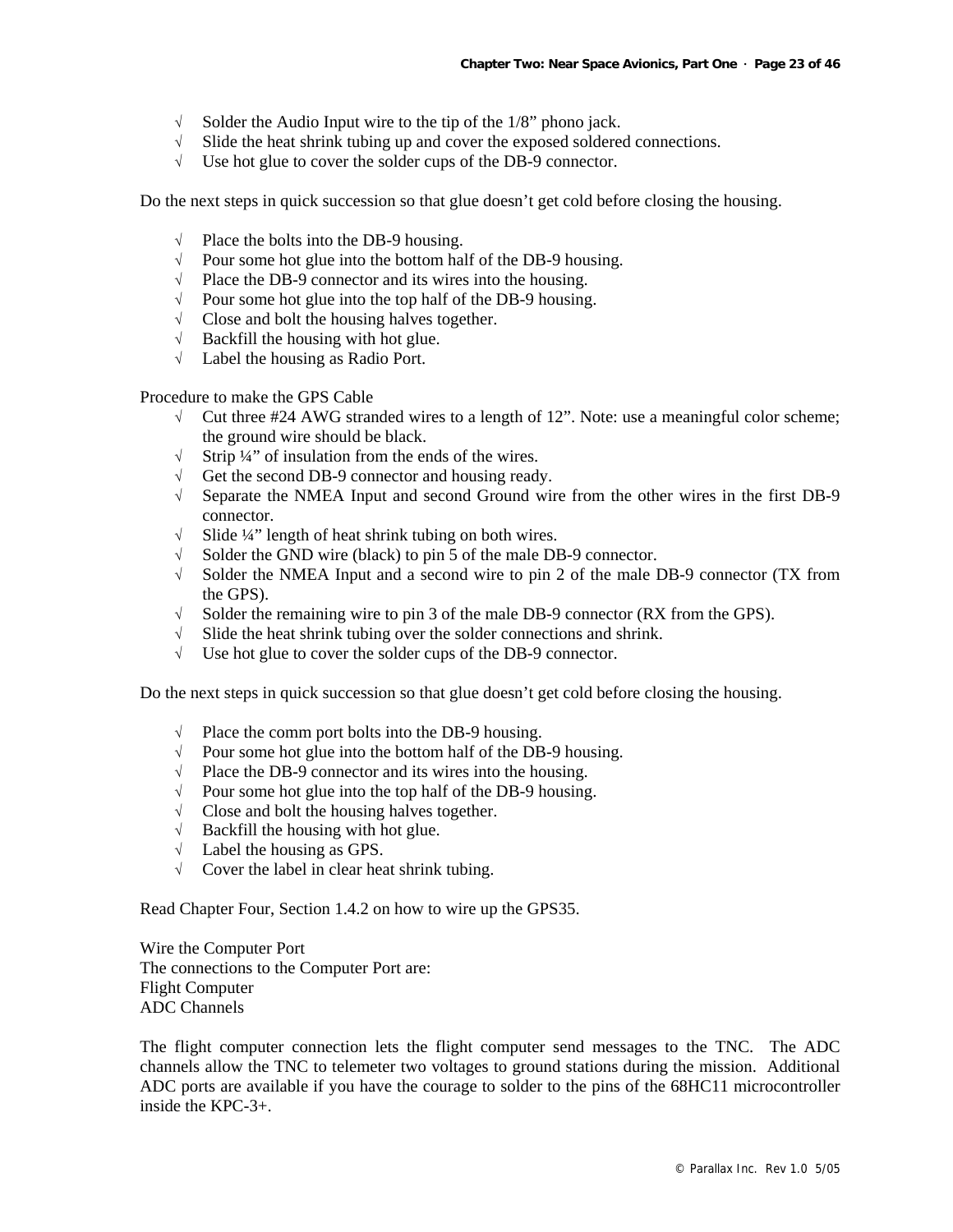- $\sqrt{\phantom{a}}$  Solder the Audio Input wire to the tip of the 1/8" phono jack.
- $\sqrt{\phantom{a}}$  Slide the heat shrink tubing up and cover the exposed soldered connections.
- √ Use hot glue to cover the solder cups of the DB-9 connector.

Do the next steps in quick succession so that glue doesn't get cold before closing the housing.

- $\sqrt{\phantom{a}}$  Place the bolts into the DB-9 housing.
- √ Pour some hot glue into the bottom half of the DB-9 housing.
- √ Place the DB-9 connector and its wires into the housing.
- √ Pour some hot glue into the top half of the DB-9 housing.
- √ Close and bolt the housing halves together.
- $\sqrt{\phantom{a}}$  Backfill the housing with hot glue.
- √ Label the housing as Radio Port.

Procedure to make the GPS Cable

- $\sqrt{\phantom{a}}$  Cut three #24 AWG stranded wires to a length of 12". Note: use a meaningful color scheme; the ground wire should be black.
- $\sqrt{\phantom{a}}$  Strip ¼" of insulation from the ends of the wires.
- √ Get the second DB-9 connector and housing ready.
- √ Separate the NMEA Input and second Ground wire from the other wires in the first DB-9 connector.
- √ Slide ¼" length of heat shrink tubing on both wires.
- Solder the GND wire (black) to pin 5 of the male DB-9 connector.
- $\sqrt{\phantom{a}}$  Solder the NMEA Input and a second wire to pin 2 of the male DB-9 connector (TX from the GPS).
- $\sqrt{\phantom{a}}$  Solder the remaining wire to pin 3 of the male DB-9 connector (RX from the GPS).
- √ Slide the heat shrink tubing over the solder connections and shrink.
- √ Use hot glue to cover the solder cups of the DB-9 connector.

Do the next steps in quick succession so that glue doesn't get cold before closing the housing.

- √ Place the comm port bolts into the DB-9 housing.
- √ Pour some hot glue into the bottom half of the DB-9 housing.
- √ Place the DB-9 connector and its wires into the housing.
- √ Pour some hot glue into the top half of the DB-9 housing.
- √ Close and bolt the housing halves together.
- $\sqrt{\phantom{a}}$  Backfill the housing with hot glue.
- $\sqrt{\phantom{a}}$  Label the housing as GPS.
- √ Cover the label in clear heat shrink tubing.

Read Chapter Four, Section 1.4.2 on how to wire up the GPS35.

Wire the Computer Port The connections to the Computer Port are: Flight Computer ADC Channels

The flight computer connection lets the flight computer send messages to the TNC. The ADC channels allow the TNC to telemeter two voltages to ground stations during the mission. Additional ADC ports are available if you have the courage to solder to the pins of the 68HC11 microcontroller inside the KPC-3+.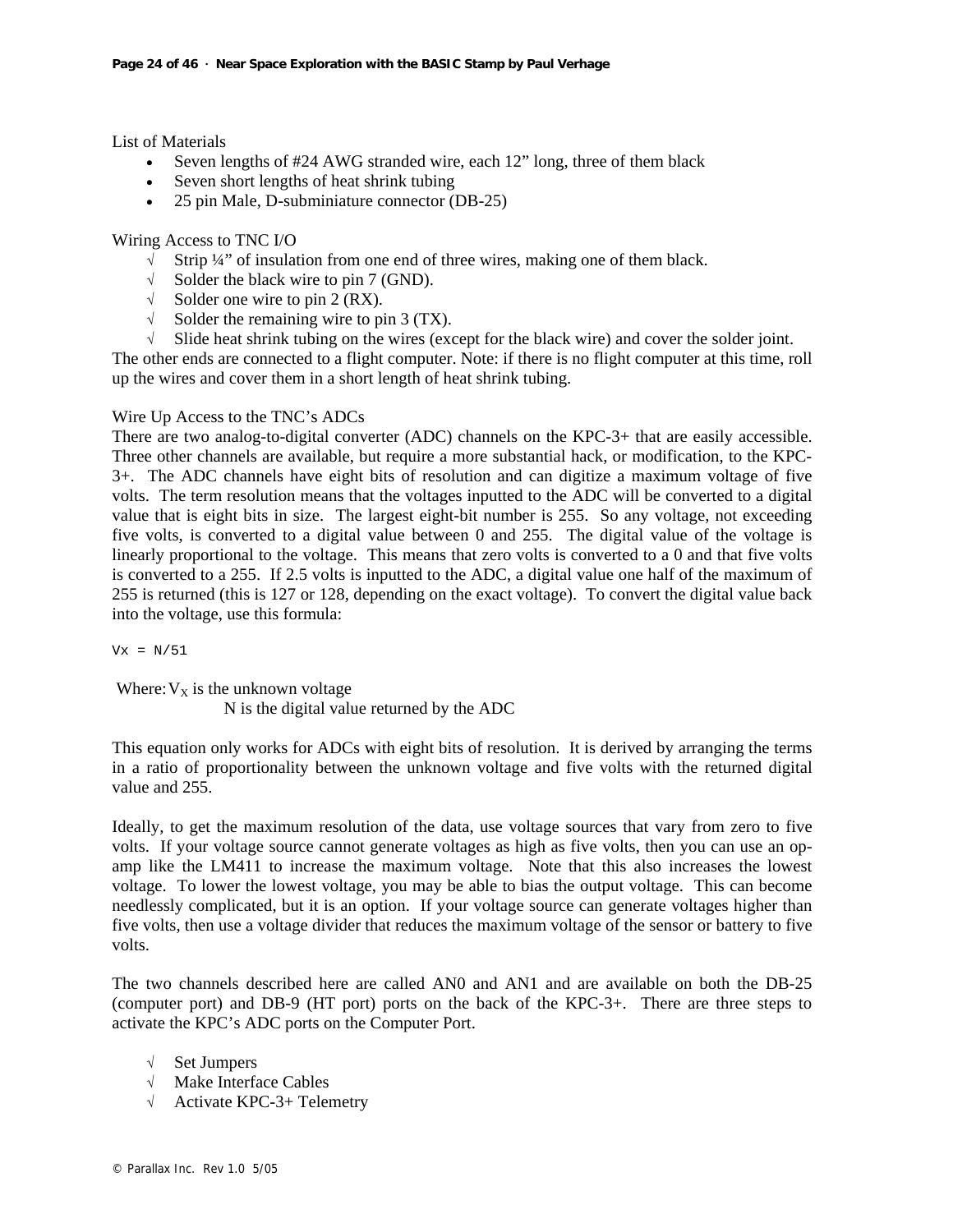List of Materials

- Seven lengths of #24 AWG stranded wire, each 12" long, three of them black
- Seven short lengths of heat shrink tubing
- 25 pin Male, D-subminiature connector (DB-25)

Wiring Access to TNC I/O

- √ Strip ¼" of insulation from one end of three wires, making one of them black.
- $\sqrt{\phantom{a}}$  Solder the black wire to pin 7 (GND).
- $\sqrt{\phantom{a}}$  Solder one wire to pin 2 (RX).
- $\sqrt{\phantom{a}}$  Solder the remaining wire to pin 3 (TX).
- √ Slide heat shrink tubing on the wires (except for the black wire) and cover the solder joint.

The other ends are connected to a flight computer. Note: if there is no flight computer at this time, roll up the wires and cover them in a short length of heat shrink tubing.

## Wire Up Access to the TNC's ADCs

There are two analog-to-digital converter (ADC) channels on the KPC-3+ that are easily accessible. Three other channels are available, but require a more substantial hack, or modification, to the KPC-3+. The ADC channels have eight bits of resolution and can digitize a maximum voltage of five volts. The term resolution means that the voltages inputted to the ADC will be converted to a digital value that is eight bits in size. The largest eight-bit number is 255. So any voltage, not exceeding five volts, is converted to a digital value between 0 and 255. The digital value of the voltage is linearly proportional to the voltage. This means that zero volts is converted to a 0 and that five volts is converted to a 255. If 2.5 volts is inputted to the ADC, a digital value one half of the maximum of 255 is returned (this is 127 or 128, depending on the exact voltage). To convert the digital value back into the voltage, use this formula:

 $Vx = N/51$ 

Where:  $V_x$  is the unknown voltage

N is the digital value returned by the ADC

This equation only works for ADCs with eight bits of resolution. It is derived by arranging the terms in a ratio of proportionality between the unknown voltage and five volts with the returned digital value and 255.

Ideally, to get the maximum resolution of the data, use voltage sources that vary from zero to five volts. If your voltage source cannot generate voltages as high as five volts, then you can use an opamp like the LM411 to increase the maximum voltage. Note that this also increases the lowest voltage. To lower the lowest voltage, you may be able to bias the output voltage. This can become needlessly complicated, but it is an option. If your voltage source can generate voltages higher than five volts, then use a voltage divider that reduces the maximum voltage of the sensor or battery to five volts.

The two channels described here are called AN0 and AN1 and are available on both the DB-25 (computer port) and DB-9 (HT port) ports on the back of the KPC-3+. There are three steps to activate the KPC's ADC ports on the Computer Port.

- √ Set Jumpers
- √ Make Interface Cables
- √ Activate KPC-3+ Telemetry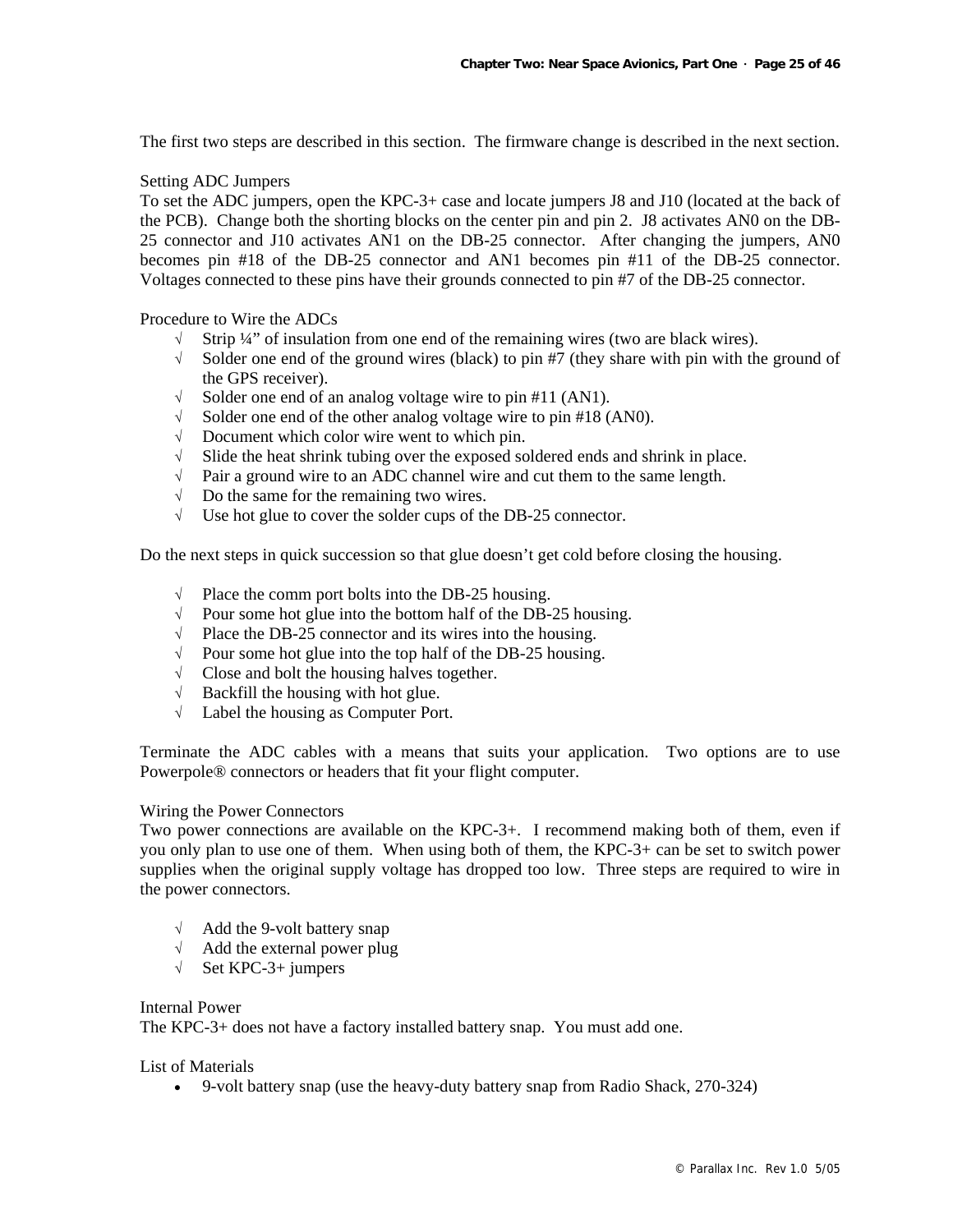The first two steps are described in this section. The firmware change is described in the next section.

#### Setting ADC Jumpers

To set the ADC jumpers, open the KPC-3+ case and locate jumpers J8 and J10 (located at the back of the PCB). Change both the shorting blocks on the center pin and pin 2. J8 activates AN0 on the DB-25 connector and J10 activates AN1 on the DB-25 connector. After changing the jumpers, AN0 becomes pin #18 of the DB-25 connector and AN1 becomes pin #11 of the DB-25 connector. Voltages connected to these pins have their grounds connected to pin #7 of the DB-25 connector.

Procedure to Wire the ADCs

- $\sqrt{\phantom{a}}$  Strip ¼" of insulation from one end of the remaining wires (two are black wires).
- √ Solder one end of the ground wires (black) to pin #7 (they share with pin with the ground of the GPS receiver).
- $\sqrt{\phantom{a}}$  Solder one end of an analog voltage wire to pin #11 (AN1).
- $\sqrt{\phantom{a}}$  Solder one end of the other analog voltage wire to pin #18 (AN0).
- √ Document which color wire went to which pin.
- √ Slide the heat shrink tubing over the exposed soldered ends and shrink in place.
- √ Pair a ground wire to an ADC channel wire and cut them to the same length.
- $\sqrt{\phantom{a}}$  Do the same for the remaining two wires.
- √ Use hot glue to cover the solder cups of the DB-25 connector.

Do the next steps in quick succession so that glue doesn't get cold before closing the housing.

- $\sqrt{\phantom{a}}$  Place the comm port bolts into the DB-25 housing.
- √ Pour some hot glue into the bottom half of the DB-25 housing.
- √ Place the DB-25 connector and its wires into the housing.
- √ Pour some hot glue into the top half of the DB-25 housing.
- √ Close and bolt the housing halves together.
- $\sqrt{\phantom{a}}$  Backfill the housing with hot glue.
- √ Label the housing as Computer Port.

Terminate the ADC cables with a means that suits your application. Two options are to use Powerpole® connectors or headers that fit your flight computer.

#### Wiring the Power Connectors

Two power connections are available on the KPC-3+. I recommend making both of them, even if you only plan to use one of them. When using both of them, the KPC-3+ can be set to switch power supplies when the original supply voltage has dropped too low. Three steps are required to wire in the power connectors.

- √ Add the 9-volt battery snap
- √ Add the external power plug
- √ Set KPC-3+ jumpers

#### Internal Power

The KPC-3+ does not have a factory installed battery snap. You must add one.

#### List of Materials

• 9-volt battery snap (use the heavy-duty battery snap from Radio Shack, 270-324)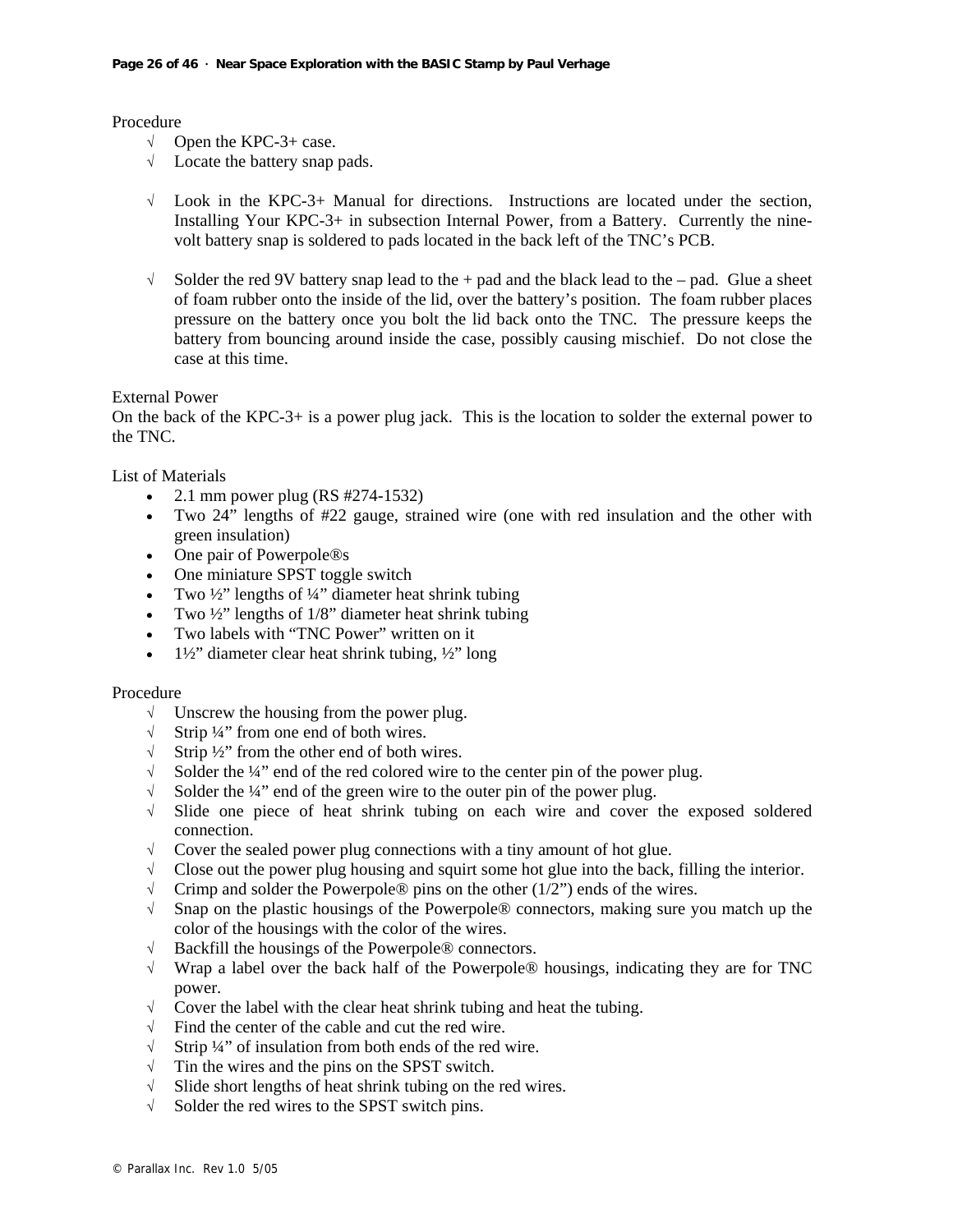Procedure

- $\sqrt{\phantom{a}}$  Open the KPC-3+ case.
- √ Locate the battery snap pads.
- $\sqrt{\phantom{a}}$  Look in the KPC-3+ Manual for directions. Instructions are located under the section, Installing Your KPC-3+ in subsection Internal Power, from a Battery. Currently the ninevolt battery snap is soldered to pads located in the back left of the TNC's PCB.
- $\sqrt{\phantom{a}}$  Solder the red 9V battery snap lead to the + pad and the black lead to the pad. Glue a sheet of foam rubber onto the inside of the lid, over the battery's position. The foam rubber places pressure on the battery once you bolt the lid back onto the TNC. The pressure keeps the battery from bouncing around inside the case, possibly causing mischief. Do not close the case at this time.

External Power

On the back of the KPC-3+ is a power plug jack. This is the location to solder the external power to the TNC.

List of Materials

- 2.1 mm power plug (RS  $\#274-1532$ )
- Two 24" lengths of #22 gauge, strained wire (one with red insulation and the other with green insulation)
- One pair of Powerpole®s
- One miniature SPST toggle switch
- Two  $\frac{1}{2}$ " lengths of  $\frac{1}{4}$ " diameter heat shrink tubing
- Two  $\frac{1}{2}$ " lengths of  $1/8$ " diameter heat shrink tubing
- Two labels with "TNC Power" written on it
- $1\frac{1}{2}$ " diameter clear heat shrink tubing,  $\frac{1}{2}$ " long

#### Procedure

- √ Unscrew the housing from the power plug.
- √ Strip ¼" from one end of both wires.
- $\sqrt{\phantom{a}}$  Strip ½" from the other end of both wires.<br>  $\sqrt{\phantom{a}}$  Solder the ¼" end of the red colored wire t
- Solder the  $\frac{1}{4}$ " end of the red colored wire to the center pin of the power plug.
- $\sqrt{\phantom{a}}$  Solder the ¼" end of the green wire to the outer pin of the power plug.
- √ Slide one piece of heat shrink tubing on each wire and cover the exposed soldered connection.
- $\sqrt{\phantom{a}}$  Cover the sealed power plug connections with a tiny amount of hot glue.
- $\sqrt{\phantom{a}}$  Close out the power plug housing and squirt some hot glue into the back, filling the interior.
- $\sqrt{\phantom{a}}$  Crimp and solder the Powerpole® pins on the other (1/2") ends of the wires.
- √ Snap on the plastic housings of the Powerpole® connectors, making sure you match up the color of the housings with the color of the wires.
- √ Backfill the housings of the Powerpole® connectors.
- $\sqrt{\phantom{a}}$  Wrap a label over the back half of the Powerpole® housings, indicating they are for TNC power.
- √ Cover the label with the clear heat shrink tubing and heat the tubing.
- √ Find the center of the cable and cut the red wire.
- $\sqrt{\frac{1}{\pi}}$  Strip ¼" of insulation from both ends of the red wire.<br> $\sqrt{\frac{1}{\pi}}$  Tin the wires and the pins on the SPST switch.
- Tin the wires and the pins on the SPST switch.
- √ Slide short lengths of heat shrink tubing on the red wires.
- √ Solder the red wires to the SPST switch pins.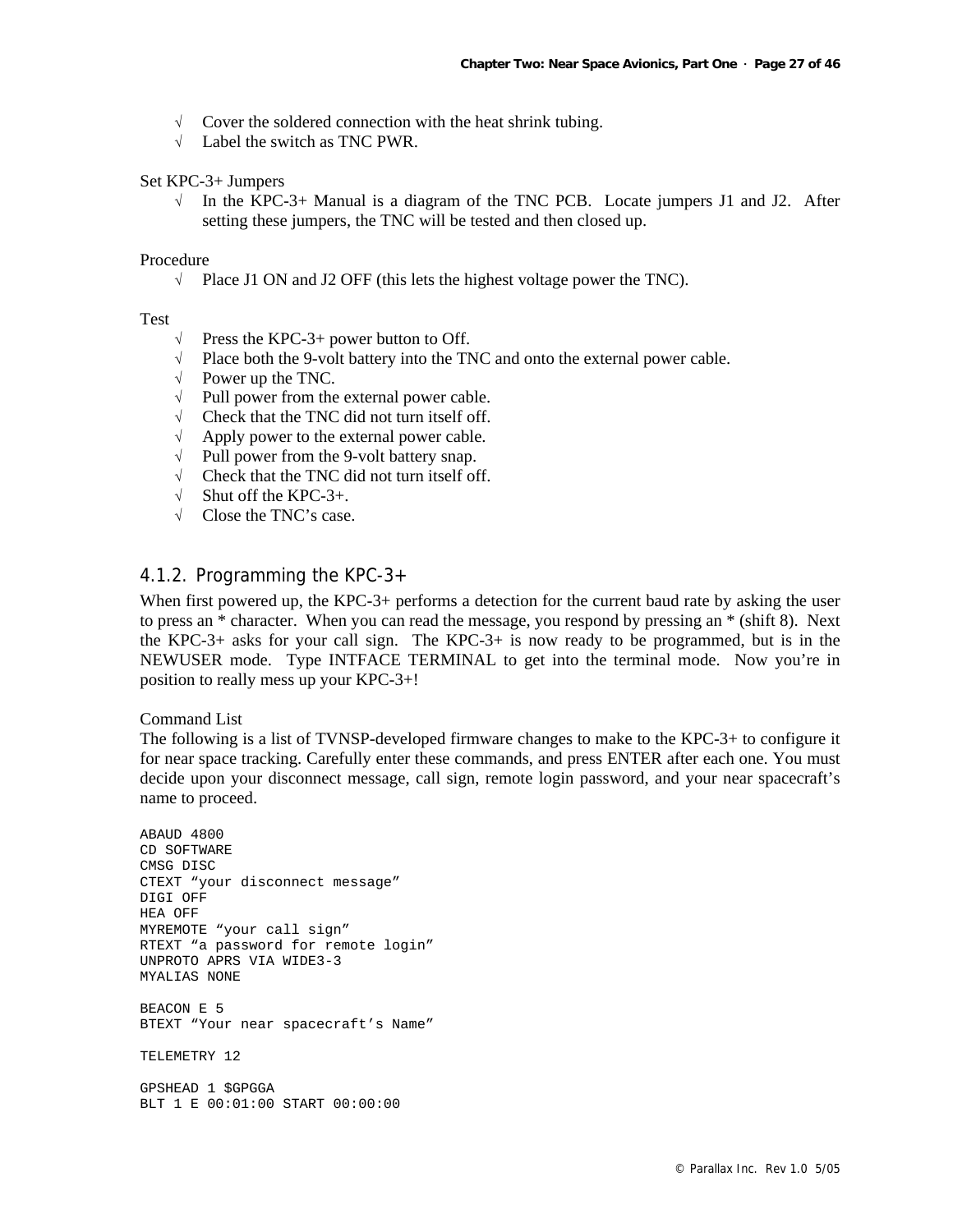- $\sqrt{\phantom{a}}$  Cover the soldered connection with the heat shrink tubing.
- √ Label the switch as TNC PWR.

#### Set KPC-3+ Jumpers

 $\sqrt{\phantom{a}}$  In the KPC-3+ Manual is a diagram of the TNC PCB. Locate jumpers J1 and J2. After setting these jumpers, the TNC will be tested and then closed up.

#### Procedure

√ Place J1 ON and J2 OFF (this lets the highest voltage power the TNC).

#### Test

- $\sqrt{\phantom{a}}$  Press the KPC-3+ power button to Off.
- √ Place both the 9-volt battery into the TNC and onto the external power cable.
- $\sqrt{\phantom{a}}$  Power up the TNC.
- $\sqrt{\phantom{a}}$  Pull power from the external power cable.
- √ Check that the TNC did not turn itself off.
- $\sqrt{\phantom{a}}$  Apply power to the external power cable.
- $\sqrt{\phantom{a}}$  Pull power from the 9-volt battery snap.
- √ Check that the TNC did not turn itself off.
- $\sqrt{\phantom{a}}$  Shut off the KPC-3+.
- √ Close the TNC's case.

## 4.1.2. Programming the KPC-3+

When first powered up, the KPC-3+ performs a detection for the current baud rate by asking the user to press an \* character. When you can read the message, you respond by pressing an \* (shift 8). Next the KPC-3+ asks for your call sign. The KPC-3+ is now ready to be programmed, but is in the NEWUSER mode. Type INTFACE TERMINAL to get into the terminal mode. Now you're in position to really mess up your KPC-3+!

Command List

The following is a list of TVNSP-developed firmware changes to make to the KPC-3+ to configure it for near space tracking. Carefully enter these commands, and press ENTER after each one. You must decide upon your disconnect message, call sign, remote login password, and your near spacecraft's name to proceed.

ABAUD 4800 CD SOFTWARE CMSG DISC CTEXT "your disconnect message" DIGI OFF HEA OFF MYREMOTE "your call sign" RTEXT "a password for remote login" UNPROTO APRS VIA WIDE3-3 MYALIAS NONE BEACON E 5 BTEXT "Your near spacecraft's Name" TELEMETRY 12 GPSHEAD 1 \$GPGGA BLT 1 E 00:01:00 START 00:00:00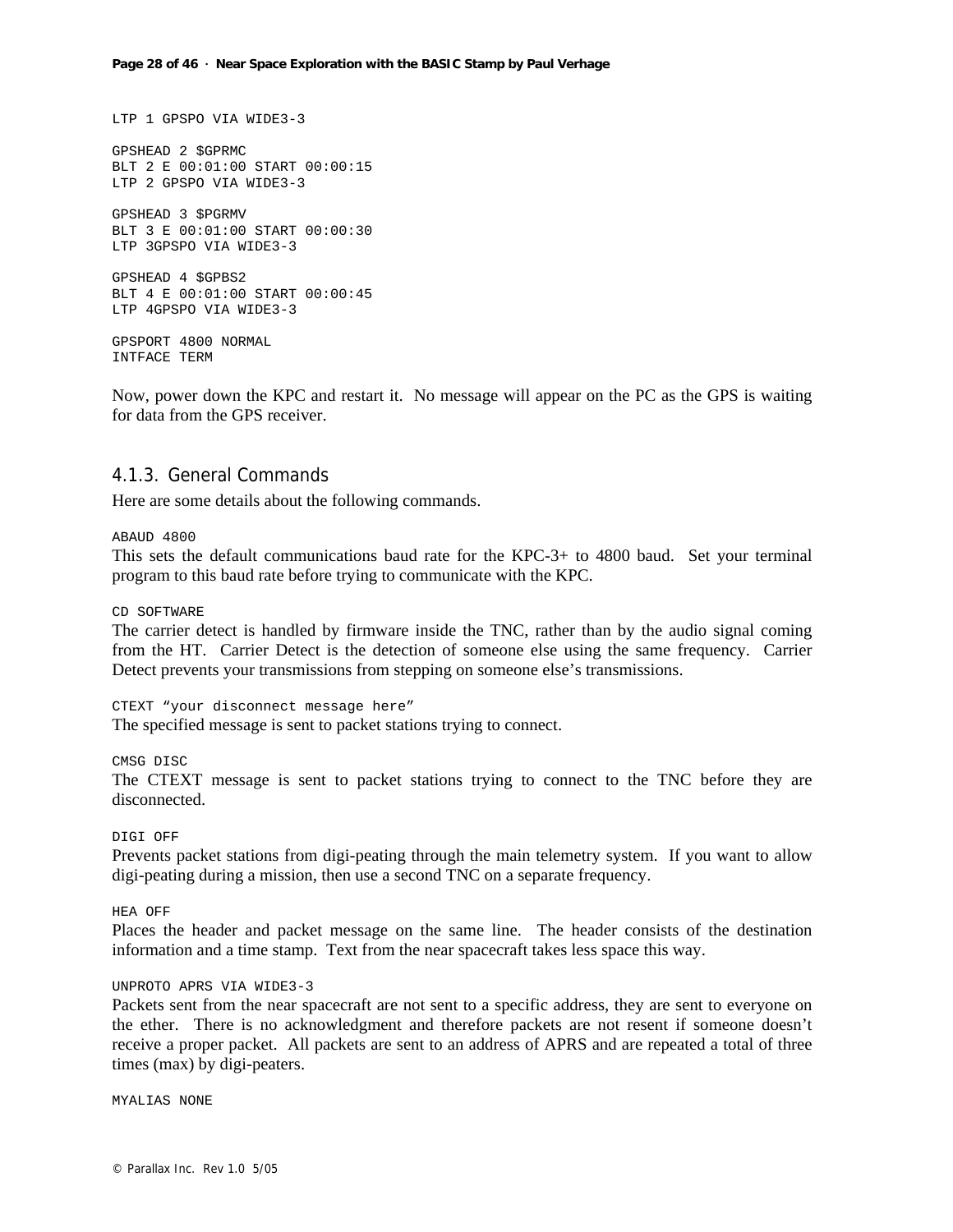```
LTP 1 GPSPO VIA WIDE3-3 
GPSHEAD 2 $GPRMC 
BLT 2 E 00:01:00 START 00:00:15 
LTP 2 GPSPO VIA WIDE3-3 
GPSHEAD 3 $PGRMV 
BLT 3 E 00:01:00 START 00:00:30 
LTP 3GPSPO VIA WIDE3-3 
GPSHEAD 4 $GPBS2 
BLT 4 E 00:01:00 START 00:00:45 
LTP 4GPSPO VIA WIDE3-3 
GPSPORT 4800 NORMAL 
INTFACE TERM
```
Now, power down the KPC and restart it. No message will appear on the PC as the GPS is waiting for data from the GPS receiver.

#### 4.1.3. General Commands

Here are some details about the following commands.

#### ABAUD 4800

This sets the default communications baud rate for the KPC-3+ to 4800 baud. Set your terminal program to this baud rate before trying to communicate with the KPC.

CD SOFTWARE

The carrier detect is handled by firmware inside the TNC, rather than by the audio signal coming from the HT. Carrier Detect is the detection of someone else using the same frequency. Carrier Detect prevents your transmissions from stepping on someone else's transmissions.

CTEXT "your disconnect message here" The specified message is sent to packet stations trying to connect.

CMSG DISC

The CTEXT message is sent to packet stations trying to connect to the TNC before they are disconnected.

#### DIGI OFF

Prevents packet stations from digi-peating through the main telemetry system. If you want to allow digi-peating during a mission, then use a second TNC on a separate frequency.

HEA OFF

Places the header and packet message on the same line. The header consists of the destination information and a time stamp. Text from the near spacecraft takes less space this way.

#### UNPROTO APRS VIA WIDE3-3

Packets sent from the near spacecraft are not sent to a specific address, they are sent to everyone on the ether. There is no acknowledgment and therefore packets are not resent if someone doesn't receive a proper packet. All packets are sent to an address of APRS and are repeated a total of three times (max) by digi-peaters.

MYALIAS NONE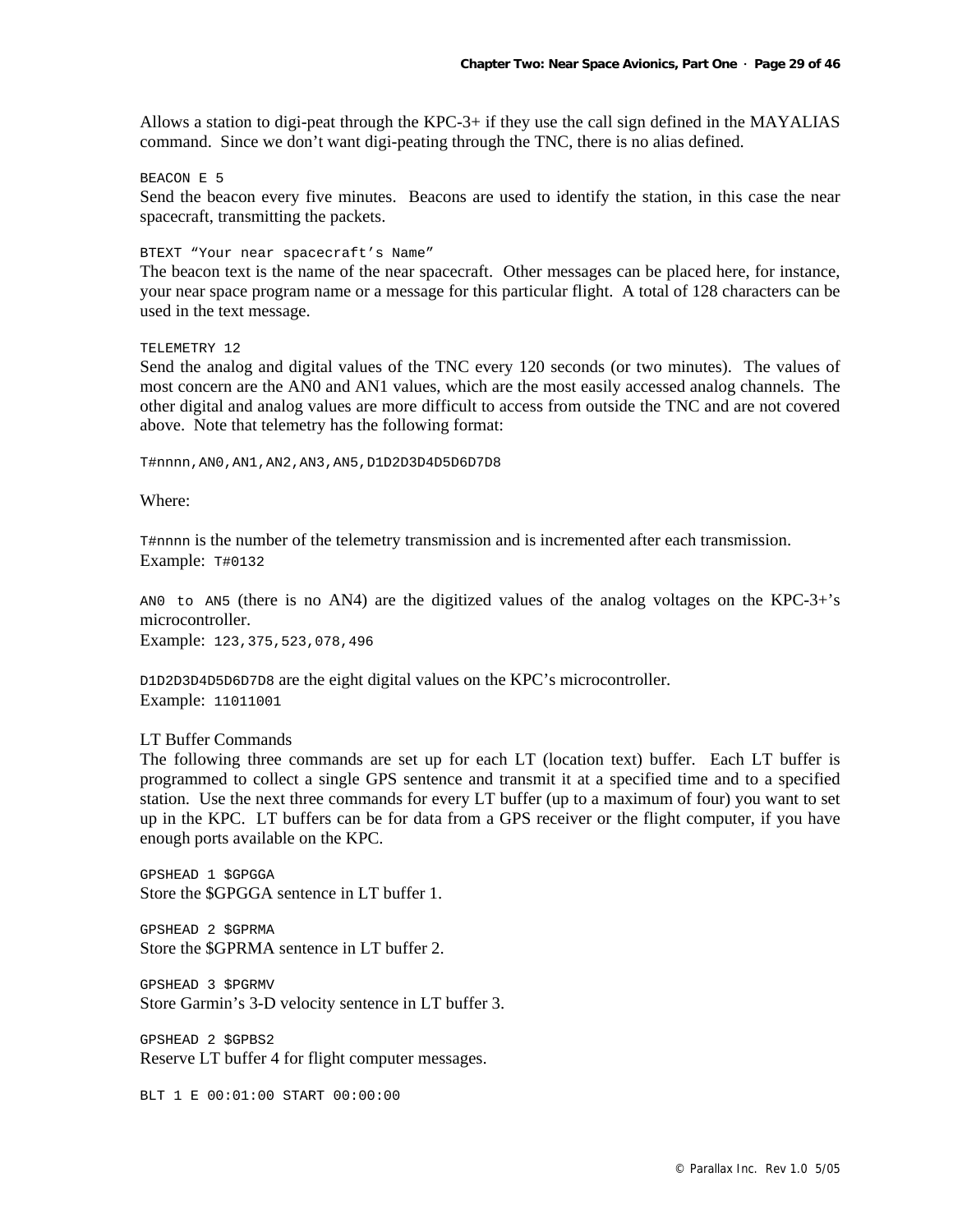Allows a station to digi-peat through the KPC-3+ if they use the call sign defined in the MAYALIAS command. Since we don't want digi-peating through the TNC, there is no alias defined.

#### BEACON E 5

Send the beacon every five minutes. Beacons are used to identify the station, in this case the near spacecraft, transmitting the packets.

#### BTEXT "Your near spacecraft's Name"

The beacon text is the name of the near spacecraft. Other messages can be placed here, for instance, your near space program name or a message for this particular flight. A total of 128 characters can be used in the text message.

#### TELEMETRY 12

Send the analog and digital values of the TNC every 120 seconds (or two minutes). The values of most concern are the AN0 and AN1 values, which are the most easily accessed analog channels. The other digital and analog values are more difficult to access from outside the TNC and are not covered above. Note that telemetry has the following format:

T#nnnn,AN0,AN1,AN2,AN3,AN5,D1D2D3D4D5D6D7D8

Where:

T#nnnn is the number of the telemetry transmission and is incremented after each transmission. Example: T#0132

ANO to AN5 (there is no AN4) are the digitized values of the analog voltages on the KPC-3+'s microcontroller.

Example: 123,375,523,078,496

D1D2D3D4D5D6D7D8 are the eight digital values on the KPC's microcontroller. Example: 11011001

#### LT Buffer Commands

The following three commands are set up for each LT (location text) buffer. Each LT buffer is programmed to collect a single GPS sentence and transmit it at a specified time and to a specified station. Use the next three commands for every LT buffer (up to a maximum of four) you want to set up in the KPC. LT buffers can be for data from a GPS receiver or the flight computer, if you have enough ports available on the KPC.

GPSHEAD 1 \$GPGGA Store the \$GPGGA sentence in LT buffer 1.

GPSHEAD 2 \$GPRMA Store the \$GPRMA sentence in LT buffer 2.

GPSHEAD 3 \$PGRMV Store Garmin's 3-D velocity sentence in LT buffer 3.

GPSHEAD 2 \$GPBS2 Reserve LT buffer 4 for flight computer messages.

BLT 1 E 00:01:00 START 00:00:00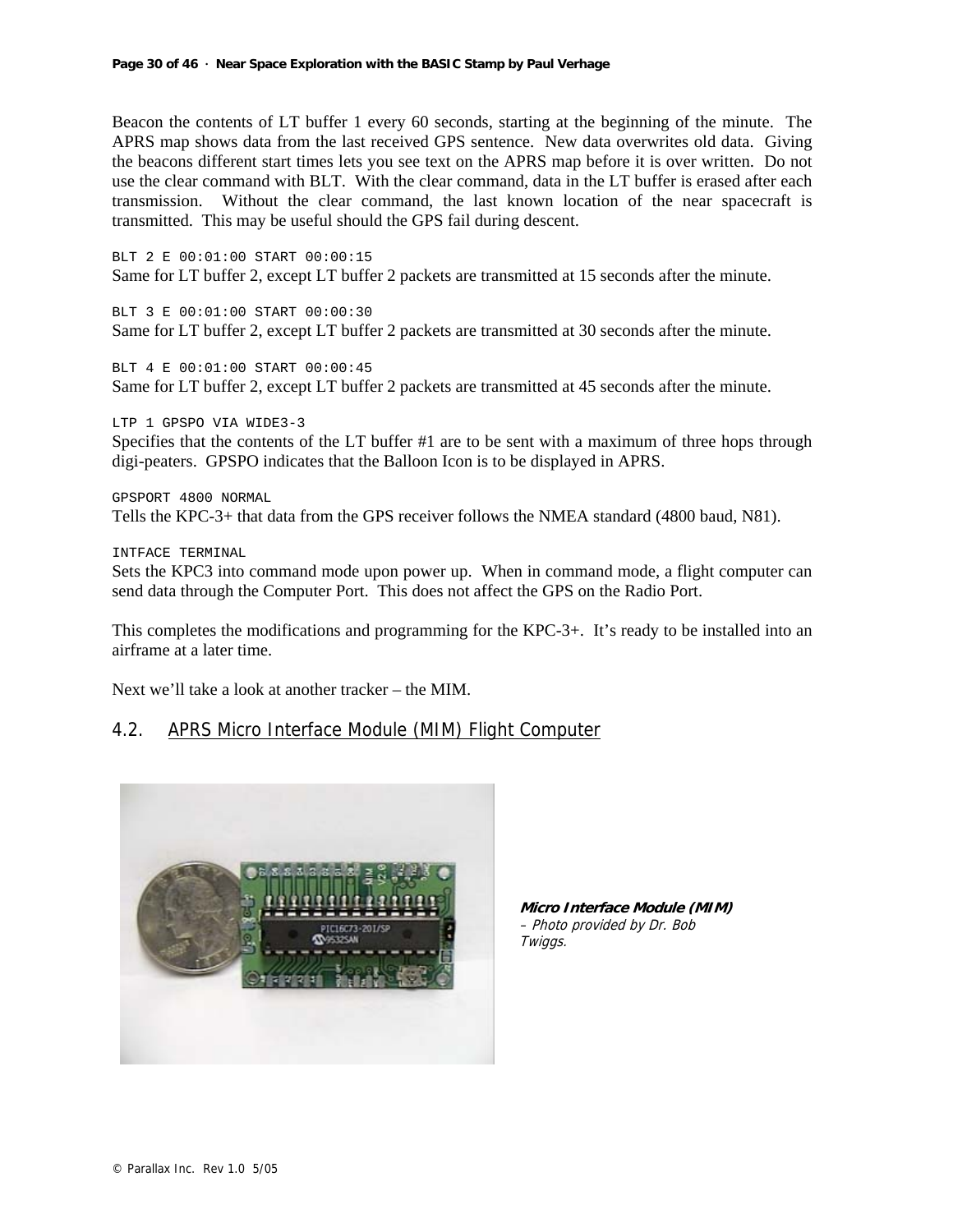Beacon the contents of LT buffer 1 every 60 seconds, starting at the beginning of the minute. The APRS map shows data from the last received GPS sentence. New data overwrites old data. Giving the beacons different start times lets you see text on the APRS map before it is over written. Do not use the clear command with BLT. With the clear command, data in the LT buffer is erased after each transmission. Without the clear command, the last known location of the near spacecraft is transmitted. This may be useful should the GPS fail during descent.

BLT 2 E 00:01:00 START 00:00:15 Same for LT buffer 2, except LT buffer 2 packets are transmitted at 15 seconds after the minute.

BLT 3 E 00:01:00 START 00:00:30 Same for LT buffer 2, except LT buffer 2 packets are transmitted at 30 seconds after the minute.

BLT 4 E 00:01:00 START 00:00:45 Same for LT buffer 2, except LT buffer 2 packets are transmitted at 45 seconds after the minute.

LTP 1 GPSPO VIA WIDE3-3

Specifies that the contents of the LT buffer #1 are to be sent with a maximum of three hops through digi-peaters. GPSPO indicates that the Balloon Icon is to be displayed in APRS.

GPSPORT 4800 NORMAL Tells the KPC-3+ that data from the GPS receiver follows the NMEA standard (4800 baud, N81).

INTFACE TERMINAL

Sets the KPC3 into command mode upon power up. When in command mode, a flight computer can send data through the Computer Port. This does not affect the GPS on the Radio Port.

This completes the modifications and programming for the KPC-3+. It's ready to be installed into an airframe at a later time.

Next we'll take a look at another tracker – the MIM.

## 4.2. APRS Micro Interface Module (MIM) Flight Computer



**Micro Interface Module (MIM)** – Photo provided by Dr. Bob Twiggs.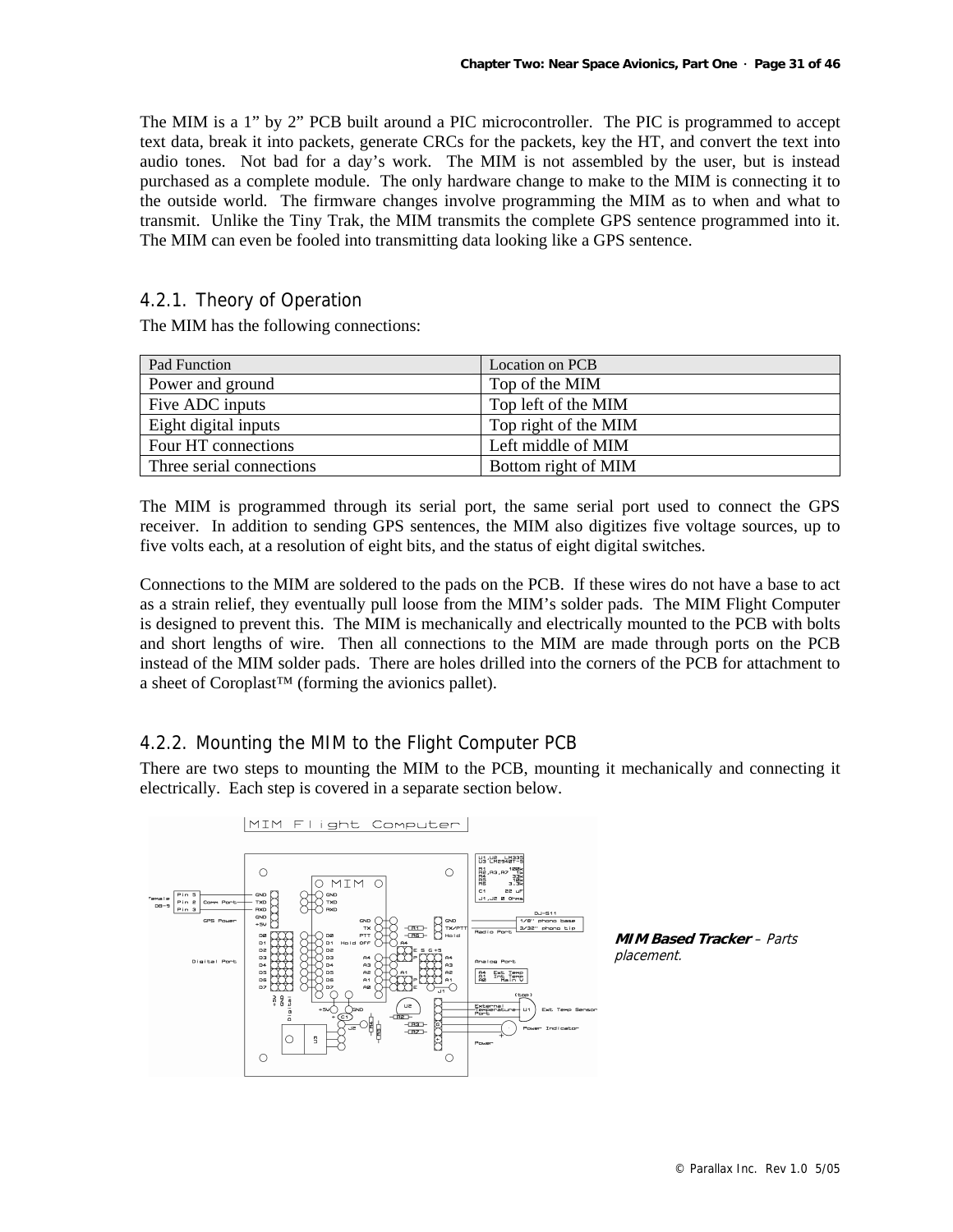The MIM is a 1" by 2" PCB built around a PIC microcontroller. The PIC is programmed to accept text data, break it into packets, generate CRCs for the packets, key the HT, and convert the text into audio tones. Not bad for a day's work. The MIM is not assembled by the user, but is instead purchased as a complete module. The only hardware change to make to the MIM is connecting it to the outside world. The firmware changes involve programming the MIM as to when and what to transmit. Unlike the Tiny Trak, the MIM transmits the complete GPS sentence programmed into it. The MIM can even be fooled into transmitting data looking like a GPS sentence.

## 4.2.1. Theory of Operation

The MIM has the following connections:

| Pad Function             | Location on PCB      |
|--------------------------|----------------------|
| Power and ground         | Top of the MIM       |
| Five ADC inputs          | Top left of the MIM  |
| Eight digital inputs     | Top right of the MIM |
| Four HT connections      | Left middle of MIM   |
| Three serial connections | Bottom right of MIM  |

The MIM is programmed through its serial port, the same serial port used to connect the GPS receiver. In addition to sending GPS sentences, the MIM also digitizes five voltage sources, up to five volts each, at a resolution of eight bits, and the status of eight digital switches.

Connections to the MIM are soldered to the pads on the PCB. If these wires do not have a base to act as a strain relief, they eventually pull loose from the MIM's solder pads. The MIM Flight Computer is designed to prevent this. The MIM is mechanically and electrically mounted to the PCB with bolts and short lengths of wire. Then all connections to the MIM are made through ports on the PCB instead of the MIM solder pads. There are holes drilled into the corners of the PCB for attachment to a sheet of Coroplast™ (forming the avionics pallet).

## 4.2.2. Mounting the MIM to the Flight Computer PCB

There are two steps to mounting the MIM to the PCB, mounting it mechanically and connecting it electrically. Each step is covered in a separate section below.



**MIM Based Tracker** – Parts placement.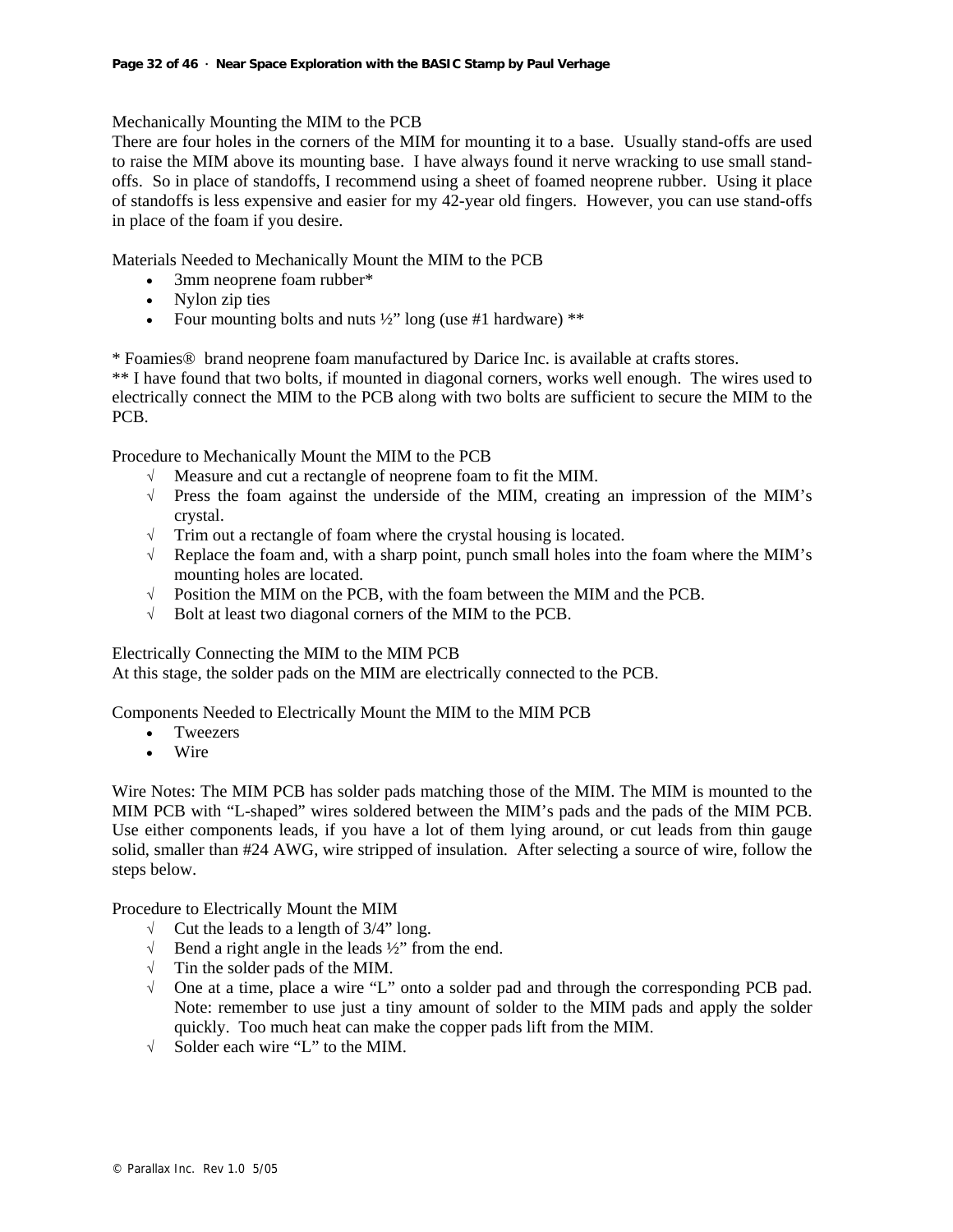Mechanically Mounting the MIM to the PCB

There are four holes in the corners of the MIM for mounting it to a base. Usually stand-offs are used to raise the MIM above its mounting base. I have always found it nerve wracking to use small standoffs. So in place of standoffs, I recommend using a sheet of foamed neoprene rubber. Using it place of standoffs is less expensive and easier for my 42-year old fingers. However, you can use stand-offs in place of the foam if you desire.

Materials Needed to Mechanically Mount the MIM to the PCB

- 3mm neoprene foam rubber\*
- Nylon zip ties
- Four mounting bolts and nuts  $\frac{1}{2}$ " long (use #1 hardware) \*\*

\* Foamies® brand neoprene foam manufactured by Darice Inc. is available at crafts stores.

\*\* I have found that two bolts, if mounted in diagonal corners, works well enough. The wires used to electrically connect the MIM to the PCB along with two bolts are sufficient to secure the MIM to the PCB.

Procedure to Mechanically Mount the MIM to the PCB

- √ Measure and cut a rectangle of neoprene foam to fit the MIM.
- √ Press the foam against the underside of the MIM, creating an impression of the MIM's crystal.
- √ Trim out a rectangle of foam where the crystal housing is located.
- √ Replace the foam and, with a sharp point, punch small holes into the foam where the MIM's mounting holes are located.
- $\sqrt{\phantom{a}}$  Position the MIM on the PCB, with the foam between the MIM and the PCB.
- √ Bolt at least two diagonal corners of the MIM to the PCB.

Electrically Connecting the MIM to the MIM PCB

At this stage, the solder pads on the MIM are electrically connected to the PCB.

Components Needed to Electrically Mount the MIM to the MIM PCB

- Tweezers
- Wire

Wire Notes: The MIM PCB has solder pads matching those of the MIM. The MIM is mounted to the MIM PCB with "L-shaped" wires soldered between the MIM's pads and the pads of the MIM PCB. Use either components leads, if you have a lot of them lying around, or cut leads from thin gauge solid, smaller than #24 AWG, wire stripped of insulation. After selecting a source of wire, follow the steps below.

Procedure to Electrically Mount the MIM

- $\sqrt{\phantom{a}}$  Cut the leads to a length of 3/4" long.
- √ Bend a right angle in the leads ½" from the end.
- √ Tin the solder pads of the MIM.
- √ One at a time, place a wire "L" onto a solder pad and through the corresponding PCB pad. Note: remember to use just a tiny amount of solder to the MIM pads and apply the solder quickly. Too much heat can make the copper pads lift from the MIM.
- √ Solder each wire "L" to the MIM.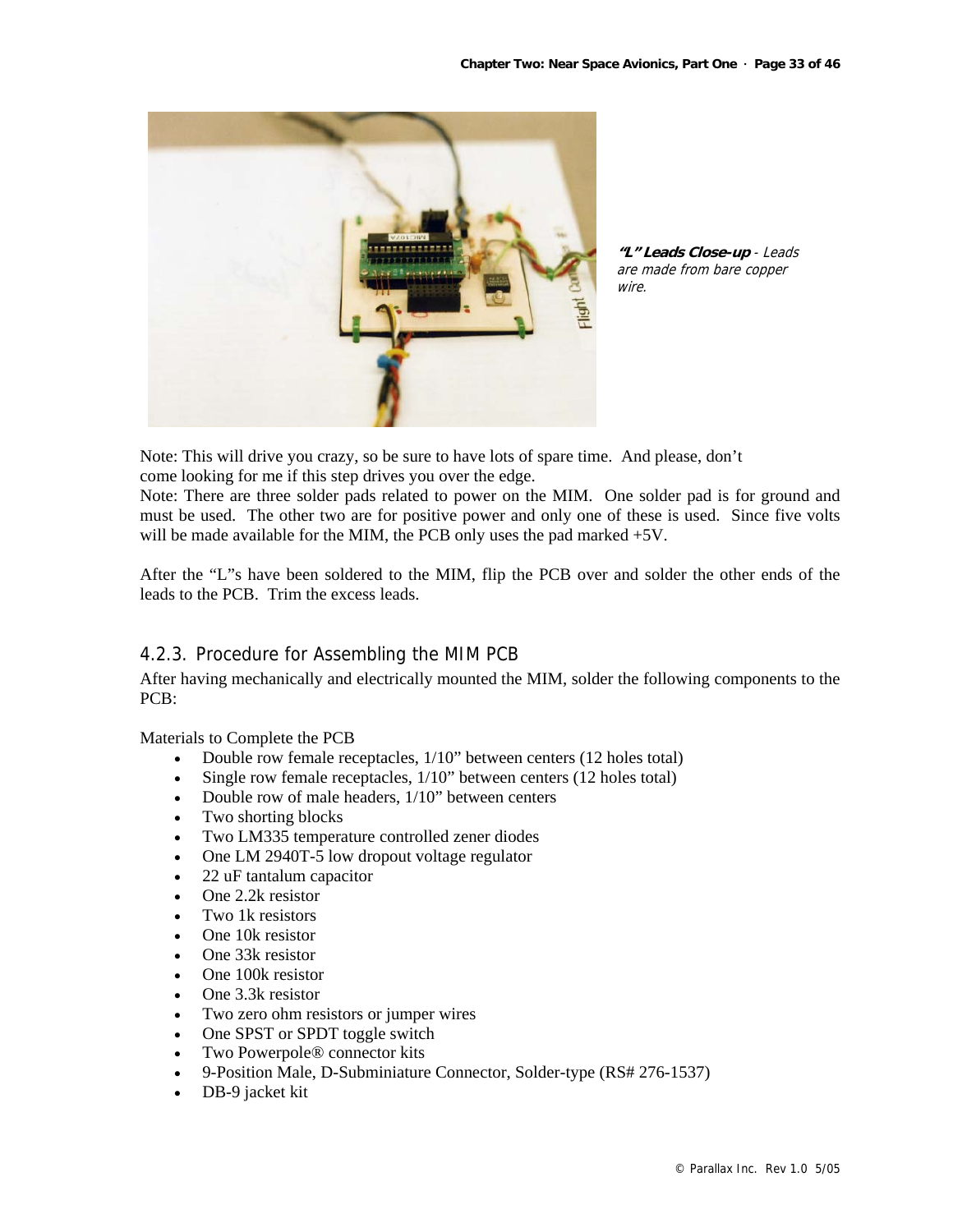

**"L" Leads Close-up** - Leads are made from bare copper wire.

Note: This will drive you crazy, so be sure to have lots of spare time. And please, don't come looking for me if this step drives you over the edge.

Note: There are three solder pads related to power on the MIM. One solder pad is for ground and must be used. The other two are for positive power and only one of these is used. Since five volts will be made available for the MIM, the PCB only uses the pad marked  $+5V$ .

After the "L"s have been soldered to the MIM, flip the PCB over and solder the other ends of the leads to the PCB. Trim the excess leads.

## 4.2.3. Procedure for Assembling the MIM PCB

After having mechanically and electrically mounted the MIM, solder the following components to the PCB:

Materials to Complete the PCB

- Double row female receptacles,  $1/10$ " between centers (12 holes total)
- Single row female receptacles,  $1/10$ " between centers (12 holes total)
- Double row of male headers, 1/10" between centers
- Two shorting blocks
- Two LM335 temperature controlled zener diodes
- One LM 2940T-5 low dropout voltage regulator
- 22 uF tantalum capacitor
- One 2.2k resistor
- Two 1k resistors
- One 10k resistor
- One 33k resistor
- One 100k resistor
- One 3.3k resistor
- Two zero ohm resistors or jumper wires
- One SPST or SPDT toggle switch
- Two Powerpole® connector kits
- 9-Position Male, D-Subminiature Connector, Solder-type (RS# 276-1537)
- DB-9 jacket kit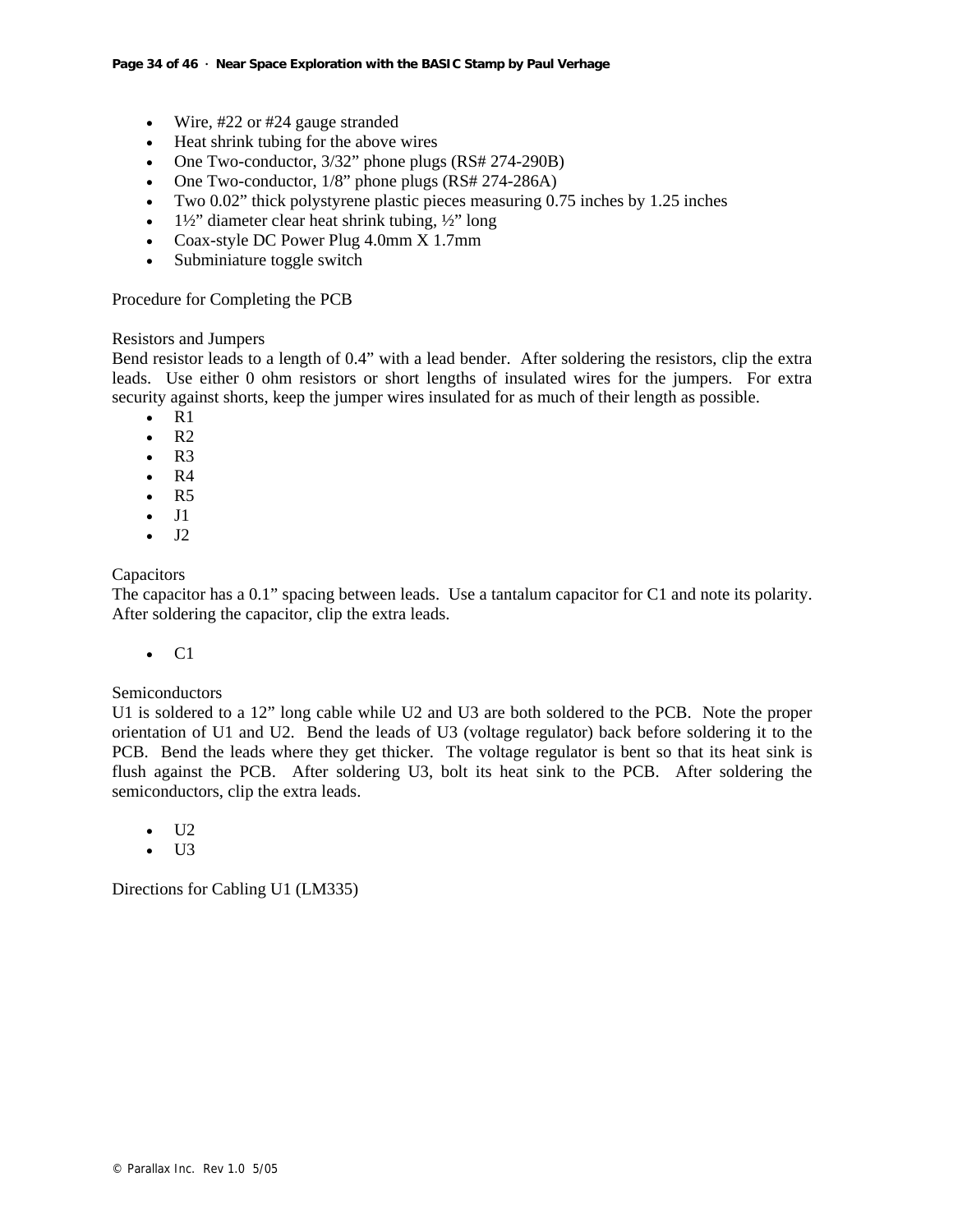- Wire, #22 or #24 gauge stranded
- Heat shrink tubing for the above wires
- One Two-conductor,  $3/32$ " phone plugs (RS# 274-290B)
- One Two-conductor, 1/8" phone plugs (RS# 274-286A)
- Two 0.02" thick polystyrene plastic pieces measuring 0.75 inches by 1.25 inches
- $1\frac{1}{2}$ " diameter clear heat shrink tubing,  $\frac{1}{2}$ " long
- Coax-style DC Power Plug 4.0mm X 1.7mm
- Subminiature toggle switch

Procedure for Completing the PCB

## Resistors and Jumpers

Bend resistor leads to a length of 0.4" with a lead bender. After soldering the resistors, clip the extra leads. Use either 0 ohm resistors or short lengths of insulated wires for the jumpers. For extra security against shorts, keep the jumper wires insulated for as much of their length as possible.

- $\bullet$  R1
- $\cdot$  R<sub>2</sub>
- $\cdot$  R<sub>3</sub>
- $\bullet$  R4
- $\cdot$  R<sub>5</sub>
- J1
- $-I2$

## **Capacitors**

The capacitor has a 0.1" spacing between leads. Use a tantalum capacitor for C1 and note its polarity. After soldering the capacitor, clip the extra leads.

 $\bullet$  C1

## Semiconductors

U1 is soldered to a 12" long cable while U2 and U3 are both soldered to the PCB. Note the proper orientation of U1 and U2. Bend the leads of U3 (voltage regulator) back before soldering it to the PCB. Bend the leads where they get thicker. The voltage regulator is bent so that its heat sink is flush against the PCB. After soldering U3, bolt its heat sink to the PCB. After soldering the semiconductors, clip the extra leads.

- U2
- U3

Directions for Cabling U1 (LM335)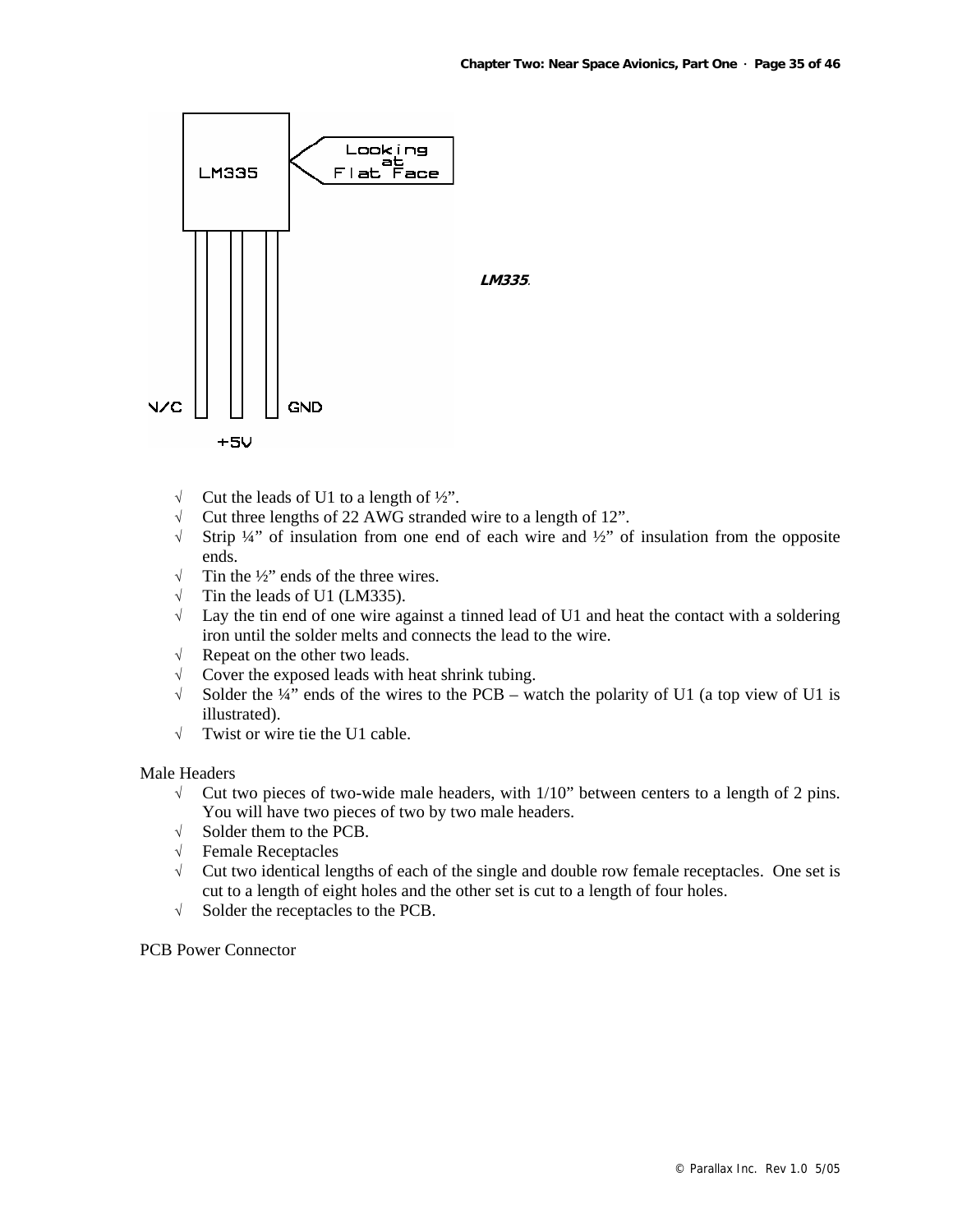

- $\sqrt{\phantom{a}}$  Cut the leads of U1 to a length of  $\frac{1}{2}$ ".
- √ Cut three lengths of 22 AWG stranded wire to a length of 12".
- √ Strip ¼" of insulation from one end of each wire and ½" of insulation from the opposite ends.
- $\sqrt{\phantom{a}}$  Tin the ½" ends of the three wires.
- $\sqrt{\phantom{a}}$  Tin the leads of U1 (LM335).
- $\sqrt{\phantom{a}}$  Lay the tin end of one wire against a tinned lead of U1 and heat the contact with a soldering iron until the solder melts and connects the lead to the wire.
- √ Repeat on the other two leads.
- $\sqrt{\phantom{a}}$  Cover the exposed leads with heat shrink tubing.
- $\sqrt{\phantom{a}}$  Solder the ¼" ends of the wires to the PCB watch the polarity of U1 (a top view of U1 is illustrated).
- √ Twist or wire tie the U1 cable.

#### Male Headers

- $\sqrt{\phantom{a}}$  Cut two pieces of two-wide male headers, with 1/10" between centers to a length of 2 pins. You will have two pieces of two by two male headers.
- √ Solder them to the PCB.
- √ Female Receptacles
- √ Cut two identical lengths of each of the single and double row female receptacles. One set is cut to a length of eight holes and the other set is cut to a length of four holes.
- √ Solder the receptacles to the PCB.

## PCB Power Connector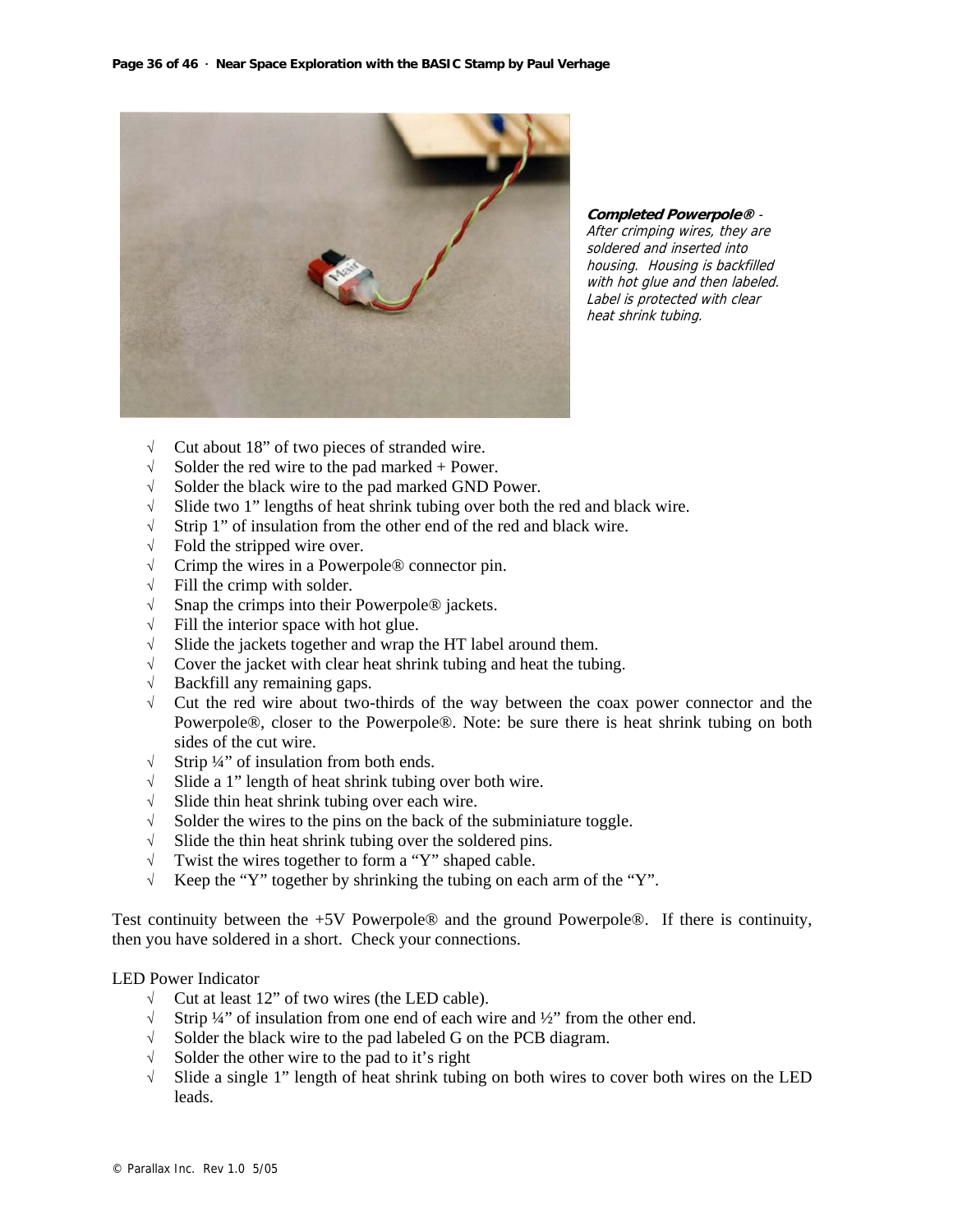

**Completed Powerpole®** - After crimping wires, they are soldered and inserted into housing. Housing is backfilled with hot glue and then labeled. Label is protected with clear heat shrink tubing.

- √ Cut about 18" of two pieces of stranded wire.
- $\sqrt{\phantom{a}}$  Solder the red wire to the pad marked + Power.
- √ Solder the black wire to the pad marked GND Power.
- √ Slide two 1" lengths of heat shrink tubing over both the red and black wire.
- √ Strip 1" of insulation from the other end of the red and black wire.
- $\sqrt{\phantom{a}}$  Fold the stripped wire over.
- √ Crimp the wires in a Powerpole® connector pin.
- $\sqrt{\ }$  Fill the crimp with solder.
- √ Snap the crimps into their Powerpole® jackets.
- $\sqrt{\phantom{a}}$  Fill the interior space with hot glue.
- √ Slide the jackets together and wrap the HT label around them.
- √ Cover the jacket with clear heat shrink tubing and heat the tubing.
- √ Backfill any remaining gaps.
- √ Cut the red wire about two-thirds of the way between the coax power connector and the Powerpole®, closer to the Powerpole®. Note: be sure there is heat shrink tubing on both sides of the cut wire.
- $\sqrt{\phantom{a}}$  Strip ¼" of insulation from both ends.
- √ Slide a 1" length of heat shrink tubing over both wire.
- √ Slide thin heat shrink tubing over each wire.
- √ Solder the wires to the pins on the back of the subminiature toggle.
- $\sqrt{\phantom{a}}$  Slide the thin heat shrink tubing over the soldered pins.
- √ Twist the wires together to form a "Y" shaped cable.
- √ Keep the "Y" together by shrinking the tubing on each arm of the "Y".

Test continuity between the +5V Powerpole® and the ground Powerpole®. If there is continuity, then you have soldered in a short. Check your connections.

LED Power Indicator

- √ Cut at least 12" of two wires (the LED cable).
- √ Strip ¼" of insulation from one end of each wire and ½" from the other end.
- √ Solder the black wire to the pad labeled G on the PCB diagram.
- √ Solder the other wire to the pad to it's right
- √ Slide a single 1" length of heat shrink tubing on both wires to cover both wires on the LED leads.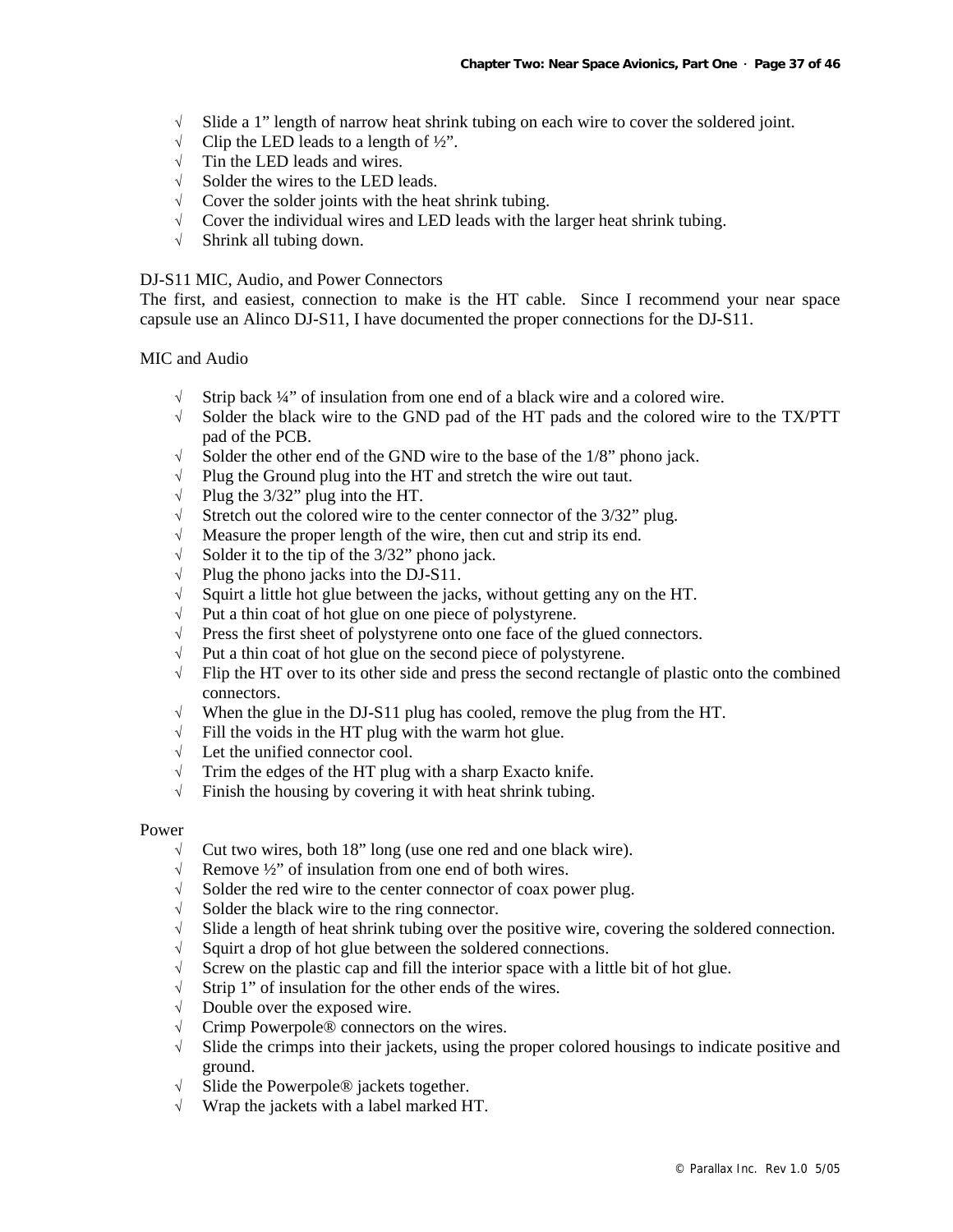- √ Slide a 1" length of narrow heat shrink tubing on each wire to cover the soldered joint.
- $\sqrt{\phantom{a}}$  Clip the LED leads to a length of  $\frac{1}{2}$ ".
- √ Tin the LED leads and wires.
- √ Solder the wires to the LED leads.
- $\sqrt{\phantom{a}}$  Cover the solder joints with the heat shrink tubing.
- √ Cover the individual wires and LED leads with the larger heat shrink tubing.
- √ Shrink all tubing down.

#### DJ-S11 MIC, Audio, and Power Connectors

The first, and easiest, connection to make is the HT cable. Since I recommend your near space capsule use an Alinco DJ-S11, I have documented the proper connections for the DJ-S11.

#### MIC and Audio

- $\sqrt{\phantom{a}}$  Strip back ¼" of insulation from one end of a black wire and a colored wire.
- √ Solder the black wire to the GND pad of the HT pads and the colored wire to the TX/PTT pad of the PCB.
- √ Solder the other end of the GND wire to the base of the 1/8" phono jack.
- √ Plug the Ground plug into the HT and stretch the wire out taut.
- √ Plug the 3/32" plug into the HT.
- √ Stretch out the colored wire to the center connector of the 3/32" plug.
- $\sqrt{\phantom{a}}$  Measure the proper length of the wire, then cut and strip its end.
- $\sqrt{\phantom{a}}$  Solder it to the tip of the 3/32" phono jack.
- $\sqrt{\phantom{a}}$  Plug the phono jacks into the DJ-S11.
- √ Squirt a little hot glue between the jacks, without getting any on the HT.
- √ Put a thin coat of hot glue on one piece of polystyrene.
- √ Press the first sheet of polystyrene onto one face of the glued connectors.
- $\sqrt{\phantom{a}}$  Put a thin coat of hot glue on the second piece of polystyrene.
- √ Flip the HT over to its other side and press the second rectangle of plastic onto the combined connectors.
- √ When the glue in the DJ-S11 plug has cooled, remove the plug from the HT.
- $\sqrt{\frac{1}{1}}$  Fill the voids in the HT plug with the warm hot glue.
- √ Let the unified connector cool.
- √ Trim the edges of the HT plug with a sharp Exacto knife.
- $\sqrt{\phantom{a}}$  Finish the housing by covering it with heat shrink tubing.

#### Power

- $\sqrt{\phantom{a}}$  Cut two wires, both 18" long (use one red and one black wire).
- √ Remove ½" of insulation from one end of both wires.
- √ Solder the red wire to the center connector of coax power plug.
- √ Solder the black wire to the ring connector.
- √ Slide a length of heat shrink tubing over the positive wire, covering the soldered connection.
- √ Squirt a drop of hot glue between the soldered connections.
- √ Screw on the plastic cap and fill the interior space with a little bit of hot glue.
- √ Strip 1" of insulation for the other ends of the wires.
- √ Double over the exposed wire.
- √ Crimp Powerpole® connectors on the wires.
- $\sqrt{\phantom{a}}$  Slide the crimps into their jackets, using the proper colored housings to indicate positive and ground.
- √ Slide the Powerpole® jackets together.
- √ Wrap the jackets with a label marked HT.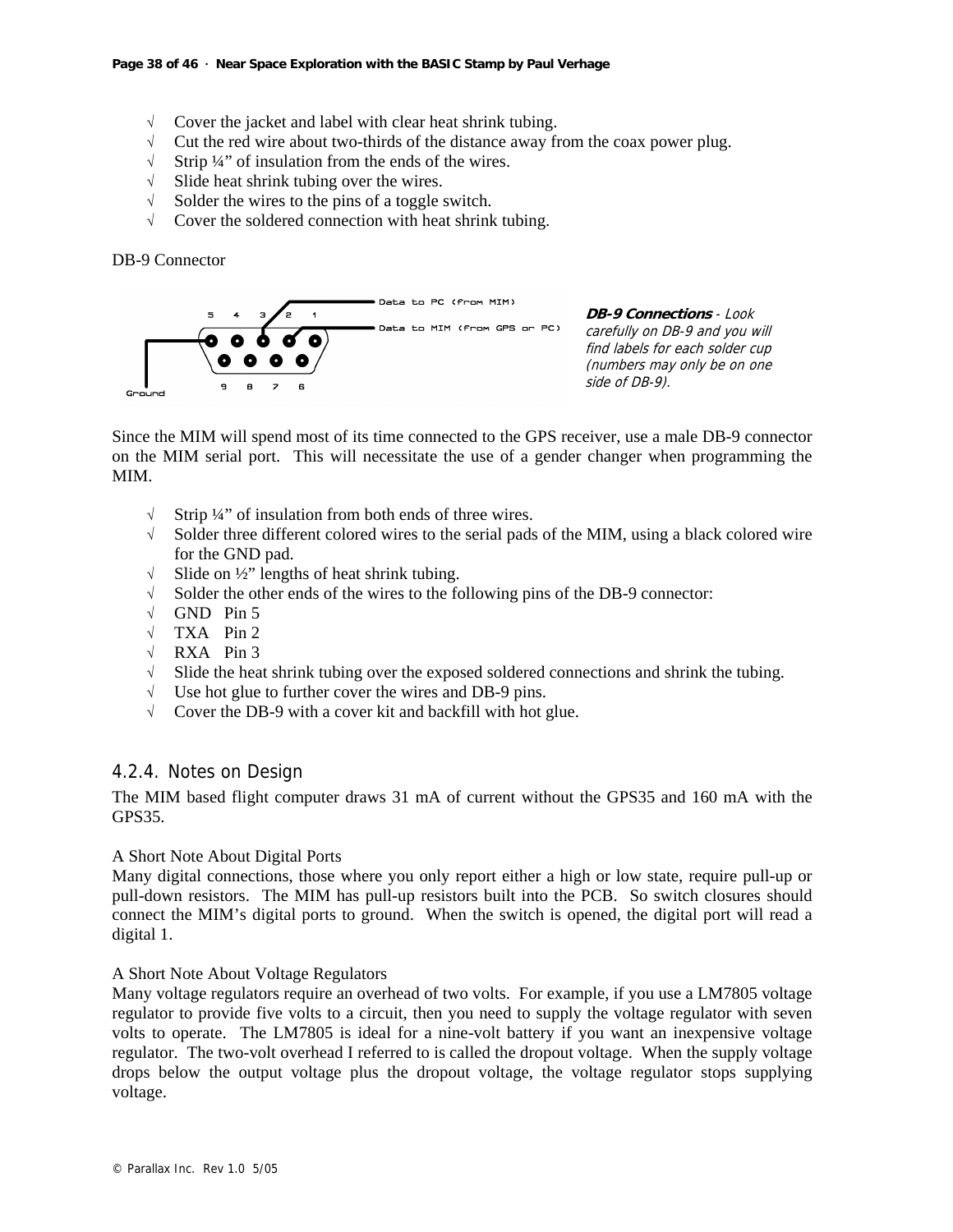- √ Cover the jacket and label with clear heat shrink tubing.
- $\sqrt{\phantom{a}}$  Cut the red wire about two-thirds of the distance away from the coax power plug.
- $\sqrt{\phantom{a}}$  Strip ¼" of insulation from the ends of the wires.
- √ Slide heat shrink tubing over the wires.
- √ Solder the wires to the pins of a toggle switch.
- √ Cover the soldered connection with heat shrink tubing.

DB-9 Connector



**DB-9 Connections** - Look carefully on DB-9 and you will find labels for each solder cup (numbers may only be on one side of DB-9).

Since the MIM will spend most of its time connected to the GPS receiver, use a male DB-9 connector on the MIM serial port. This will necessitate the use of a gender changer when programming the MIM.

- √ Strip ¼" of insulation from both ends of three wires.
- $\sqrt{\phantom{a}}$  Solder three different colored wires to the serial pads of the MIM, using a black colored wire for the GND pad.
- √ Slide on ½" lengths of heat shrink tubing.
- √ Solder the other ends of the wires to the following pins of the DB-9 connector:
- √ GND Pin 5
- √ TXA Pin 2
- √ RXA Pin 3
- √ Slide the heat shrink tubing over the exposed soldered connections and shrink the tubing.
- √ Use hot glue to further cover the wires and DB-9 pins.
- √ Cover the DB-9 with a cover kit and backfill with hot glue.

## 4.2.4. Notes on Design

The MIM based flight computer draws 31 mA of current without the GPS35 and 160 mA with the GPS35.

## A Short Note About Digital Ports

Many digital connections, those where you only report either a high or low state, require pull-up or pull-down resistors. The MIM has pull-up resistors built into the PCB. So switch closures should connect the MIM's digital ports to ground. When the switch is opened, the digital port will read a digital 1.

## A Short Note About Voltage Regulators

Many voltage regulators require an overhead of two volts. For example, if you use a LM7805 voltage regulator to provide five volts to a circuit, then you need to supply the voltage regulator with seven volts to operate. The LM7805 is ideal for a nine-volt battery if you want an inexpensive voltage regulator. The two-volt overhead I referred to is called the dropout voltage. When the supply voltage drops below the output voltage plus the dropout voltage, the voltage regulator stops supplying voltage.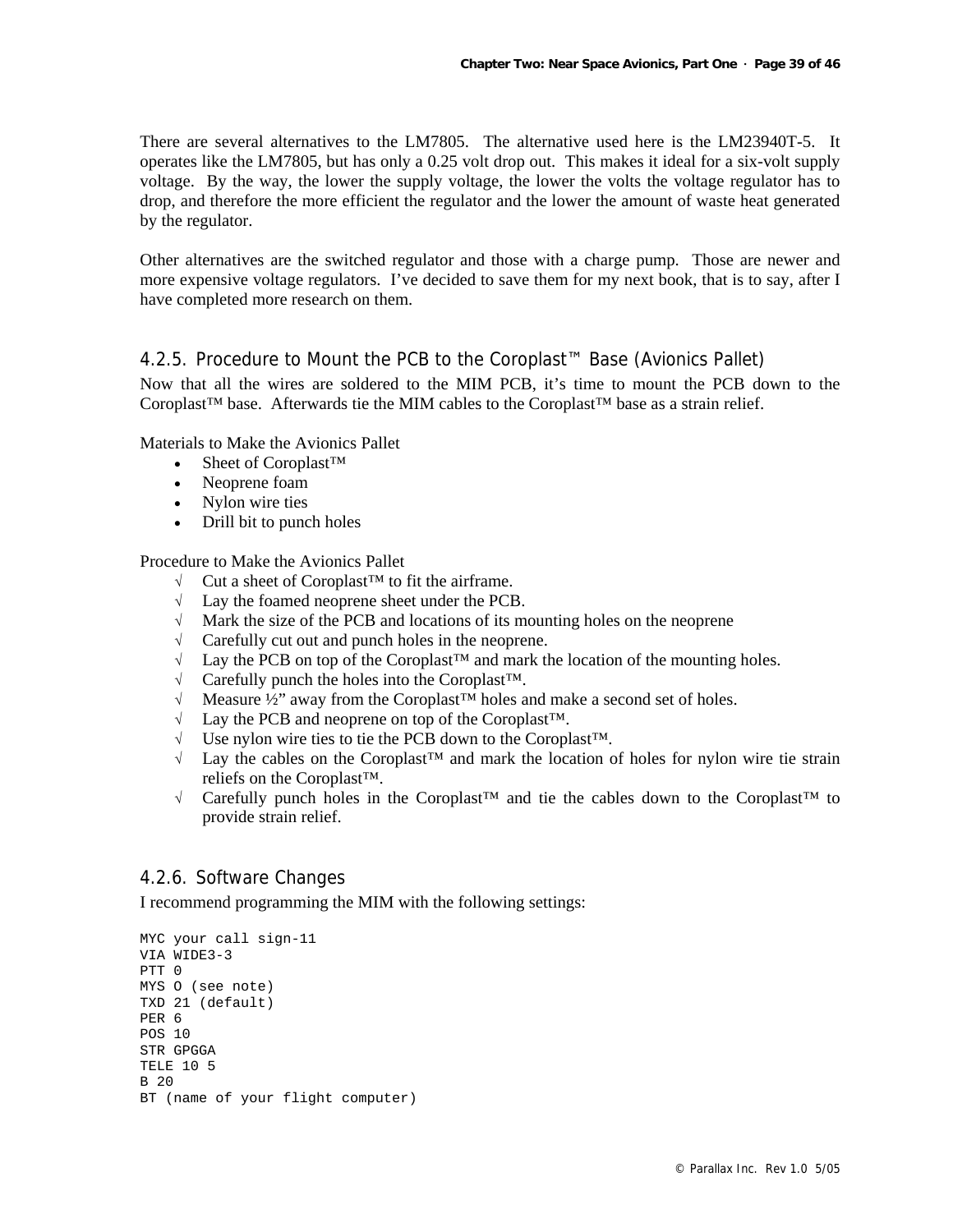There are several alternatives to the LM7805. The alternative used here is the LM23940T-5. It operates like the LM7805, but has only a 0.25 volt drop out. This makes it ideal for a six-volt supply voltage. By the way, the lower the supply voltage, the lower the volts the voltage regulator has to drop, and therefore the more efficient the regulator and the lower the amount of waste heat generated by the regulator.

Other alternatives are the switched regulator and those with a charge pump. Those are newer and more expensive voltage regulators. I've decided to save them for my next book, that is to say, after I have completed more research on them.

## 4.2.5. Procedure to Mount the PCB to the Coroplast™ Base (Avionics Pallet)

Now that all the wires are soldered to the MIM PCB, it's time to mount the PCB down to the Coroplast<sup>™</sup> base. Afterwards tie the MIM cables to the Coroplast<sup>™</sup> base as a strain relief.

Materials to Make the Avionics Pallet

- Sheet of Coroplast<sup>TM</sup>
- Neoprene foam
- Nylon wire ties
- Drill bit to punch holes

Procedure to Make the Avionics Pallet

- √ Cut a sheet of Coroplast™ to fit the airframe.
- √ Lay the foamed neoprene sheet under the PCB.
- $\sqrt{\phantom{a}}$  Mark the size of the PCB and locations of its mounting holes on the neoprene
- $\sqrt{\phantom{a}}$  Carefully cut out and punch holes in the neoprene.
- √ Lay the PCB on top of the Coroplast™ and mark the location of the mounting holes.
- √ Carefully punch the holes into the Coroplast™.
- √ Measure ½" away from the Coroplast™ holes and make a second set of holes.
- √ Lay the PCB and neoprene on top of the Coroplast™.
- √ Use nylon wire ties to tie the PCB down to the Coroplast™.
- √ Lay the cables on the Coroplast™ and mark the location of holes for nylon wire tie strain reliefs on the Coroplast™.
- √ Carefully punch holes in the Coroplast™ and tie the cables down to the Coroplast™ to provide strain relief.

## 4.2.6. Software Changes

I recommend programming the MIM with the following settings:

```
MYC your call sign-11 
VIA WIDE3-3 
PTT 0 
MYS O (see note) 
TXD 21 (default) 
PER 6 
POS 10 
STR GPGGA 
TELE 10 5 
B 20 
BT (name of your flight computer)
```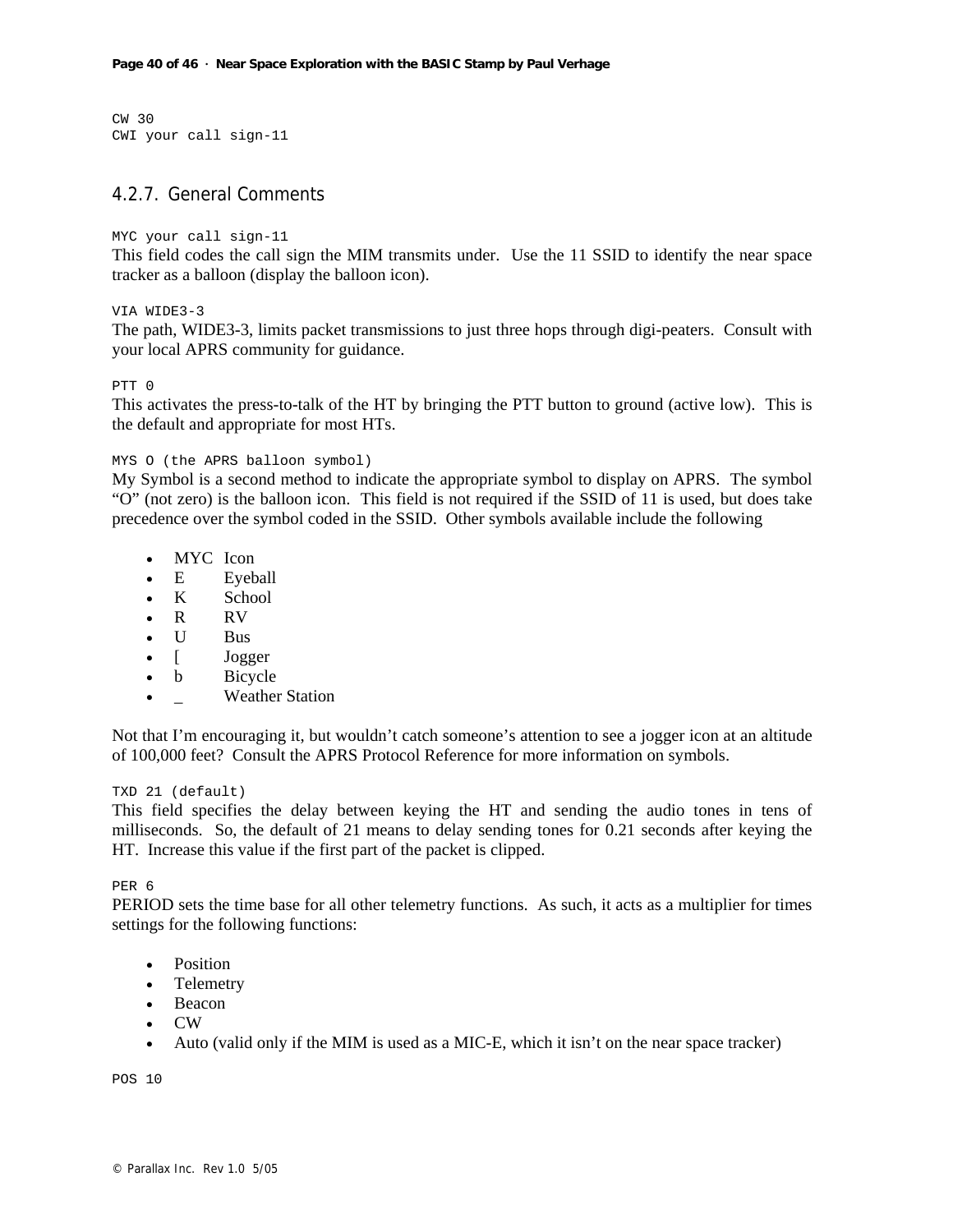CW 30 CWI your call sign-11

## 4.2.7. General Comments

#### MYC your call sign-11

This field codes the call sign the MIM transmits under. Use the 11 SSID to identify the near space tracker as a balloon (display the balloon icon).

VIA WIDE3-3

The path, WIDE3-3, limits packet transmissions to just three hops through digi-peaters. Consult with your local APRS community for guidance.

#### PTT 0

This activates the press-to-talk of the HT by bringing the PTT button to ground (active low). This is the default and appropriate for most HTs.

#### MYS O (the APRS balloon symbol)

My Symbol is a second method to indicate the appropriate symbol to display on APRS. The symbol "O" (not zero) is the balloon icon. This field is not required if the SSID of 11 is used, but does take precedence over the symbol coded in the SSID. Other symbols available include the following

- MYC Icon
- E Eveball
- K School
- R RV
- U Bus
- **Jogger**
- b Bicycle
- **Weather Station**

Not that I'm encouraging it, but wouldn't catch someone's attention to see a jogger icon at an altitude of 100,000 feet? Consult the APRS Protocol Reference for more information on symbols.

#### TXD 21 (default)

This field specifies the delay between keying the HT and sending the audio tones in tens of milliseconds. So, the default of 21 means to delay sending tones for 0.21 seconds after keying the HT. Increase this value if the first part of the packet is clipped.

PER 6

PERIOD sets the time base for all other telemetry functions. As such, it acts as a multiplier for times settings for the following functions:

- Position
- Telemetry
- Beacon
- CW
- Auto (valid only if the MIM is used as a MIC-E, which it isn't on the near space tracker)

POS 10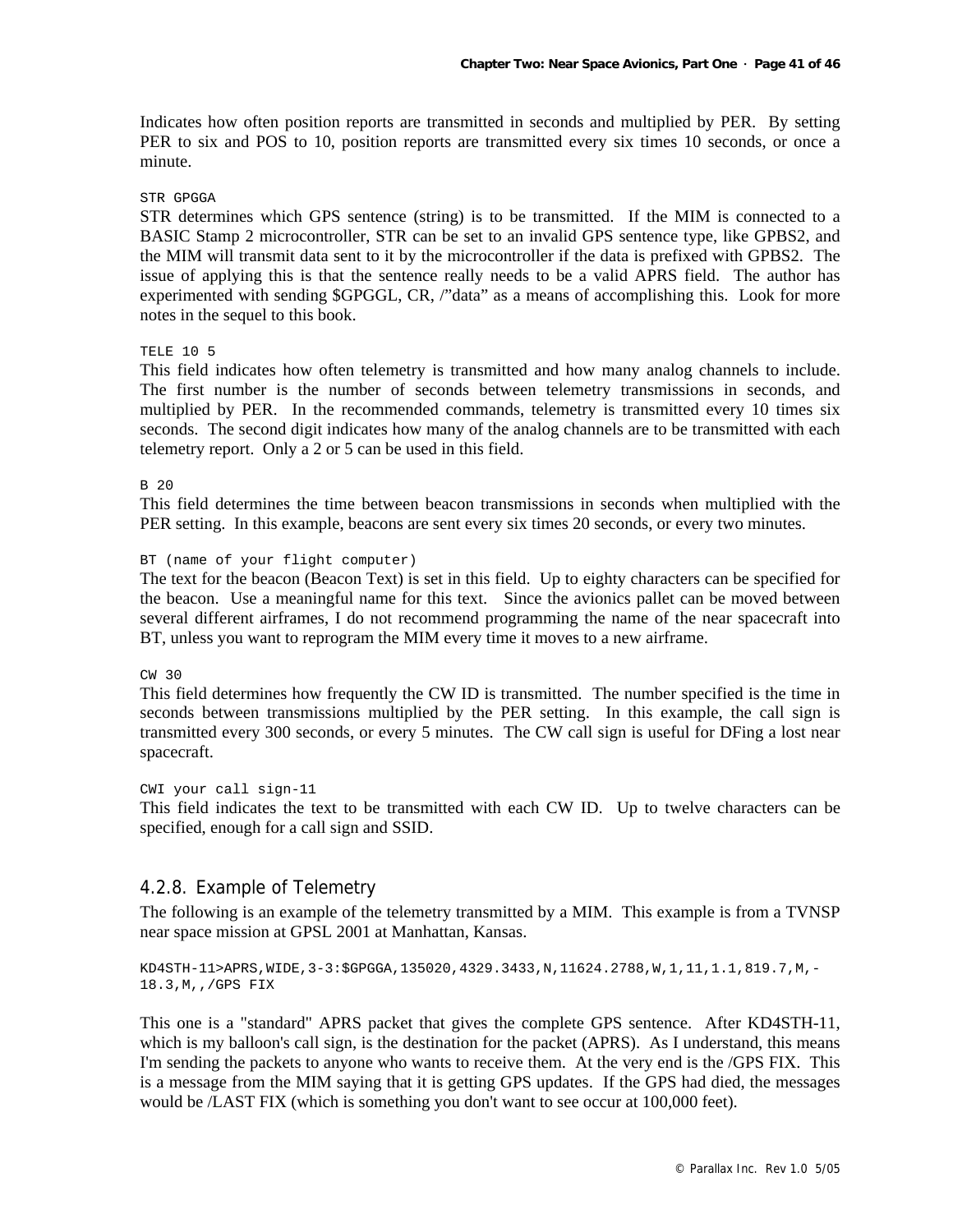Indicates how often position reports are transmitted in seconds and multiplied by PER. By setting PER to six and POS to 10, position reports are transmitted every six times 10 seconds, or once a minute.

#### STR GPGGA

STR determines which GPS sentence (string) is to be transmitted. If the MIM is connected to a BASIC Stamp 2 microcontroller, STR can be set to an invalid GPS sentence type, like GPBS2, and the MIM will transmit data sent to it by the microcontroller if the data is prefixed with GPBS2. The issue of applying this is that the sentence really needs to be a valid APRS field. The author has experimented with sending \$GPGGL, CR, /"data" as a means of accomplishing this. Look for more notes in the sequel to this book.

## TELE 10 5

This field indicates how often telemetry is transmitted and how many analog channels to include. The first number is the number of seconds between telemetry transmissions in seconds, and multiplied by PER. In the recommended commands, telemetry is transmitted every 10 times six seconds. The second digit indicates how many of the analog channels are to be transmitted with each telemetry report. Only a 2 or 5 can be used in this field.

#### B 20

This field determines the time between beacon transmissions in seconds when multiplied with the PER setting. In this example, beacons are sent every six times 20 seconds, or every two minutes.

#### BT (name of your flight computer)

The text for the beacon (Beacon Text) is set in this field. Up to eighty characters can be specified for the beacon. Use a meaningful name for this text. Since the avionics pallet can be moved between several different airframes, I do not recommend programming the name of the near spacecraft into BT, unless you want to reprogram the MIM every time it moves to a new airframe.

#### CW 30

This field determines how frequently the CW ID is transmitted. The number specified is the time in seconds between transmissions multiplied by the PER setting. In this example, the call sign is transmitted every 300 seconds, or every 5 minutes. The CW call sign is useful for DFing a lost near spacecraft.

CWI your call sign-11 This field indicates the text to be transmitted with each CW ID. Up to twelve characters can be specified, enough for a call sign and SSID.

## 4.2.8. Example of Telemetry

The following is an example of the telemetry transmitted by a MIM. This example is from a TVNSP near space mission at GPSL 2001 at Manhattan, Kansas.

```
KD4STH-11>APRS, WIDE, 3-3: $GPGGA, 135020, 4329.3433, N, 11624.2788, W, 1, 11, 1.1, 819.7, M, -
18.3,M,,/GPS FIX
```
This one is a "standard" APRS packet that gives the complete GPS sentence. After KD4STH-11, which is my balloon's call sign, is the destination for the packet (APRS). As I understand, this means I'm sending the packets to anyone who wants to receive them. At the very end is the /GPS FIX. This is a message from the MIM saying that it is getting GPS updates. If the GPS had died, the messages would be /LAST FIX (which is something you don't want to see occur at 100,000 feet).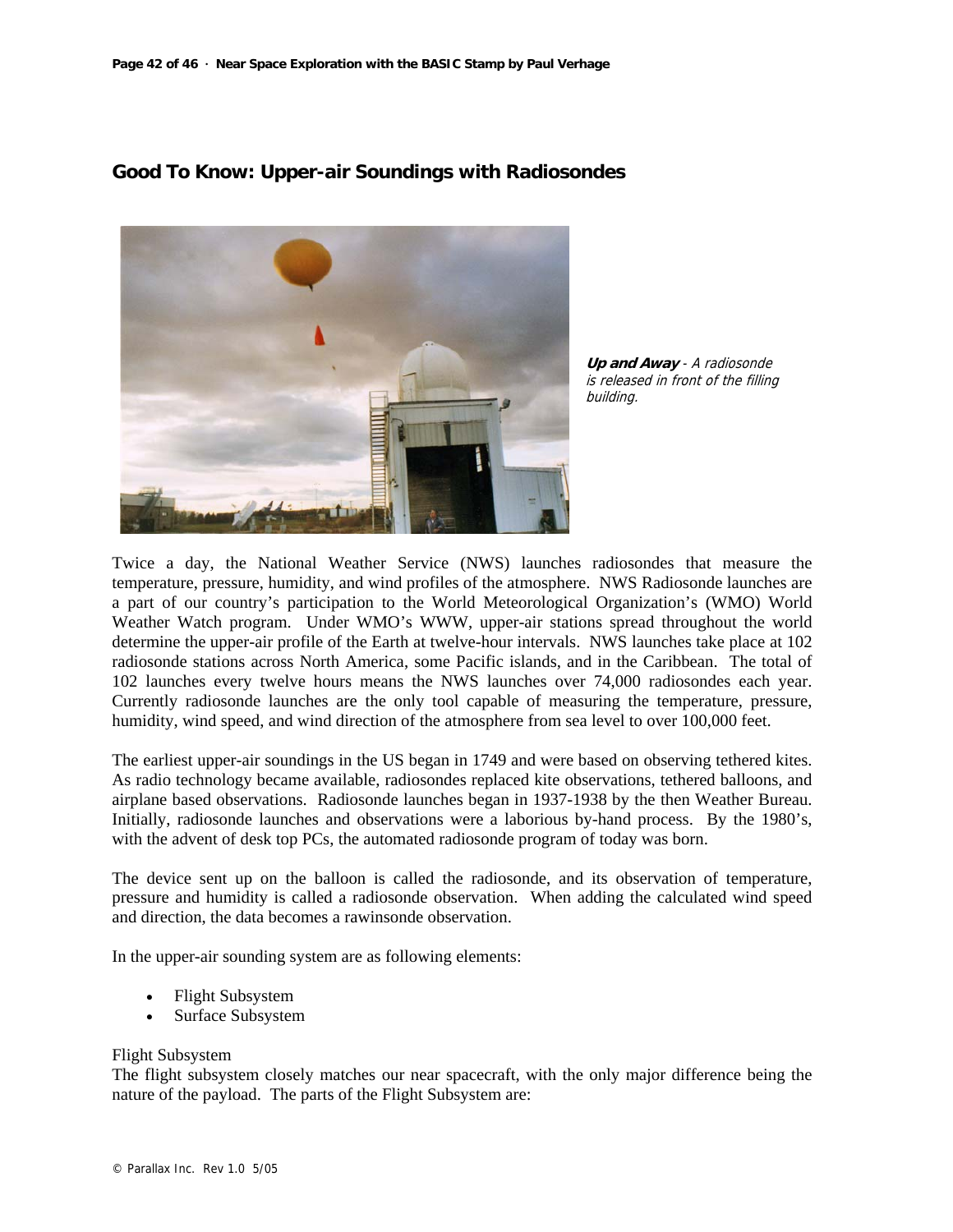

**Good To Know: Upper-air Soundings with Radiosondes** 

**Up and Away** - A radiosonde is released in front of the filling building.

Twice a day, the National Weather Service (NWS) launches radiosondes that measure the temperature, pressure, humidity, and wind profiles of the atmosphere. NWS Radiosonde launches are a part of our country's participation to the World Meteorological Organization's (WMO) World Weather Watch program. Under WMO's WWW, upper-air stations spread throughout the world determine the upper-air profile of the Earth at twelve-hour intervals. NWS launches take place at 102 radiosonde stations across North America, some Pacific islands, and in the Caribbean. The total of 102 launches every twelve hours means the NWS launches over 74,000 radiosondes each year. Currently radiosonde launches are the only tool capable of measuring the temperature, pressure, humidity, wind speed, and wind direction of the atmosphere from sea level to over 100,000 feet.

The earliest upper-air soundings in the US began in 1749 and were based on observing tethered kites. As radio technology became available, radiosondes replaced kite observations, tethered balloons, and airplane based observations. Radiosonde launches began in 1937-1938 by the then Weather Bureau. Initially, radiosonde launches and observations were a laborious by-hand process. By the 1980's, with the advent of desk top PCs, the automated radiosonde program of today was born.

The device sent up on the balloon is called the radiosonde, and its observation of temperature, pressure and humidity is called a radiosonde observation. When adding the calculated wind speed and direction, the data becomes a rawinsonde observation.

In the upper-air sounding system are as following elements:

- Flight Subsystem
- Surface Subsystem

#### Flight Subsystem

The flight subsystem closely matches our near spacecraft, with the only major difference being the nature of the payload. The parts of the Flight Subsystem are: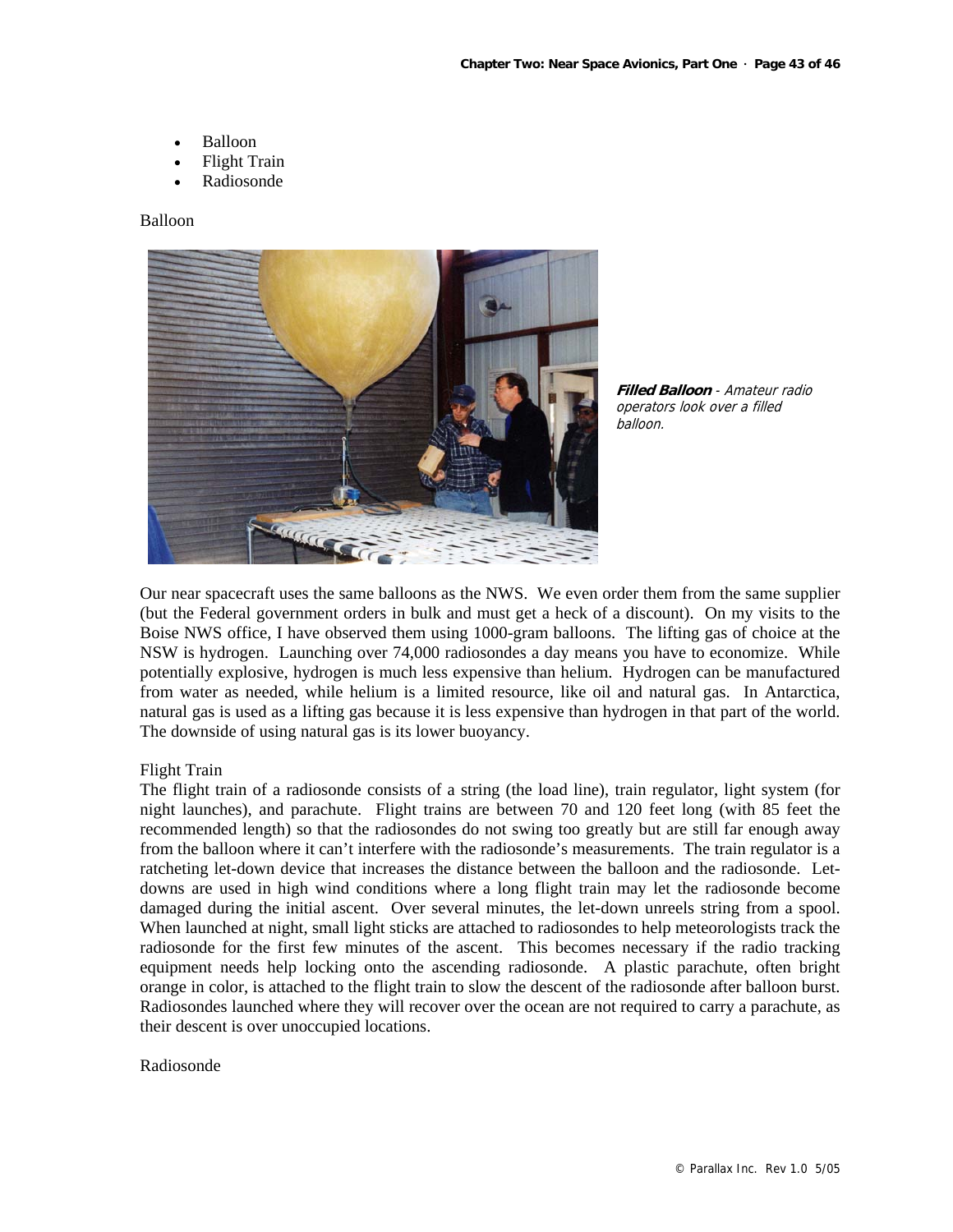- Balloon
- Flight Train
- Radiosonde

#### Balloon





Our near spacecraft uses the same balloons as the NWS. We even order them from the same supplier (but the Federal government orders in bulk and must get a heck of a discount). On my visits to the Boise NWS office, I have observed them using 1000-gram balloons. The lifting gas of choice at the NSW is hydrogen. Launching over 74,000 radiosondes a day means you have to economize. While potentially explosive, hydrogen is much less expensive than helium. Hydrogen can be manufactured from water as needed, while helium is a limited resource, like oil and natural gas. In Antarctica, natural gas is used as a lifting gas because it is less expensive than hydrogen in that part of the world. The downside of using natural gas is its lower buoyancy.

#### Flight Train

The flight train of a radiosonde consists of a string (the load line), train regulator, light system (for night launches), and parachute. Flight trains are between 70 and 120 feet long (with 85 feet the recommended length) so that the radiosondes do not swing too greatly but are still far enough away from the balloon where it can't interfere with the radiosonde's measurements. The train regulator is a ratcheting let-down device that increases the distance between the balloon and the radiosonde. Letdowns are used in high wind conditions where a long flight train may let the radiosonde become damaged during the initial ascent. Over several minutes, the let-down unreels string from a spool. When launched at night, small light sticks are attached to radiosondes to help meteorologists track the radiosonde for the first few minutes of the ascent. This becomes necessary if the radio tracking equipment needs help locking onto the ascending radiosonde. A plastic parachute, often bright orange in color, is attached to the flight train to slow the descent of the radiosonde after balloon burst. Radiosondes launched where they will recover over the ocean are not required to carry a parachute, as their descent is over unoccupied locations.

#### Radiosonde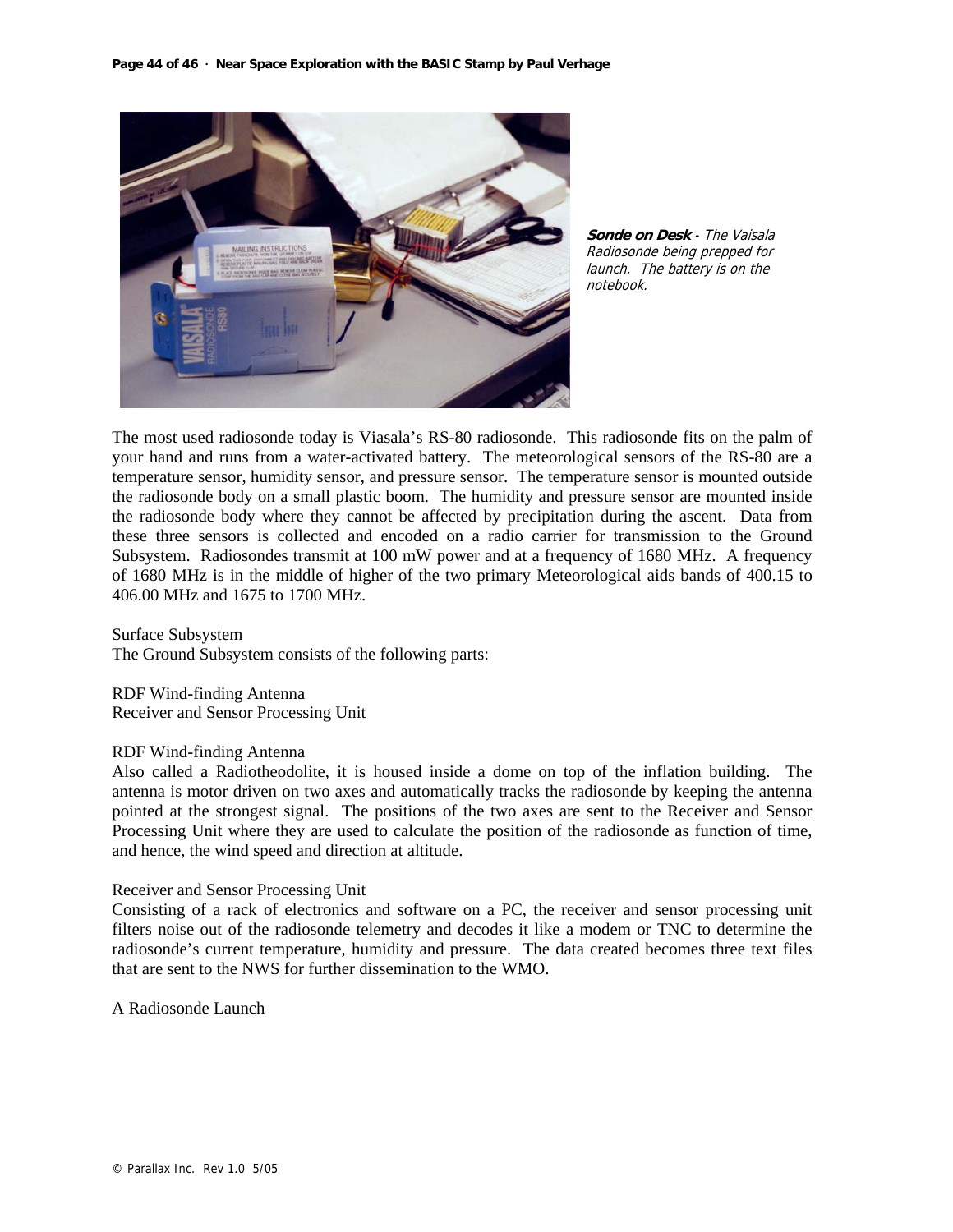

**Sonde on Desk** - The Vaisala Radiosonde being prepped for launch. The battery is on the notebook.

The most used radiosonde today is Viasala's RS-80 radiosonde. This radiosonde fits on the palm of your hand and runs from a water-activated battery. The meteorological sensors of the RS-80 are a temperature sensor, humidity sensor, and pressure sensor. The temperature sensor is mounted outside the radiosonde body on a small plastic boom. The humidity and pressure sensor are mounted inside the radiosonde body where they cannot be affected by precipitation during the ascent. Data from these three sensors is collected and encoded on a radio carrier for transmission to the Ground Subsystem. Radiosondes transmit at 100 mW power and at a frequency of 1680 MHz. A frequency of 1680 MHz is in the middle of higher of the two primary Meteorological aids bands of 400.15 to 406.00 MHz and 1675 to 1700 MHz.

Surface Subsystem The Ground Subsystem consists of the following parts:

RDF Wind-finding Antenna Receiver and Sensor Processing Unit

#### RDF Wind-finding Antenna

Also called a Radiotheodolite, it is housed inside a dome on top of the inflation building. The antenna is motor driven on two axes and automatically tracks the radiosonde by keeping the antenna pointed at the strongest signal. The positions of the two axes are sent to the Receiver and Sensor Processing Unit where they are used to calculate the position of the radiosonde as function of time, and hence, the wind speed and direction at altitude.

#### Receiver and Sensor Processing Unit

Consisting of a rack of electronics and software on a PC, the receiver and sensor processing unit filters noise out of the radiosonde telemetry and decodes it like a modem or TNC to determine the radiosonde's current temperature, humidity and pressure. The data created becomes three text files that are sent to the NWS for further dissemination to the WMO.

A Radiosonde Launch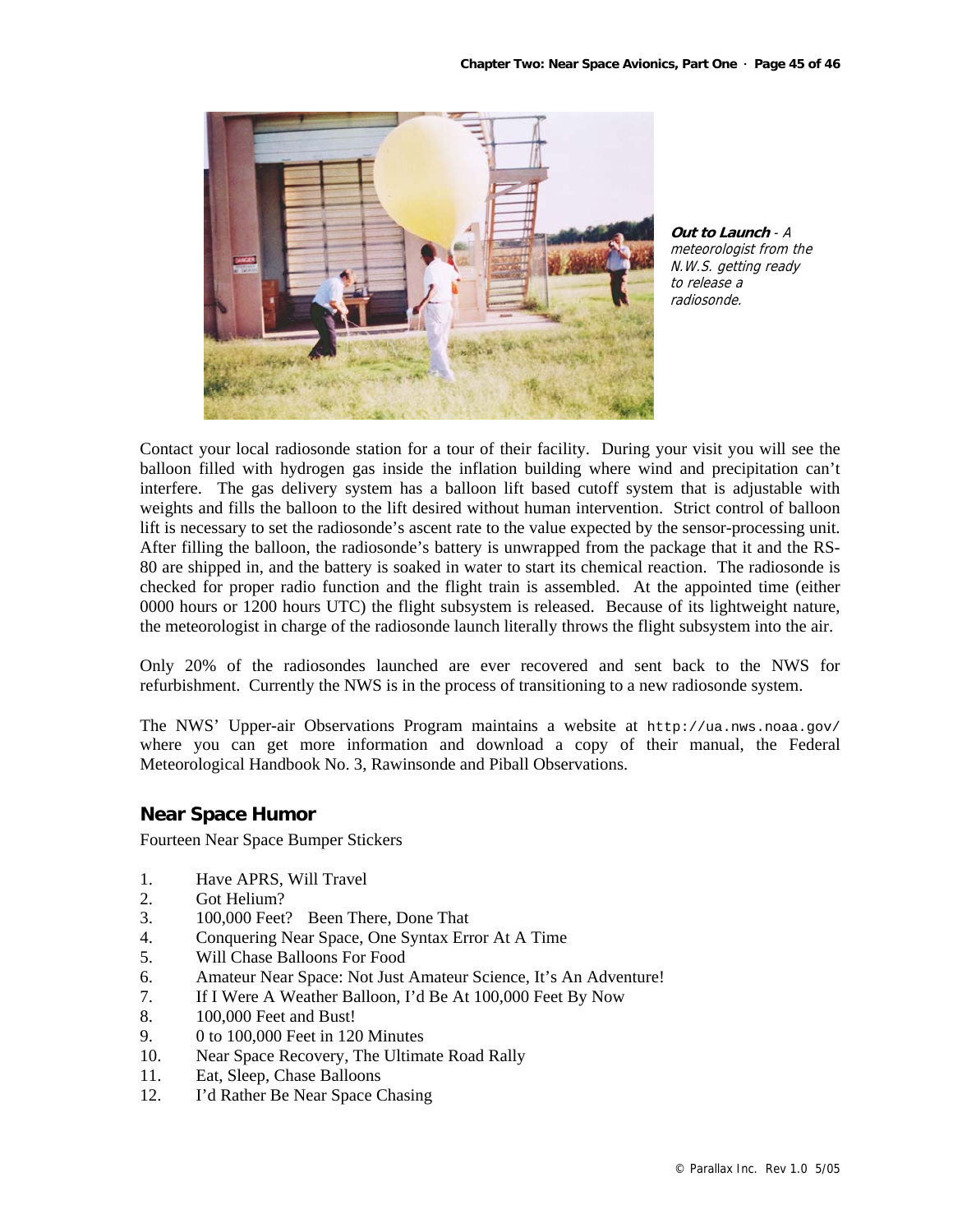

**Out to Launch** - A meteorologist from the N.W.S. getting ready to release a radiosonde.

Contact your local radiosonde station for a tour of their facility. During your visit you will see the balloon filled with hydrogen gas inside the inflation building where wind and precipitation can't interfere. The gas delivery system has a balloon lift based cutoff system that is adjustable with weights and fills the balloon to the lift desired without human intervention. Strict control of balloon lift is necessary to set the radiosonde's ascent rate to the value expected by the sensor-processing unit. After filling the balloon, the radiosonde's battery is unwrapped from the package that it and the RS-80 are shipped in, and the battery is soaked in water to start its chemical reaction. The radiosonde is checked for proper radio function and the flight train is assembled. At the appointed time (either 0000 hours or 1200 hours UTC) the flight subsystem is released. Because of its lightweight nature, the meteorologist in charge of the radiosonde launch literally throws the flight subsystem into the air.

Only 20% of the radiosondes launched are ever recovered and sent back to the NWS for refurbishment. Currently the NWS is in the process of transitioning to a new radiosonde system.

The NWS' Upper-air Observations Program maintains a website at http://ua.nws.noaa.gov/ where you can get more information and download a copy of their manual, the Federal Meteorological Handbook No. 3, Rawinsonde and Piball Observations.

## **Near Space Humor**

Fourteen Near Space Bumper Stickers

- 1. Have APRS, Will Travel
- 2. Got Helium?
- 3. 100,000 Feet? Been There, Done That
- 4. Conquering Near Space, One Syntax Error At A Time
- 5. Will Chase Balloons For Food
- 6. Amateur Near Space: Not Just Amateur Science, It's An Adventure!
- 7. If I Were A Weather Balloon, I'd Be At 100,000 Feet By Now
- 8. 100,000 Feet and Bust!
- 9. 0 to 100,000 Feet in 120 Minutes
- 10. Near Space Recovery, The Ultimate Road Rally
- 11. Eat, Sleep, Chase Balloons
- 12. I'd Rather Be Near Space Chasing